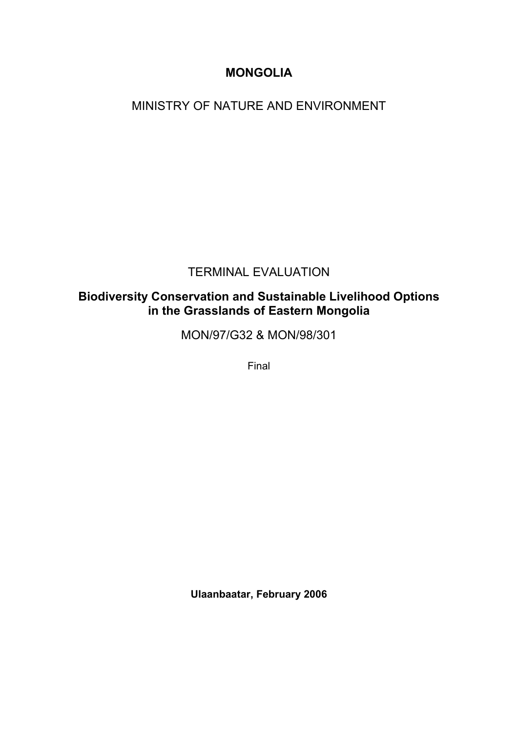# **MONGOLIA**

MINISTRY OF NATURE AND ENVIRONMENT

# TERMINAL EVALUATION

# **Biodiversity Conservation and Sustainable Livelihood Options in the Grasslands of Eastern Mongolia**

MON/97/G32 & MON/98/301

Final

**Ulaanbaatar, February 2006**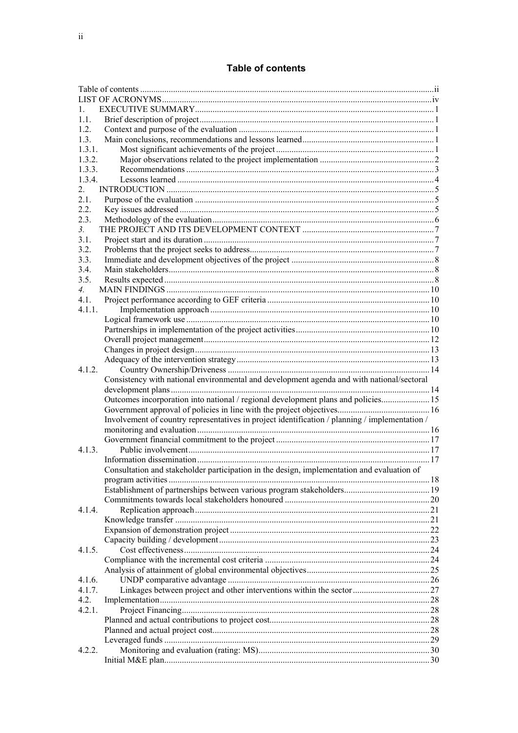# **Table of contents**

<span id="page-1-0"></span>

| 1.               |                                                                                                |  |
|------------------|------------------------------------------------------------------------------------------------|--|
| 1.1.             |                                                                                                |  |
| 1.2.             |                                                                                                |  |
| 1.3.             |                                                                                                |  |
| 1.3.1.           |                                                                                                |  |
| 1.3.2.           |                                                                                                |  |
| 1.3.3.           |                                                                                                |  |
| 1.3.4.           |                                                                                                |  |
| 2.               |                                                                                                |  |
| 2.1.             |                                                                                                |  |
| 2.2.             |                                                                                                |  |
| 2.3.             |                                                                                                |  |
| 3 <sub>1</sub>   |                                                                                                |  |
| 3.1.             |                                                                                                |  |
| 3.2.             |                                                                                                |  |
| 3.3.             |                                                                                                |  |
| 3.4.             |                                                                                                |  |
| 3.5.             |                                                                                                |  |
| $\overline{4}$ . |                                                                                                |  |
| $4.1$ .          |                                                                                                |  |
| 4.1.1.           |                                                                                                |  |
|                  |                                                                                                |  |
|                  |                                                                                                |  |
|                  |                                                                                                |  |
|                  |                                                                                                |  |
|                  |                                                                                                |  |
| 4.1.2.           |                                                                                                |  |
|                  | Consistency with national environmental and development agenda and with national/sectoral      |  |
|                  |                                                                                                |  |
|                  | Outcomes incorporation into national / regional development plans and policies 15              |  |
|                  |                                                                                                |  |
|                  | Involvement of country representatives in project identification / planning / implementation / |  |
|                  |                                                                                                |  |
|                  |                                                                                                |  |
| 4.1.3.           |                                                                                                |  |
|                  |                                                                                                |  |
|                  | Consultation and stakeholder participation in the design, implementation and evaluation of     |  |
|                  |                                                                                                |  |
|                  |                                                                                                |  |
|                  |                                                                                                |  |
| 4.1.4.           |                                                                                                |  |
|                  |                                                                                                |  |
|                  |                                                                                                |  |
|                  |                                                                                                |  |
|                  |                                                                                                |  |
|                  |                                                                                                |  |
| 4.1.5.           |                                                                                                |  |
|                  |                                                                                                |  |
|                  |                                                                                                |  |
| 4.1.6.           |                                                                                                |  |
| 4.1.7.           |                                                                                                |  |
| 4.2.             |                                                                                                |  |
| 4.2.1.           |                                                                                                |  |
|                  |                                                                                                |  |
|                  |                                                                                                |  |
|                  |                                                                                                |  |
| 4.2.2.           |                                                                                                |  |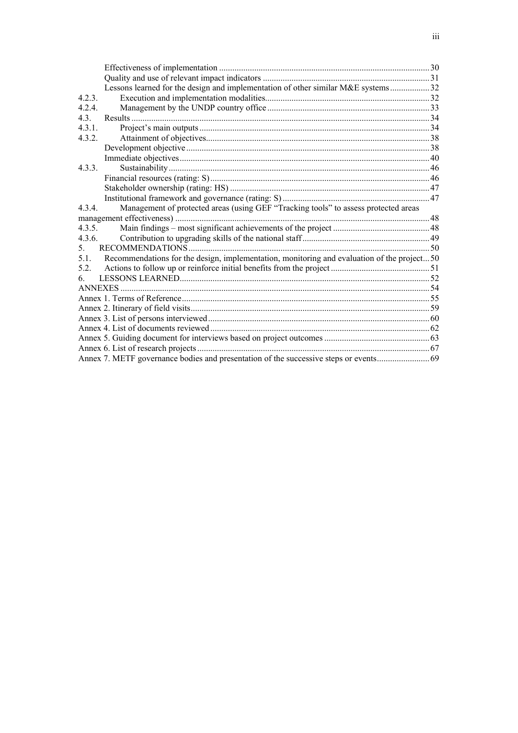|        | Lessons learned for the design and implementation of other similar M&E systems32            |  |
|--------|---------------------------------------------------------------------------------------------|--|
| 4.2.3. |                                                                                             |  |
| 4.2.4. |                                                                                             |  |
| 4.3.   |                                                                                             |  |
| 4.3.1. |                                                                                             |  |
| 4.3.2. |                                                                                             |  |
|        |                                                                                             |  |
|        |                                                                                             |  |
| 4.3.3. |                                                                                             |  |
|        |                                                                                             |  |
|        |                                                                                             |  |
|        |                                                                                             |  |
| 4.3.4. | Management of protected areas (using GEF "Tracking tools" to assess protected areas         |  |
|        |                                                                                             |  |
| 4.3.5. |                                                                                             |  |
| 4.3.6. |                                                                                             |  |
| 5.     |                                                                                             |  |
| 5.1.   | Recommendations for the design, implementation, monitoring and evaluation of the project 50 |  |
| 5.2.   |                                                                                             |  |
| 6      |                                                                                             |  |
|        |                                                                                             |  |
|        |                                                                                             |  |
|        |                                                                                             |  |
|        |                                                                                             |  |
|        |                                                                                             |  |
|        |                                                                                             |  |
|        |                                                                                             |  |
|        |                                                                                             |  |
|        |                                                                                             |  |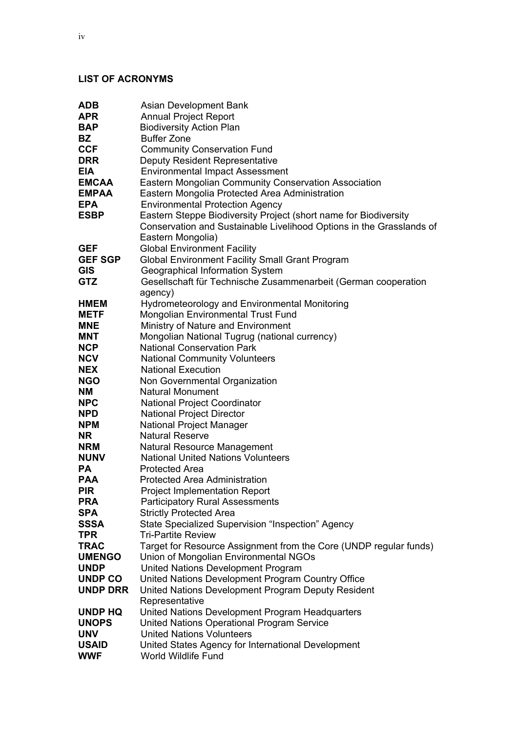# <span id="page-3-0"></span>**LIST OF ACRONYMS**

| ADB             | Asian Development Bank                                               |  |  |  |  |  |  |
|-----------------|----------------------------------------------------------------------|--|--|--|--|--|--|
| APR             | <b>Annual Project Report</b>                                         |  |  |  |  |  |  |
| BAP             | <b>Biodiversity Action Plan</b>                                      |  |  |  |  |  |  |
| BZ              | <b>Buffer Zone</b>                                                   |  |  |  |  |  |  |
| <b>CCF</b>      | <b>Community Conservation Fund</b>                                   |  |  |  |  |  |  |
| <b>DRR</b>      | <b>Deputy Resident Representative</b>                                |  |  |  |  |  |  |
| <b>EIA</b>      | <b>Environmental Impact Assessment</b>                               |  |  |  |  |  |  |
| <b>EMCAA</b>    | Eastern Mongolian Community Conservation Association                 |  |  |  |  |  |  |
| <b>EMPAA</b>    | Eastern Mongolia Protected Area Administration                       |  |  |  |  |  |  |
| <b>EPA</b>      | <b>Environmental Protection Agency</b>                               |  |  |  |  |  |  |
| <b>ESBP</b>     | Eastern Steppe Biodiversity Project (short name for Biodiversity     |  |  |  |  |  |  |
|                 | Conservation and Sustainable Livelihood Options in the Grasslands of |  |  |  |  |  |  |
|                 | Eastern Mongolia)                                                    |  |  |  |  |  |  |
| <b>GEF</b>      | <b>Global Environment Facility</b>                                   |  |  |  |  |  |  |
| <b>GEF SGP</b>  | <b>Global Environment Facility Small Grant Program</b>               |  |  |  |  |  |  |
| <b>GIS</b>      | Geographical Information System                                      |  |  |  |  |  |  |
| <b>GTZ</b>      | Gesellschaft für Technische Zusammenarbeit (German cooperation       |  |  |  |  |  |  |
|                 | agency)                                                              |  |  |  |  |  |  |
| <b>HMEM</b>     | <b>Hydrometeorology and Environmental Monitoring</b>                 |  |  |  |  |  |  |
| <b>METF</b>     | Mongolian Environmental Trust Fund                                   |  |  |  |  |  |  |
| <b>MNE</b>      | Ministry of Nature and Environment                                   |  |  |  |  |  |  |
| <b>MNT</b>      | Mongolian National Tugrug (national currency)                        |  |  |  |  |  |  |
| <b>NCP</b>      | <b>National Conservation Park</b>                                    |  |  |  |  |  |  |
| <b>NCV</b>      | <b>National Community Volunteers</b>                                 |  |  |  |  |  |  |
| <b>NEX</b>      | <b>National Execution</b>                                            |  |  |  |  |  |  |
| <b>NGO</b>      | Non Governmental Organization                                        |  |  |  |  |  |  |
| NΜ              | <b>Natural Monument</b>                                              |  |  |  |  |  |  |
| <b>NPC</b>      | <b>National Project Coordinator</b>                                  |  |  |  |  |  |  |
| <b>NPD</b>      | <b>National Project Director</b>                                     |  |  |  |  |  |  |
| <b>NPM</b>      | National Project Manager                                             |  |  |  |  |  |  |
| <b>NR</b>       | <b>Natural Reserve</b>                                               |  |  |  |  |  |  |
| NRM             | Natural Resource Management                                          |  |  |  |  |  |  |
| <b>NUNV</b>     | <b>National United Nations Volunteers</b>                            |  |  |  |  |  |  |
| PA              | <b>Protected Area</b>                                                |  |  |  |  |  |  |
| <b>PAA</b>      | <b>Protected Area Administration</b>                                 |  |  |  |  |  |  |
| <b>PIR</b>      | <b>Project Implementation Report</b>                                 |  |  |  |  |  |  |
| <b>PRA</b>      | <b>Participatory Rural Assessments</b>                               |  |  |  |  |  |  |
| <b>SPA</b>      | <b>Strictly Protected Area</b>                                       |  |  |  |  |  |  |
| <b>SSSA</b>     | State Specialized Supervision "Inspection" Agency                    |  |  |  |  |  |  |
| TPR             | <b>Tri-Partite Review</b>                                            |  |  |  |  |  |  |
| <b>TRAC</b>     | Target for Resource Assignment from the Core (UNDP regular funds)    |  |  |  |  |  |  |
| <b>UMENGO</b>   | Union of Mongolian Environmental NGOs                                |  |  |  |  |  |  |
| <b>UNDP</b>     | <b>United Nations Development Program</b>                            |  |  |  |  |  |  |
| <b>UNDP CO</b>  | United Nations Development Program Country Office                    |  |  |  |  |  |  |
| <b>UNDP DRR</b> | United Nations Development Program Deputy Resident                   |  |  |  |  |  |  |
|                 | Representative                                                       |  |  |  |  |  |  |
| <b>UNDP HQ</b>  | United Nations Development Program Headquarters                      |  |  |  |  |  |  |
| <b>UNOPS</b>    | <b>United Nations Operational Program Service</b>                    |  |  |  |  |  |  |
| <b>UNV</b>      | <b>United Nations Volunteers</b>                                     |  |  |  |  |  |  |
| <b>USAID</b>    | United States Agency for International Development                   |  |  |  |  |  |  |
| <b>WWF</b>      | World Wildlife Fund                                                  |  |  |  |  |  |  |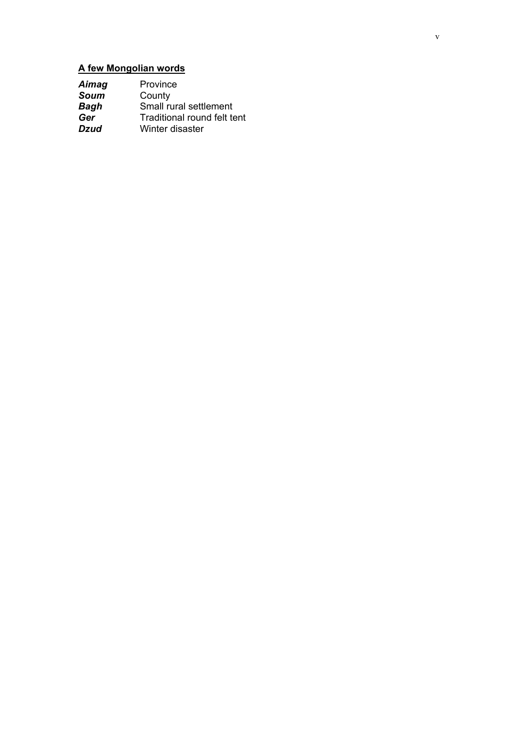# **A few Mongolian words**

| Aimag       | Province                    |
|-------------|-----------------------------|
| Soum        | County                      |
| <b>Bagh</b> | Small rural settlement      |
| Ger         | Traditional round felt tent |
| Dzud        | Winter disaster             |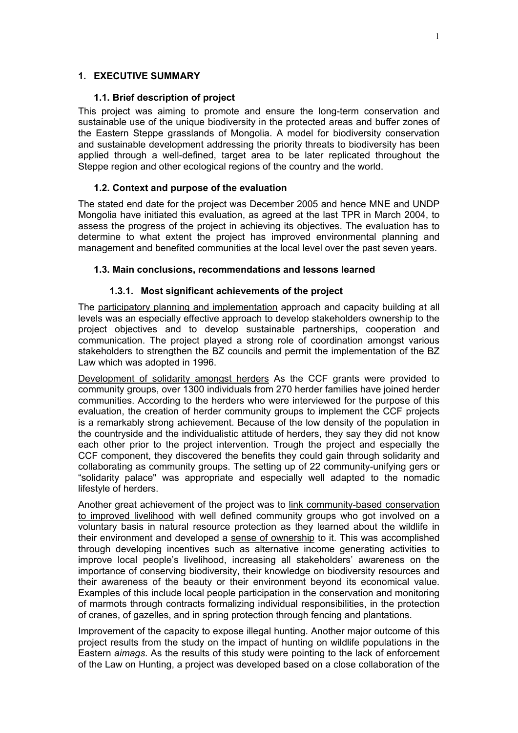#### <span id="page-6-1"></span><span id="page-6-0"></span>**1. EXECUTIVE SUMMARY**

### **1.1. Brief description of project**

This project was aiming to promote and ensure the long-term conservation and sustainable use of the unique biodiversity in the protected areas and buffer zones of the Eastern Steppe grasslands of Mongolia. A model for biodiversity conservation and sustainable development addressing the priority threats to biodiversity has been applied through a well-defined, target area to be later replicated throughout the Steppe region and other ecological regions of the country and the world.

# <span id="page-6-2"></span>**1.2. Context and purpose of the evaluation**

The stated end date for the project was December 2005 and hence MNE and UNDP Mongolia have initiated this evaluation, as agreed at the last TPR in March 2004, to assess the progress of the project in achieving its objectives. The evaluation has to determine to what extent the project has improved environmental planning and management and benefited communities at the local level over the past seven years.

## <span id="page-6-4"></span><span id="page-6-3"></span>**1.3. Main conclusions, recommendations and lessons learned**

## **1.3.1. Most significant achievements of the project**

The participatory planning and implementation approach and capacity building at all levels was an especially effective approach to develop stakeholders ownership to the project objectives and to develop sustainable partnerships, cooperation and communication. The project played a strong role of coordination amongst various stakeholders to strengthen the BZ councils and permit the implementation of the BZ Law which was adopted in 1996.

Development of solidarity amongst herders As the CCF grants were provided to community groups, over 1300 individuals from 270 herder families have joined herder communities. According to the herders who were interviewed for the purpose of this evaluation, the creation of herder community groups to implement the CCF projects is a remarkably strong achievement. Because of the low density of the population in the countryside and the individualistic attitude of herders, they say they did not know each other prior to the project intervention. Trough the project and especially the CCF component, they discovered the benefits they could gain through solidarity and collaborating as community groups. The setting up of 22 community-unifying gers or "solidarity palace" was appropriate and especially well adapted to the nomadic lifestyle of herders.

Another great achievement of the project was to link community-based conservation to improved livelihood with well defined community groups who got involved on a voluntary basis in natural resource protection as they learned about the wildlife in their environment and developed a sense of ownership to it. This was accomplished through developing incentives such as alternative income generating activities to improve local people's livelihood, increasing all stakeholders' awareness on the importance of conserving biodiversity, their knowledge on biodiversity resources and their awareness of the beauty or their environment beyond its economical value. Examples of this include local people participation in the conservation and monitoring of marmots through contracts formalizing individual responsibilities, in the protection of cranes, of gazelles, and in spring protection through fencing and plantations.

Improvement of the capacity to expose illegal hunting. Another major outcome of this project results from the study on the impact of hunting on wildlife populations in the Eastern *aimags*. As the results of this study were pointing to the lack of enforcement of the Law on Hunting, a project was developed based on a close collaboration of the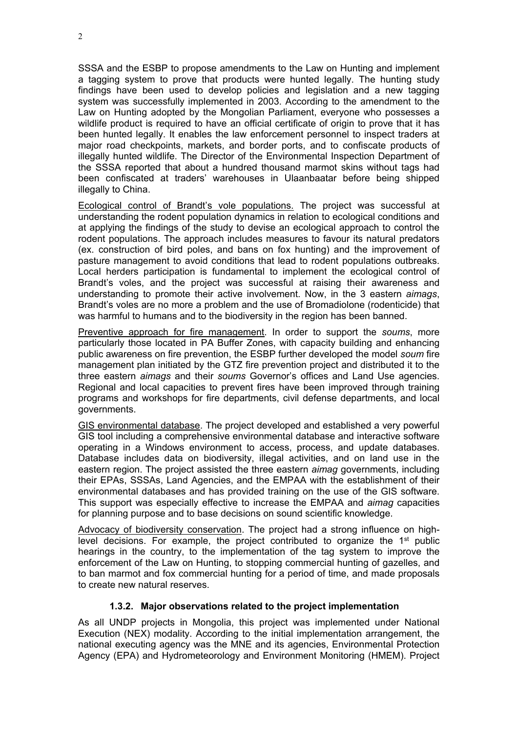SSSA and the ESBP to propose amendments to the Law on Hunting and implement a tagging system to prove that products were hunted legally. The hunting study findings have been used to develop policies and legislation and a new tagging system was successfully implemented in 2003. According to the amendment to the Law on Hunting adopted by the Mongolian Parliament, everyone who possesses a wildlife product is required to have an official certificate of origin to prove that it has been hunted legally. It enables the law enforcement personnel to inspect traders at major road checkpoints, markets, and border ports, and to confiscate products of illegally hunted wildlife. The Director of the Environmental Inspection Department of the SSSA reported that about a hundred thousand marmot skins without tags had been confiscated at traders' warehouses in Ulaanbaatar before being shipped illegally to China.

Ecological control of Brandt's vole populations. The project was successful at understanding the rodent population dynamics in relation to ecological conditions and at applying the findings of the study to devise an ecological approach to control the rodent populations. The approach includes measures to favour its natural predators (ex. construction of bird poles, and bans on fox hunting) and the improvement of pasture management to avoid conditions that lead to rodent populations outbreaks. Local herders participation is fundamental to implement the ecological control of Brandt's voles, and the project was successful at raising their awareness and understanding to promote their active involvement. Now, in the 3 eastern *aimags*, Brandt's voles are no more a problem and the use of Bromadiolone (rodenticide) that was harmful to humans and to the biodiversity in the region has been banned.

Preventive approach for fire management. In order to support the *soums*, more particularly those located in PA Buffer Zones, with capacity building and enhancing public awareness on fire prevention, the ESBP further developed the model *soum* fire management plan initiated by the GTZ fire prevention project and distributed it to the three eastern *aimags* and their *soums* Governor's offices and Land Use agencies. Regional and local capacities to prevent fires have been improved through training programs and workshops for fire departments, civil defense departments, and local governments.

GIS environmental database. The project developed and established a very powerful GIS tool including a comprehensive environmental database and interactive software operating in a Windows environment to access, process, and update databases. Database includes data on biodiversity, illegal activities, and on land use in the eastern region. The project assisted the three eastern *aimag* governments, including their EPAs, SSSAs, Land Agencies, and the EMPAA with the establishment of their environmental databases and has provided training on the use of the GIS software. This support was especially effective to increase the EMPAA and *aimag* capacities for planning purpose and to base decisions on sound scientific knowledge.

Advocacy of biodiversity conservation. The project had a strong influence on highlevel decisions. For example, the project contributed to organize the 1<sup>st</sup> public hearings in the country, to the implementation of the tag system to improve the enforcement of the Law on Hunting, to stopping commercial hunting of gazelles, and to ban marmot and fox commercial hunting for a period of time, and made proposals to create new natural reserves.

# **1.3.2. Major observations related to the project implementation**

<span id="page-7-0"></span>As all UNDP projects in Mongolia, this project was implemented under National Execution (NEX) modality. According to the initial implementation arrangement, the national executing agency was the MNE and its agencies, Environmental Protection Agency (EPA) and Hydrometeorology and Environment Monitoring (HMEM). Project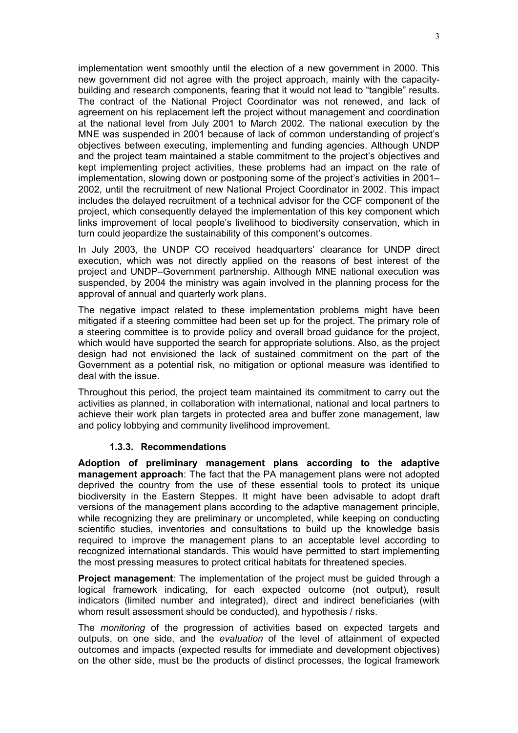implementation went smoothly until the election of a new government in 2000. This new government did not agree with the project approach, mainly with the capacitybuilding and research components, fearing that it would not lead to "tangible" results. The contract of the National Project Coordinator was not renewed, and lack of agreement on his replacement left the project without management and coordination at the national level from July 2001 to March 2002. The national execution by the MNE was suspended in 2001 because of lack of common understanding of project's objectives between executing, implementing and funding agencies. Although UNDP and the project team maintained a stable commitment to the project's objectives and kept implementing project activities, these problems had an impact on the rate of implementation, slowing down or postponing some of the project's activities in 2001– 2002, until the recruitment of new National Project Coordinator in 2002. This impact includes the delayed recruitment of a technical advisor for the CCF component of the project, which consequently delayed the implementation of this key component which links improvement of local people's livelihood to biodiversity conservation, which in turn could jeopardize the sustainability of this component's outcomes.

In July 2003, the UNDP CO received headquarters' clearance for UNDP direct execution, which was not directly applied on the reasons of best interest of the project and UNDP–Government partnership. Although MNE national execution was suspended, by 2004 the ministry was again involved in the planning process for the approval of annual and quarterly work plans.

The negative impact related to these implementation problems might have been mitigated if a steering committee had been set up for the project. The primary role of a steering committee is to provide policy and overall broad guidance for the project, which would have supported the search for appropriate solutions. Also, as the project design had not envisioned the lack of sustained commitment on the part of the Government as a potential risk, no mitigation or optional measure was identified to deal with the issue.

Throughout this period, the project team maintained its commitment to carry out the activities as planned, in collaboration with international, national and local partners to achieve their work plan targets in protected area and buffer zone management, law and policy lobbying and community livelihood improvement.

#### **1.3.3. Recommendations**

<span id="page-8-0"></span>**Adoption of preliminary management plans according to the adaptive management approach**: The fact that the PA management plans were not adopted deprived the country from the use of these essential tools to protect its unique biodiversity in the Eastern Steppes. It might have been advisable to adopt draft versions of the management plans according to the adaptive management principle, while recognizing they are preliminary or uncompleted, while keeping on conducting scientific studies, inventories and consultations to build up the knowledge basis required to improve the management plans to an acceptable level according to recognized international standards. This would have permitted to start implementing the most pressing measures to protect critical habitats for threatened species.

**Project management**: The implementation of the project must be guided through a logical framework indicating, for each expected outcome (not output), result indicators (limited number and integrated), direct and indirect beneficiaries (with whom result assessment should be conducted), and hypothesis / risks.

The *monitoring* of the progression of activities based on expected targets and outputs, on one side, and the *evaluation* of the level of attainment of expected outcomes and impacts (expected results for immediate and development objectives) on the other side, must be the products of distinct processes, the logical framework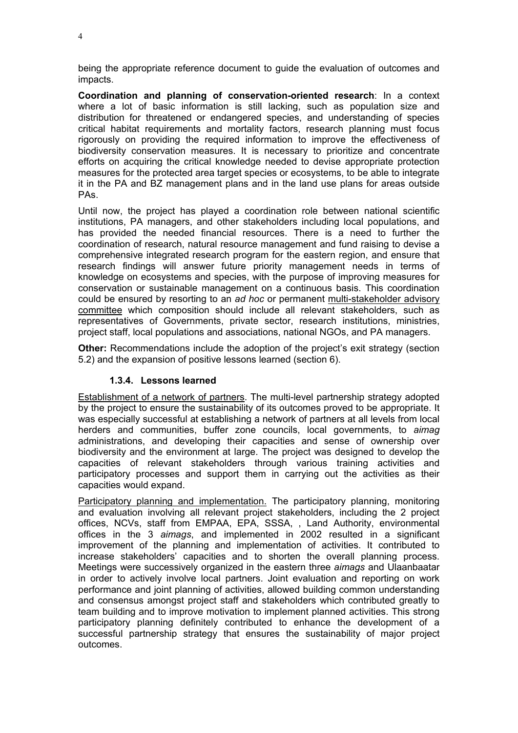being the appropriate reference document to guide the evaluation of outcomes and impacts.

**Coordination and planning of conservation-oriented research**: In a context where a lot of basic information is still lacking, such as population size and distribution for threatened or endangered species, and understanding of species critical habitat requirements and mortality factors, research planning must focus rigorously on providing the required information to improve the effectiveness of biodiversity conservation measures. It is necessary to prioritize and concentrate efforts on acquiring the critical knowledge needed to devise appropriate protection measures for the protected area target species or ecosystems, to be able to integrate it in the PA and BZ management plans and in the land use plans for areas outside PAs.

Until now, the project has played a coordination role between national scientific institutions, PA managers, and other stakeholders including local populations, and has provided the needed financial resources. There is a need to further the coordination of research, natural resource management and fund raising to devise a comprehensive integrated research program for the eastern region, and ensure that research findings will answer future priority management needs in terms of knowledge on ecosystems and species, with the purpose of improving measures for conservation or sustainable management on a continuous basis. This coordination could be ensured by resorting to an *ad hoc* or permanent multi-stakeholder advisory committee which composition should include all relevant stakeholders, such as representatives of Governments, private sector, research institutions, ministries, project staff, local populations and associations, national NGOs, and PA managers.

**Other:** Recommendations include the adoption of the project's exit strategy (section 5.2) and the expansion of positive lessons learned (section 6).

#### **1.3.4. Lessons learned**

<span id="page-9-0"></span>Establishment of a network of partners. The multi-level partnership strategy adopted by the project to ensure the sustainability of its outcomes proved to be appropriate. It was especially successful at establishing a network of partners at all levels from local herders and communities, buffer zone councils, local governments, to *aimag* administrations, and developing their capacities and sense of ownership over biodiversity and the environment at large. The project was designed to develop the capacities of relevant stakeholders through various training activities and participatory processes and support them in carrying out the activities as their capacities would expand.

Participatory planning and implementation. The participatory planning, monitoring and evaluation involving all relevant project stakeholders, including the 2 project offices, NCVs, staff from EMPAA, EPA, SSSA, , Land Authority, environmental offices in the 3 *aimags*, and implemented in 2002 resulted in a significant improvement of the planning and implementation of activities. It contributed to increase stakeholders' capacities and to shorten the overall planning process. Meetings were successively organized in the eastern three *aimags* and Ulaanbaatar in order to actively involve local partners. Joint evaluation and reporting on work performance and joint planning of activities, allowed building common understanding and consensus amongst project staff and stakeholders which contributed greatly to team building and to improve motivation to implement planned activities. This strong participatory planning definitely contributed to enhance the development of a successful partnership strategy that ensures the sustainability of major project outcomes.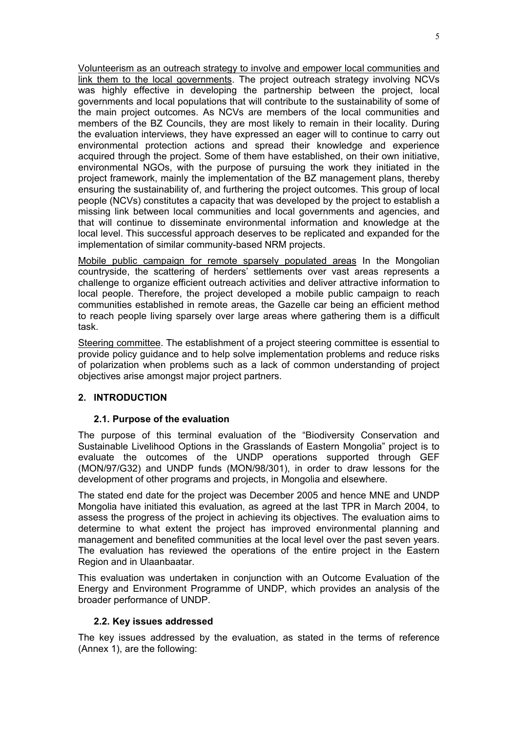Volunteerism as an outreach strategy to involve and empower local communities and link them to the local governments. The project outreach strategy involving NCVs was highly effective in developing the partnership between the project, local governments and local populations that will contribute to the sustainability of some of the main project outcomes. As NCVs are members of the local communities and members of the BZ Councils, they are most likely to remain in their locality. During the evaluation interviews, they have expressed an eager will to continue to carry out environmental protection actions and spread their knowledge and experience acquired through the project. Some of them have established, on their own initiative, environmental NGOs, with the purpose of pursuing the work they initiated in the project framework, mainly the implementation of the BZ management plans, thereby ensuring the sustainability of, and furthering the project outcomes. This group of local people (NCVs) constitutes a capacity that was developed by the project to establish a missing link between local communities and local governments and agencies, and that will continue to disseminate environmental information and knowledge at the local level. This successful approach deserves to be replicated and expanded for the implementation of similar community-based NRM projects.

Mobile public campaign for remote sparsely populated areas In the Mongolian countryside, the scattering of herders' settlements over vast areas represents a challenge to organize efficient outreach activities and deliver attractive information to local people. Therefore, the project developed a mobile public campaign to reach communities established in remote areas, the Gazelle car being an efficient method to reach people living sparsely over large areas where gathering them is a difficult task.

Steering committee. The establishment of a project steering committee is essential to provide policy guidance and to help solve implementation problems and reduce risks of polarization when problems such as a lack of common understanding of project objectives arise amongst major project partners.

# <span id="page-10-1"></span><span id="page-10-0"></span>**2. INTRODUCTION**

# **2.1. Purpose of the evaluation**

The purpose of this terminal evaluation of the "Biodiversity Conservation and Sustainable Livelihood Options in the Grasslands of Eastern Mongolia" project is to evaluate the outcomes of the UNDP operations supported through GEF (MON/97/G32) and UNDP funds (MON/98/301), in order to draw lessons for the development of other programs and projects, in Mongolia and elsewhere.

The stated end date for the project was December 2005 and hence MNE and UNDP Mongolia have initiated this evaluation, as agreed at the last TPR in March 2004, to assess the progress of the project in achieving its objectives. The evaluation aims to determine to what extent the project has improved environmental planning and management and benefited communities at the local level over the past seven years. The evaluation has reviewed the operations of the entire project in the Eastern Region and in Ulaanbaatar.

This evaluation was undertaken in conjunction with an Outcome Evaluation of the Energy and Environment Programme of UNDP, which provides an analysis of the broader performance of UNDP.

# <span id="page-10-2"></span>**2.2. Key issues addressed**

The key issues addressed by the evaluation, as stated in the terms of reference (Annex 1), are the following: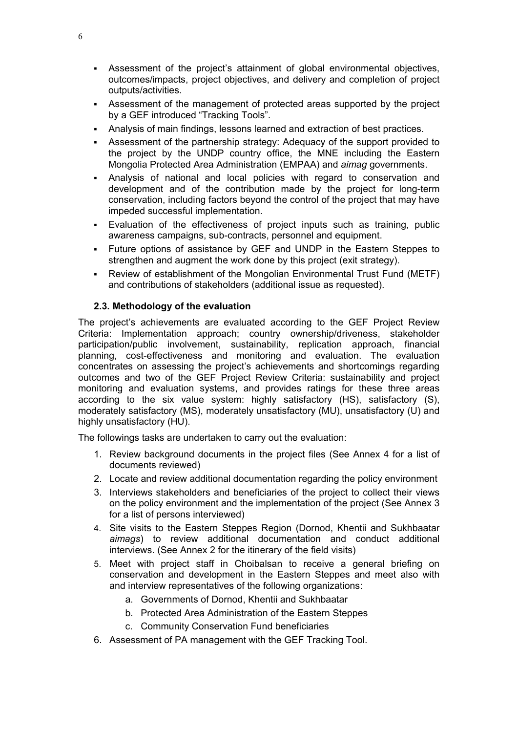- Assessment of the project's attainment of global environmental objectives, outcomes/impacts, project objectives, and delivery and completion of project outputs/activities.
- Assessment of the management of protected areas supported by the project by a GEF introduced "Tracking Tools".
- Analysis of main findings, lessons learned and extraction of best practices.
- Assessment of the partnership strategy: Adequacy of the support provided to the project by the UNDP country office, the MNE including the Eastern Mongolia Protected Area Administration (EMPAA) and *aimag* governments.
- Analysis of national and local policies with regard to conservation and development and of the contribution made by the project for long-term conservation, including factors beyond the control of the project that may have impeded successful implementation.
- Evaluation of the effectiveness of project inputs such as training, public awareness campaigns, sub-contracts, personnel and equipment.
- Future options of assistance by GEF and UNDP in the Eastern Steppes to strengthen and augment the work done by this project (exit strategy).
- Review of establishment of the Mongolian Environmental Trust Fund (METF) and contributions of stakeholders (additional issue as requested).

# <span id="page-11-0"></span>**2.3. Methodology of the evaluation**

The project's achievements are evaluated according to the GEF Project Review Criteria: Implementation approach; country ownership/driveness, stakeholder participation/public involvement, sustainability, replication approach, financial planning, cost-effectiveness and monitoring and evaluation. The evaluation concentrates on assessing the project's achievements and shortcomings regarding outcomes and two of the GEF Project Review Criteria: sustainability and project monitoring and evaluation systems, and provides ratings for these three areas according to the six value system: highly satisfactory (HS), satisfactory (S), moderately satisfactory (MS), moderately unsatisfactory (MU), unsatisfactory (U) and highly unsatisfactory (HU).

The followings tasks are undertaken to carry out the evaluation:

- 1. Review background documents in the project files (See Annex 4 for a list of documents reviewed)
- 2. Locate and review additional documentation regarding the policy environment
- 3. Interviews stakeholders and beneficiaries of the project to collect their views on the policy environment and the implementation of the project (See Annex 3 for a list of persons interviewed)
- 4. Site visits to the Eastern Steppes Region (Dornod, Khentii and Sukhbaatar *aimags*) to review additional documentation and conduct additional interviews. (See Annex 2 for the itinerary of the field visits)
- 5. Meet with project staff in Choibalsan to receive a general briefing on conservation and development in the Eastern Steppes and meet also with and interview representatives of the following organizations:
	- a. Governments of Dornod, Khentii and Sukhbaatar
	- b. Protected Area Administration of the Eastern Steppes
	- c. Community Conservation Fund beneficiaries
- 6. Assessment of PA management with the GEF Tracking Tool.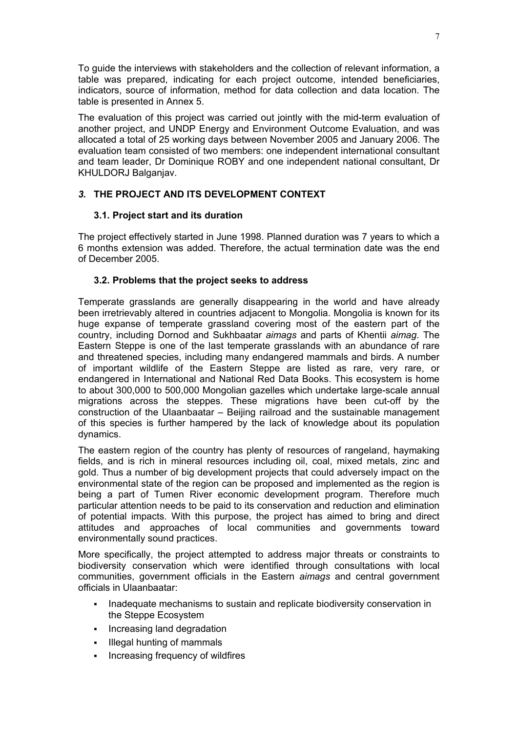To guide the interviews with stakeholders and the collection of relevant information, a table was prepared, indicating for each project outcome, intended beneficiaries, indicators, source of information, method for data collection and data location. The table is presented in Annex 5.

The evaluation of this project was carried out jointly with the mid-term evaluation of another project, and UNDP Energy and Environment Outcome Evaluation, and was allocated a total of 25 working days between November 2005 and January 2006. The evaluation team consisted of two members: one independent international consultant and team leader, Dr Dominique ROBY and one independent national consultant, Dr KHULDORJ Balganjav.

# <span id="page-12-0"></span>*3.* **THE PROJECT AND ITS DEVELOPMENT CONTEXT**

# <span id="page-12-1"></span>**3.1. Project start and its duration**

The project effectively started in June 1998. Planned duration was 7 years to which a 6 months extension was added. Therefore, the actual termination date was the end of December 2005.

# <span id="page-12-2"></span>**3.2. Problems that the project seeks to address**

Temperate grasslands are generally disappearing in the world and have already been irretrievably altered in countries adjacent to Mongolia. Mongolia is known for its huge expanse of temperate grassland covering most of the eastern part of the country, including Dornod and Sukhbaatar *aimags* and parts of Khentii *aimag*. The Eastern Steppe is one of the last temperate grasslands with an abundance of rare and threatened species, including many endangered mammals and birds. A number of important wildlife of the Eastern Steppe are listed as rare, very rare, or endangered in International and National Red Data Books. This ecosystem is home to about 300,000 to 500,000 Mongolian gazelles which undertake large-scale annual migrations across the steppes. These migrations have been cut-off by the construction of the Ulaanbaatar – Beijing railroad and the sustainable management of this species is further hampered by the lack of knowledge about its population dynamics.

The eastern region of the country has plenty of resources of rangeland, haymaking fields, and is rich in mineral resources including oil, coal, mixed metals, zinc and gold. Thus a number of big development projects that could adversely impact on the environmental state of the region can be proposed and implemented as the region is being a part of Tumen River economic development program. Therefore much particular attention needs to be paid to its conservation and reduction and elimination of potential impacts. With this purpose, the project has aimed to bring and direct attitudes and approaches of local communities and governments toward environmentally sound practices.

More specifically, the project attempted to address major threats or constraints to biodiversity conservation which were identified through consultations with local communities, government officials in the Eastern *aimags* and central government officials in Ulaanbaatar:

- Inadequate mechanisms to sustain and replicate biodiversity conservation in the Steppe Ecosystem
- **Increasing land degradation**
- Illegal hunting of mammals
- **Increasing frequency of wildfires**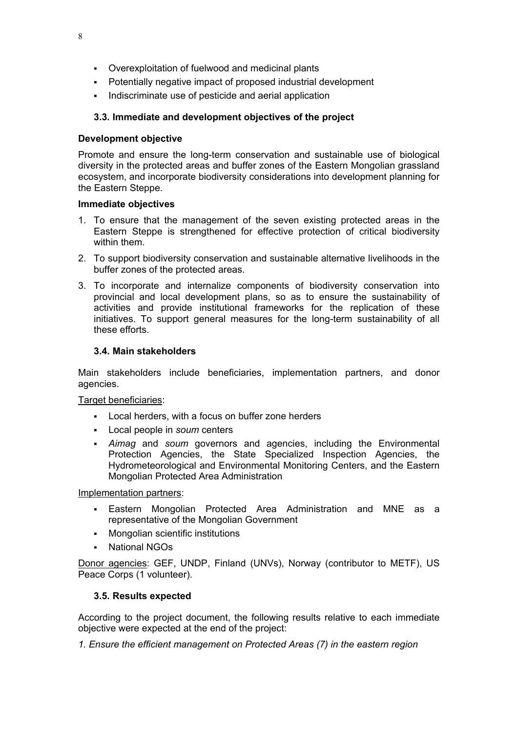- Overexploitation of fuelwood and medicinal plants
- Potentially negative impact of proposed industrial development
- Indiscriminate use of pesticide and aerial application

# <span id="page-13-0"></span>**3.3. Immediate and development objectives of the project**

## **Development objective**

Promote and ensure the long-term conservation and sustainable use of biological diversity in the protected areas and buffer zones of the Eastern Mongolian grassland ecosystem, and incorporate biodiversity considerations into development planning for the Eastern Steppe.

## **Immediate objectives**

- 1. To ensure that the management of the seven existing protected areas in the Eastern Steppe is strengthened for effective protection of critical biodiversity within them.
- 2. To support biodiversity conservation and sustainable alternative livelihoods in the buffer zones of the protected areas.
- 3. To incorporate and internalize components of biodiversity conservation into provincial and local development plans, so as to ensure the sustainability of activities and provide institutional frameworks for the replication of these initiatives. To support general measures for the long-term sustainability of all these efforts.

## <span id="page-13-1"></span>**3.4. Main stakeholders**

Main stakeholders include beneficiaries, implementation partners, and donor agencies.

# Target beneficiaries:

- Local herders, with a focus on buffer zone herders
- Local people in *soum* centers
- *Aimag* and *soum* governors and agencies, including the Environmental Protection Agencies, the State Specialized Inspection Agencies, the Hydrometeorological and Environmental Monitoring Centers, and the Eastern Mongolian Protected Area Administration

Implementation partners:

- Eastern Mongolian Protected Area Administration and MNE as a representative of the Mongolian Government
- Mongolian scientific institutions
- National NGOs

Donor agencies: GEF, UNDP, Finland (UNVs), Norway (contributor to METF), US Peace Corps (1 volunteer).

# <span id="page-13-2"></span>**3.5. Results expected**

According to the project document, the following results relative to each immediate objective were expected at the end of the project:

*1. Ensure the efficient management on Protected Areas (7) in the eastern region*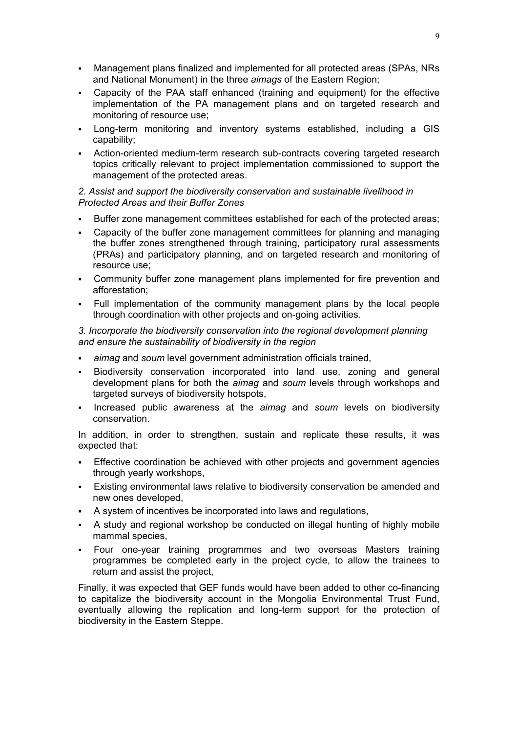- Management plans finalized and implemented for all protected areas (SPAs, NRs and National Monument) in the three *aimags* of the Eastern Region;
- Capacity of the PAA staff enhanced (training and equipment) for the effective implementation of the PA management plans and on targeted research and monitoring of resource use;
- Long-term monitoring and inventory systems established, including a GIS capability;
- Action-oriented medium-term research sub-contracts covering targeted research topics critically relevant to project implementation commissioned to support the management of the protected areas.

## *2. Assist and support the biodiversity conservation and sustainable livelihood in Protected Areas and their Buffer Zones*

- Buffer zone management committees established for each of the protected areas;
- Capacity of the buffer zone management committees for planning and managing the buffer zones strengthened through training, participatory rural assessments (PRAs) and participatory planning, and on targeted research and monitoring of resource use;
- Community buffer zone management plans implemented for fire prevention and afforestation;
- Full implementation of the community management plans by the local people through coordination with other projects and on-going activities.

## *3. Incorporate the biodiversity conservation into the regional development planning and ensure the sustainability of biodiversity in the region*

- *aimag* and *soum* level government administration officials trained,
- Biodiversity conservation incorporated into land use, zoning and general development plans for both the *aimag* and *soum* levels through workshops and targeted surveys of biodiversity hotspots,
- Increased public awareness at the *aimag* and *soum* levels on biodiversity conservation.

In addition, in order to strengthen, sustain and replicate these results, it was expected that:

- Effective coordination be achieved with other projects and government agencies through yearly workshops,
- Existing environmental laws relative to biodiversity conservation be amended and new ones developed,
- A system of incentives be incorporated into laws and regulations,
- A study and regional workshop be conducted on illegal hunting of highly mobile mammal species,
- Four one-year training programmes and two overseas Masters training programmes be completed early in the project cycle, to allow the trainees to return and assist the project,

Finally, it was expected that GEF funds would have been added to other co-financing to capitalize the biodiversity account in the Mongolia Environmental Trust Fund, eventually allowing the replication and long-term support for the protection of biodiversity in the Eastern Steppe.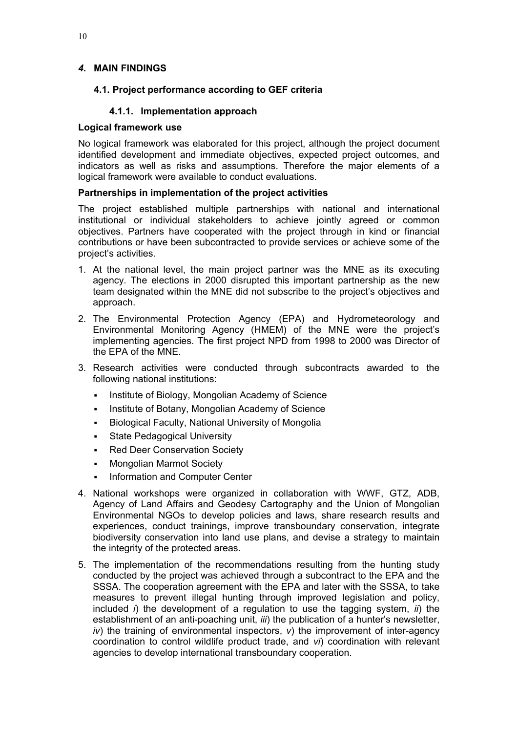# <span id="page-15-1"></span><span id="page-15-0"></span>*4.* **MAIN FINDINGS**

## <span id="page-15-2"></span>**4.1. Project performance according to GEF criteria**

## **4.1.1. Implementation approach**

#### <span id="page-15-3"></span>**Logical framework use**

No logical framework was elaborated for this project, although the project document identified development and immediate objectives, expected project outcomes, and indicators as well as risks and assumptions. Therefore the major elements of a logical framework were available to conduct evaluations.

## <span id="page-15-4"></span>**Partnerships in implementation of the project activities**

The project established multiple partnerships with national and international institutional or individual stakeholders to achieve jointly agreed or common objectives. Partners have cooperated with the project through in kind or financial contributions or have been subcontracted to provide services or achieve some of the project's activities.

- 1. At the national level, the main project partner was the MNE as its executing agency. The elections in 2000 disrupted this important partnership as the new team designated within the MNE did not subscribe to the project's objectives and approach.
- 2. The Environmental Protection Agency (EPA) and Hydrometeorology and Environmental Monitoring Agency (HMEM) of the MNE were the project's implementing agencies. The first project NPD from 1998 to 2000 was Director of the EPA of the MNE.
- 3. Research activities were conducted through subcontracts awarded to the following national institutions:
	- Institute of Biology, Mongolian Academy of Science
	- Institute of Botany, Mongolian Academy of Science
	- Biological Faculty, National University of Mongolia
	- State Pedagogical University
	- Red Deer Conservation Society
	- Mongolian Marmot Society
	- Information and Computer Center
- 4. National workshops were organized in collaboration with WWF, GTZ, ADB, Agency of Land Affairs and Geodesy Cartography and the Union of Mongolian Environmental NGOs to develop policies and laws, share research results and experiences, conduct trainings, improve transboundary conservation, integrate biodiversity conservation into land use plans, and devise a strategy to maintain the integrity of the protected areas.
- 5. The implementation of the recommendations resulting from the hunting study conducted by the project was achieved through a subcontract to the EPA and the SSSA. The cooperation agreement with the EPA and later with the SSSA, to take measures to prevent illegal hunting through improved legislation and policy, included *i*) the development of a regulation to use the tagging system, *ii*) the establishment of an anti-poaching unit, *iii*) the publication of a hunter's newsletter,  $iv$ ) the training of environmental inspectors,  $v$ ) the improvement of inter-agency coordination to control wildlife product trade, and *vi*) coordination with relevant agencies to develop international transboundary cooperation.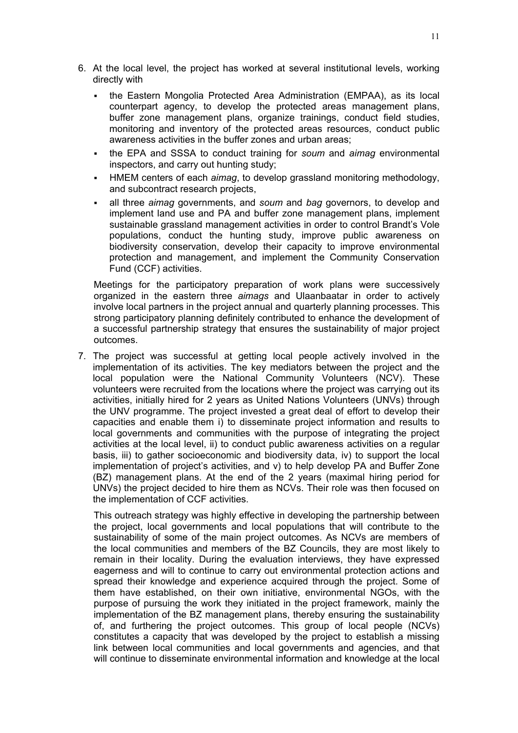- 6. At the local level, the project has worked at several institutional levels, working directly with
	- the Eastern Mongolia Protected Area Administration (EMPAA), as its local counterpart agency, to develop the protected areas management plans, buffer zone management plans, organize trainings, conduct field studies, monitoring and inventory of the protected areas resources, conduct public awareness activities in the buffer zones and urban areas;
	- the EPA and SSSA to conduct training for *soum* and *aimag* environmental inspectors, and carry out hunting study;
	- HMEM centers of each *aimag*, to develop grassland monitoring methodology, and subcontract research projects,
	- all three *aimag* governments, and *soum* and *bag* governors, to develop and implement land use and PA and buffer zone management plans, implement sustainable grassland management activities in order to control Brandt's Vole populations, conduct the hunting study, improve public awareness on biodiversity conservation, develop their capacity to improve environmental protection and management, and implement the Community Conservation Fund (CCF) activities.

Meetings for the participatory preparation of work plans were successively organized in the eastern three *aimags* and Ulaanbaatar in order to actively involve local partners in the project annual and quarterly planning processes. This strong participatory planning definitely contributed to enhance the development of a successful partnership strategy that ensures the sustainability of major project outcomes.

7. The project was successful at getting local people actively involved in the implementation of its activities. The key mediators between the project and the local population were the National Community Volunteers (NCV). These volunteers were recruited from the locations where the project was carrying out its activities, initially hired for 2 years as United Nations Volunteers (UNVs) through the UNV programme. The project invested a great deal of effort to develop their capacities and enable them i) to disseminate project information and results to local governments and communities with the purpose of integrating the project activities at the local level, ii) to conduct public awareness activities on a regular basis, iii) to gather socioeconomic and biodiversity data, iv) to support the local implementation of project's activities, and v) to help develop PA and Buffer Zone (BZ) management plans. At the end of the 2 years (maximal hiring period for UNVs) the project decided to hire them as NCVs. Their role was then focused on the implementation of CCF activities.

This outreach strategy was highly effective in developing the partnership between the project, local governments and local populations that will contribute to the sustainability of some of the main project outcomes. As NCVs are members of the local communities and members of the BZ Councils, they are most likely to remain in their locality. During the evaluation interviews, they have expressed eagerness and will to continue to carry out environmental protection actions and spread their knowledge and experience acquired through the project. Some of them have established, on their own initiative, environmental NGOs, with the purpose of pursuing the work they initiated in the project framework, mainly the implementation of the BZ management plans, thereby ensuring the sustainability of, and furthering the project outcomes. This group of local people (NCVs) constitutes a capacity that was developed by the project to establish a missing link between local communities and local governments and agencies, and that will continue to disseminate environmental information and knowledge at the local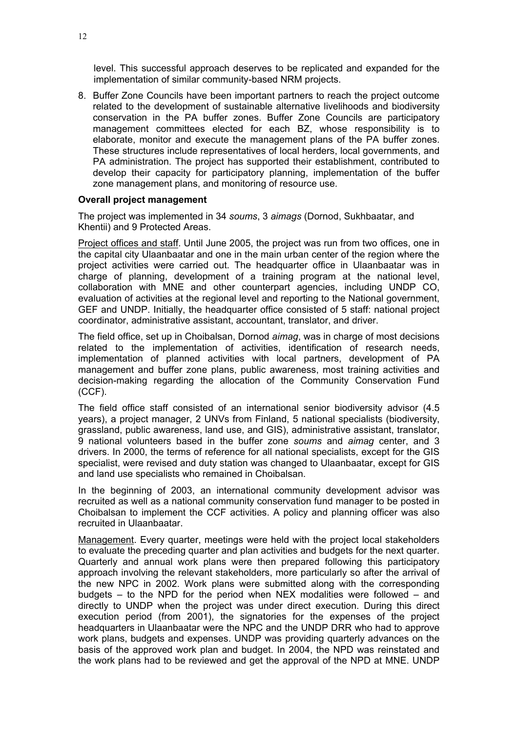level. This successful approach deserves to be replicated and expanded for the implementation of similar community-based NRM projects.

8. Buffer Zone Councils have been important partners to reach the project outcome related to the development of sustainable alternative livelihoods and biodiversity conservation in the PA buffer zones. Buffer Zone Councils are participatory management committees elected for each BZ, whose responsibility is to elaborate, monitor and execute the management plans of the PA buffer zones. These structures include representatives of local herders, local governments, and PA administration. The project has supported their establishment, contributed to develop their capacity for participatory planning, implementation of the buffer zone management plans, and monitoring of resource use.

#### <span id="page-17-0"></span>**Overall project management**

The project was implemented in 34 *soums*, 3 *aimags* (Dornod, Sukhbaatar, and Khentii) and 9 Protected Areas.

Project offices and staff. Until June 2005, the project was run from two offices, one in the capital city Ulaanbaatar and one in the main urban center of the region where the project activities were carried out. The headquarter office in Ulaanbaatar was in charge of planning, development of a training program at the national level, collaboration with MNE and other counterpart agencies, including UNDP CO, evaluation of activities at the regional level and reporting to the National government, GEF and UNDP. Initially, the headquarter office consisted of 5 staff: national project coordinator, administrative assistant, accountant, translator, and driver.

The field office, set up in Choibalsan, Dornod *aimag*, was in charge of most decisions related to the implementation of activities, identification of research needs, implementation of planned activities with local partners, development of PA management and buffer zone plans, public awareness, most training activities and decision-making regarding the allocation of the Community Conservation Fund (CCF).

The field office staff consisted of an international senior biodiversity advisor (4.5 years), a project manager, 2 UNVs from Finland, 5 national specialists (biodiversity, grassland, public awareness, land use, and GIS), administrative assistant, translator, 9 national volunteers based in the buffer zone *soums* and *aimag* center, and 3 drivers. In 2000, the terms of reference for all national specialists, except for the GIS specialist, were revised and duty station was changed to Ulaanbaatar, except for GIS and land use specialists who remained in Choibalsan.

In the beginning of 2003, an international community development advisor was recruited as well as a national community conservation fund manager to be posted in Choibalsan to implement the CCF activities. A policy and planning officer was also recruited in Ulaanbaatar.

Management. Every quarter, meetings were held with the project local stakeholders to evaluate the preceding quarter and plan activities and budgets for the next quarter. Quarterly and annual work plans were then prepared following this participatory approach involving the relevant stakeholders, more particularly so after the arrival of the new NPC in 2002. Work plans were submitted along with the corresponding budgets – to the NPD for the period when NEX modalities were followed – and directly to UNDP when the project was under direct execution. During this direct execution period (from 2001), the signatories for the expenses of the project headquarters in Ulaanbaatar were the NPC and the UNDP DRR who had to approve work plans, budgets and expenses. UNDP was providing quarterly advances on the basis of the approved work plan and budget. In 2004, the NPD was reinstated and the work plans had to be reviewed and get the approval of the NPD at MNE. UNDP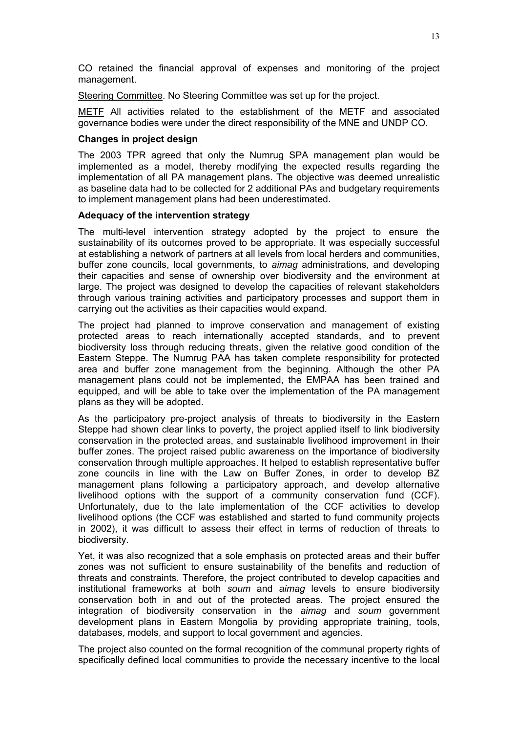CO retained the financial approval of expenses and monitoring of the project management.

Steering Committee. No Steering Committee was set up for the project.

METF All activities related to the establishment of the METF and associated governance bodies were under the direct responsibility of the MNE and UNDP CO.

#### <span id="page-18-0"></span>**Changes in project design**

The 2003 TPR agreed that only the Numrug SPA management plan would be implemented as a model, thereby modifying the expected results regarding the implementation of all PA management plans. The objective was deemed unrealistic as baseline data had to be collected for 2 additional PAs and budgetary requirements to implement management plans had been underestimated.

#### <span id="page-18-1"></span>**Adequacy of the intervention strategy**

The multi-level intervention strategy adopted by the project to ensure the sustainability of its outcomes proved to be appropriate. It was especially successful at establishing a network of partners at all levels from local herders and communities, buffer zone councils, local governments, to *aimag* administrations, and developing their capacities and sense of ownership over biodiversity and the environment at large. The project was designed to develop the capacities of relevant stakeholders through various training activities and participatory processes and support them in carrying out the activities as their capacities would expand.

The project had planned to improve conservation and management of existing protected areas to reach internationally accepted standards, and to prevent biodiversity loss through reducing threats, given the relative good condition of the Eastern Steppe. The Numrug PAA has taken complete responsibility for protected area and buffer zone management from the beginning. Although the other PA management plans could not be implemented, the EMPAA has been trained and equipped, and will be able to take over the implementation of the PA management plans as they will be adopted.

As the participatory pre-project analysis of threats to biodiversity in the Eastern Steppe had shown clear links to poverty, the project applied itself to link biodiversity conservation in the protected areas, and sustainable livelihood improvement in their buffer zones. The project raised public awareness on the importance of biodiversity conservation through multiple approaches. It helped to establish representative buffer zone councils in line with the Law on Buffer Zones, in order to develop BZ management plans following a participatory approach, and develop alternative livelihood options with the support of a community conservation fund (CCF). Unfortunately, due to the late implementation of the CCF activities to develop livelihood options (the CCF was established and started to fund community projects in 2002), it was difficult to assess their effect in terms of reduction of threats to biodiversity.

Yet, it was also recognized that a sole emphasis on protected areas and their buffer zones was not sufficient to ensure sustainability of the benefits and reduction of threats and constraints. Therefore, the project contributed to develop capacities and institutional frameworks at both *soum* and *aimag* levels to ensure biodiversity conservation both in and out of the protected areas. The project ensured the integration of biodiversity conservation in the *aimag* and *soum* government development plans in Eastern Mongolia by providing appropriate training, tools, databases, models, and support to local government and agencies.

The project also counted on the formal recognition of the communal property rights of specifically defined local communities to provide the necessary incentive to the local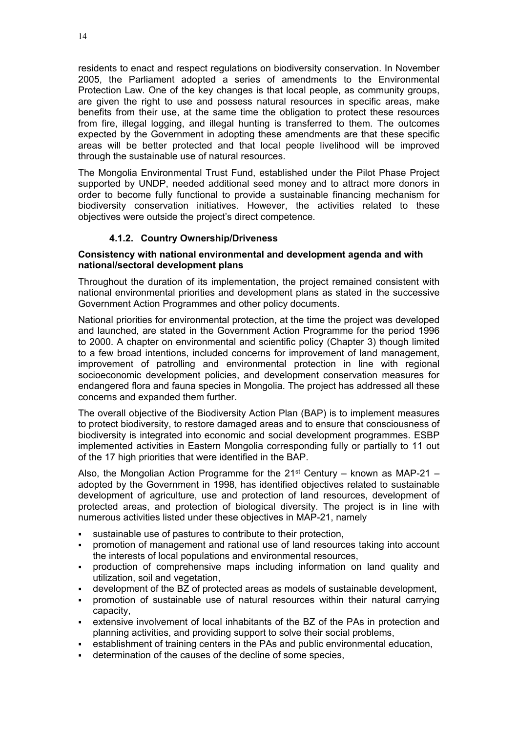residents to enact and respect regulations on biodiversity conservation. In November 2005, the Parliament adopted a series of amendments to the Environmental Protection Law. One of the key changes is that local people, as community groups, are given the right to use and possess natural resources in specific areas, make benefits from their use, at the same time the obligation to protect these resources from fire, illegal logging, and illegal hunting is transferred to them. The outcomes expected by the Government in adopting these amendments are that these specific areas will be better protected and that local people livelihood will be improved through the sustainable use of natural resources.

The Mongolia Environmental Trust Fund, established under the Pilot Phase Project supported by UNDP, needed additional seed money and to attract more donors in order to become fully functional to provide a sustainable financing mechanism for biodiversity conservation initiatives. However, the activities related to these objectives were outside the project's direct competence.

# **4.1.2. Country Ownership/Driveness**

## <span id="page-19-1"></span><span id="page-19-0"></span>**Consistency with national environmental and development agenda and with national/sectoral development plans**

Throughout the duration of its implementation, the project remained consistent with national environmental priorities and development plans as stated in the successive Government Action Programmes and other policy documents.

National priorities for environmental protection, at the time the project was developed and launched, are stated in the Government Action Programme for the period 1996 to 2000. A chapter on environmental and scientific policy (Chapter 3) though limited to a few broad intentions, included concerns for improvement of land management, improvement of patrolling and environmental protection in line with regional socioeconomic development policies, and development conservation measures for endangered flora and fauna species in Mongolia. The project has addressed all these concerns and expanded them further.

The overall objective of the Biodiversity Action Plan (BAP) is to implement measures to protect biodiversity, to restore damaged areas and to ensure that consciousness of biodiversity is integrated into economic and social development programmes. ESBP implemented activities in Eastern Mongolia corresponding fully or partially to 11 out of the 17 high priorities that were identified in the BAP.

Also, the Mongolian Action Programme for the  $21<sup>st</sup>$  Century – known as MAP-21 – adopted by the Government in 1998, has identified objectives related to sustainable development of agriculture, use and protection of land resources, development of protected areas, and protection of biological diversity. The project is in line with numerous activities listed under these objectives in MAP-21, namely

- sustainable use of pastures to contribute to their protection,
- promotion of management and rational use of land resources taking into account the interests of local populations and environmental resources,
- production of comprehensive maps including information on land quality and utilization, soil and vegetation,
- development of the BZ of protected areas as models of sustainable development,
- promotion of sustainable use of natural resources within their natural carrying capacity,
- extensive involvement of local inhabitants of the BZ of the PAs in protection and planning activities, and providing support to solve their social problems,
- establishment of training centers in the PAs and public environmental education,
- determination of the causes of the decline of some species,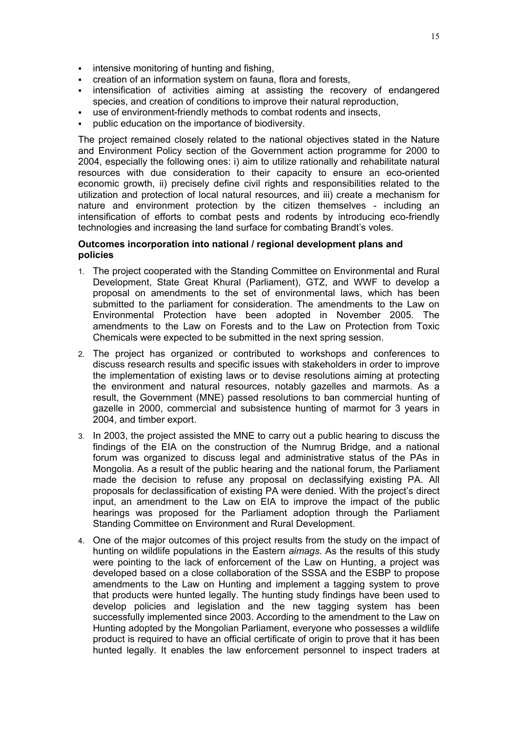- **intensive monitoring of hunting and fishing,**
- creation of an information system on fauna, flora and forests,
- **EXED** intensification of activities aiming at assisting the recovery of endangered species, and creation of conditions to improve their natural reproduction,
- use of environment-friendly methods to combat rodents and insects,
- public education on the importance of biodiversity.

The project remained closely related to the national objectives stated in the Nature and Environment Policy section of the Government action programme for 2000 to 2004, especially the following ones: i) aim to utilize rationally and rehabilitate natural resources with due consideration to their capacity to ensure an eco-oriented economic growth, ii) precisely define civil rights and responsibilities related to the utilization and protection of local natural resources, and iii) create a mechanism for nature and environment protection by the citizen themselves - including an intensification of efforts to combat pests and rodents by introducing eco-friendly technologies and increasing the land surface for combating Brandt's voles.

## <span id="page-20-0"></span>**Outcomes incorporation into national / regional development plans and policies**

- 1. The project cooperated with the Standing Committee on Environmental and Rural Development, State Great Khural (Parliament), GTZ, and WWF to develop a proposal on amendments to the set of environmental laws, which has been submitted to the parliament for consideration. The amendments to the Law on Environmental Protection have been adopted in November 2005. The amendments to the Law on Forests and to the Law on Protection from Toxic Chemicals were expected to be submitted in the next spring session.
- 2. The project has organized or contributed to workshops and conferences to discuss research results and specific issues with stakeholders in order to improve the implementation of existing laws or to devise resolutions aiming at protecting the environment and natural resources, notably gazelles and marmots. As a result, the Government (MNE) passed resolutions to ban commercial hunting of gazelle in 2000, commercial and subsistence hunting of marmot for 3 years in 2004, and timber export.
- 3. In 2003, the project assisted the MNE to carry out a public hearing to discuss the findings of the EIA on the construction of the Numrug Bridge, and a national forum was organized to discuss legal and administrative status of the PAs in Mongolia. As a result of the public hearing and the national forum, the Parliament made the decision to refuse any proposal on declassifying existing PA. All proposals for declassification of existing PA were denied. With the project's direct input, an amendment to the Law on EIA to improve the impact of the public hearings was proposed for the Parliament adoption through the Parliament Standing Committee on Environment and Rural Development.
- 4. One of the major outcomes of this project results from the study on the impact of hunting on wildlife populations in the Eastern *aimags*. As the results of this study were pointing to the lack of enforcement of the Law on Hunting, a project was developed based on a close collaboration of the SSSA and the ESBP to propose amendments to the Law on Hunting and implement a tagging system to prove that products were hunted legally. The hunting study findings have been used to develop policies and legislation and the new tagging system has been successfully implemented since 2003. According to the amendment to the Law on Hunting adopted by the Mongolian Parliament, everyone who possesses a wildlife product is required to have an official certificate of origin to prove that it has been hunted legally. It enables the law enforcement personnel to inspect traders at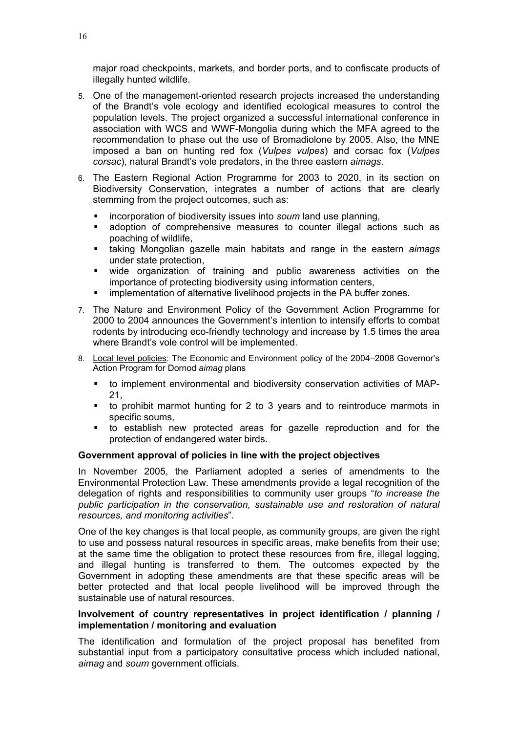major road checkpoints, markets, and border ports, and to confiscate products of illegally hunted wildlife.

- 5. One of the management-oriented research projects increased the understanding of the Brandt's vole ecology and identified ecological measures to control the population levels. The project organized a successful international conference in association with WCS and WWF-Mongolia during which the MFA agreed to the recommendation to phase out the use of Bromadiolone by 2005. Also, the MNE imposed a ban on hunting red fox (*Vulpes vulpes*) and corsac fox (*Vulpes corsac*), natural Brandt's vole predators, in the three eastern *aimags*.
- 6. The Eastern Regional Action Programme for 2003 to 2020, in its section on Biodiversity Conservation, integrates a number of actions that are clearly stemming from the project outcomes, such as:
	- incorporation of biodiversity issues into *soum* land use planning,
	- adoption of comprehensive measures to counter illegal actions such as poaching of wildlife,
	- taking Mongolian gazelle main habitats and range in the eastern *aimags* under state protection,
	- wide organization of training and public awareness activities on the importance of protecting biodiversity using information centers,
	- implementation of alternative livelihood projects in the PA buffer zones.
- 7. The Nature and Environment Policy of the Government Action Programme for 2000 to 2004 announces the Government's intention to intensify efforts to combat rodents by introducing eco-friendly technology and increase by 1.5 times the area where Brandt's vole control will be implemented.
- 8. Local level policies: The Economic and Environment policy of the 2004–2008 Governor's Action Program for Dornod *aimag* plans
	- to implement environmental and biodiversity conservation activities of MAP-21,
	- to prohibit marmot hunting for 2 to 3 years and to reintroduce marmots in specific soums,
	- to establish new protected areas for gazelle reproduction and for the protection of endangered water birds.

#### <span id="page-21-0"></span>**Government approval of policies in line with the project objectives**

In November 2005, the Parliament adopted a series of amendments to the Environmental Protection Law. These amendments provide a legal recognition of the delegation of rights and responsibilities to community user groups "*to increase the public participation in the conservation, sustainable use and restoration of natural resources, and monitoring activities*".

One of the key changes is that local people, as community groups, are given the right to use and possess natural resources in specific areas, make benefits from their use; at the same time the obligation to protect these resources from fire, illegal logging, and illegal hunting is transferred to them. The outcomes expected by the Government in adopting these amendments are that these specific areas will be better protected and that local people livelihood will be improved through the sustainable use of natural resources.

## <span id="page-21-1"></span>**Involvement of country representatives in project identification / planning / implementation / monitoring and evaluation**

The identification and formulation of the project proposal has benefited from substantial input from a participatory consultative process which included national, *aimag* and *soum* government officials.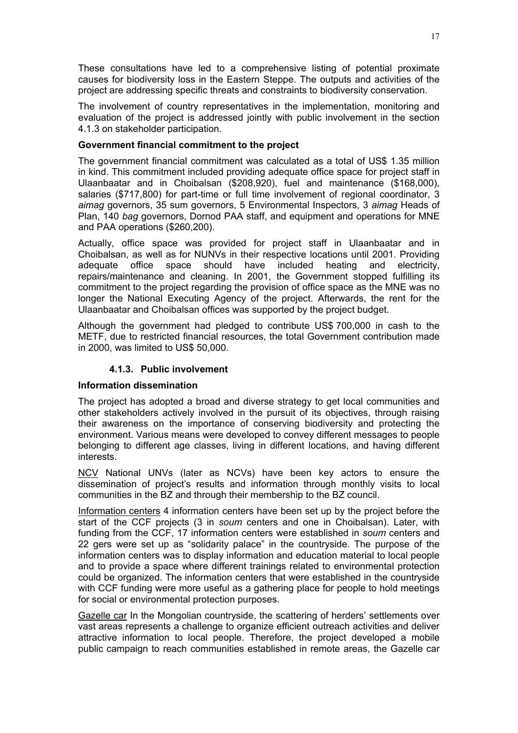These consultations have led to a comprehensive listing of potential proximate causes for biodiversity loss in the Eastern Steppe. The outputs and activities of the project are addressing specific threats and constraints to biodiversity conservation.

The involvement of country representatives in the implementation, monitoring and evaluation of the project is addressed jointly with public involvement in the section 4.1.3 on stakeholder participation.

## <span id="page-22-0"></span>**Government financial commitment to the project**

The government financial commitment was calculated as a total of US\$ 1.35 million in kind. This commitment included providing adequate office space for project staff in Ulaanbaatar and in Choibalsan (\$208,920), fuel and maintenance (\$168,000), salaries (\$717,800) for part-time or full time involvement of regional coordinator, 3 *aimag* governors, 35 sum governors, 5 Environmental Inspectors, 3 *aimag* Heads of Plan, 140 *bag* governors, Dornod PAA staff, and equipment and operations for MNE and PAA operations (\$260,200).

Actually, office space was provided for project staff in Ulaanbaatar and in Choibalsan, as well as for NUNVs in their respective locations until 2001. Providing adequate office space should have included heating and electricity, repairs/maintenance and cleaning. In 2001, the Government stopped fulfilling its commitment to the project regarding the provision of office space as the MNE was no longer the National Executing Agency of the project. Afterwards, the rent for the Ulaanbaatar and Choibalsan offices was supported by the project budget.

Although the government had pledged to contribute US\$ 700,000 in cash to the METF, due to restricted financial resources, the total Government contribution made in 2000, was limited to US\$ 50,000.

# **4.1.3. Public involvement**

#### <span id="page-22-2"></span><span id="page-22-1"></span>**Information dissemination**

The project has adopted a broad and diverse strategy to get local communities and other stakeholders actively involved in the pursuit of its objectives, through raising their awareness on the importance of conserving biodiversity and protecting the environment. Various means were developed to convey different messages to people belonging to different age classes, living in different locations, and having different interests.

NCV National UNVs (later as NCVs) have been key actors to ensure the dissemination of project's results and information through monthly visits to local communities in the BZ and through their membership to the BZ council.

Information centers 4 information centers have been set up by the project before the start of the CCF projects (3 in *soum* centers and one in Choibalsan). Later, with funding from the CCF, 17 information centers were established in *soum* centers and 22 gers were set up as "solidarity palace" in the countryside. The purpose of the information centers was to display information and education material to local people and to provide a space where different trainings related to environmental protection could be organized. The information centers that were established in the countryside with CCF funding were more useful as a gathering place for people to hold meetings for social or environmental protection purposes.

Gazelle car In the Mongolian countryside, the scattering of herders' settlements over vast areas represents a challenge to organize efficient outreach activities and deliver attractive information to local people. Therefore, the project developed a mobile public campaign to reach communities established in remote areas, the Gazelle car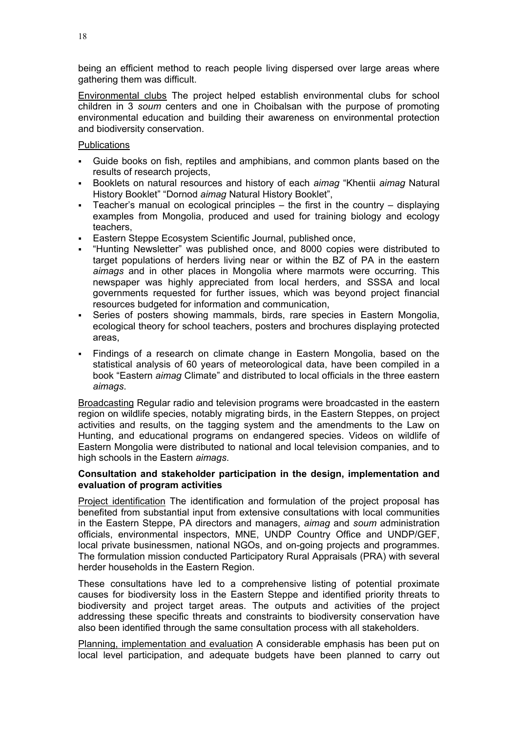being an efficient method to reach people living dispersed over large areas where gathering them was difficult.

Environmental clubs The project helped establish environmental clubs for school children in 3 *soum* centers and one in Choibalsan with the purpose of promoting environmental education and building their awareness on environmental protection and biodiversity conservation.

## **Publications**

- Guide books on fish, reptiles and amphibians, and common plants based on the results of research projects,
- Booklets on natural resources and history of each *aimag* "Khentii *aimag* Natural History Booklet" "Dornod *aimag* Natural History Booklet",
- Teacher's manual on ecological principles the first in the country displaying examples from Mongolia, produced and used for training biology and ecology teachers,
- Eastern Steppe Ecosystem Scientific Journal, published once,
- "Hunting Newsletter" was published once, and 8000 copies were distributed to target populations of herders living near or within the BZ of PA in the eastern *aimags* and in other places in Mongolia where marmots were occurring. This newspaper was highly appreciated from local herders, and SSSA and local governments requested for further issues, which was beyond project financial resources budgeted for information and communication,
- Series of posters showing mammals, birds, rare species in Eastern Mongolia, ecological theory for school teachers, posters and brochures displaying protected areas,
- Findings of a research on climate change in Eastern Mongolia, based on the statistical analysis of 60 years of meteorological data, have been compiled in a book "Eastern *aimag* Climate" and distributed to local officials in the three eastern *aimags*.

Broadcasting Regular radio and television programs were broadcasted in the eastern region on wildlife species, notably migrating birds, in the Eastern Steppes, on project activities and results, on the tagging system and the amendments to the Law on Hunting, and educational programs on endangered species. Videos on wildlife of Eastern Mongolia were distributed to national and local television companies, and to high schools in the Eastern *aimags*.

## <span id="page-23-0"></span>**Consultation and stakeholder participation in the design, implementation and evaluation of program activities**

Project identification The identification and formulation of the project proposal has benefited from substantial input from extensive consultations with local communities in the Eastern Steppe, PA directors and managers, *aimag* and *soum* administration officials, environmental inspectors, MNE, UNDP Country Office and UNDP/GEF, local private businessmen, national NGOs, and on-going projects and programmes. The formulation mission conducted Participatory Rural Appraisals (PRA) with several herder households in the Eastern Region.

These consultations have led to a comprehensive listing of potential proximate causes for biodiversity loss in the Eastern Steppe and identified priority threats to biodiversity and project target areas. The outputs and activities of the project addressing these specific threats and constraints to biodiversity conservation have also been identified through the same consultation process with all stakeholders.

Planning, implementation and evaluation A considerable emphasis has been put on local level participation, and adequate budgets have been planned to carry out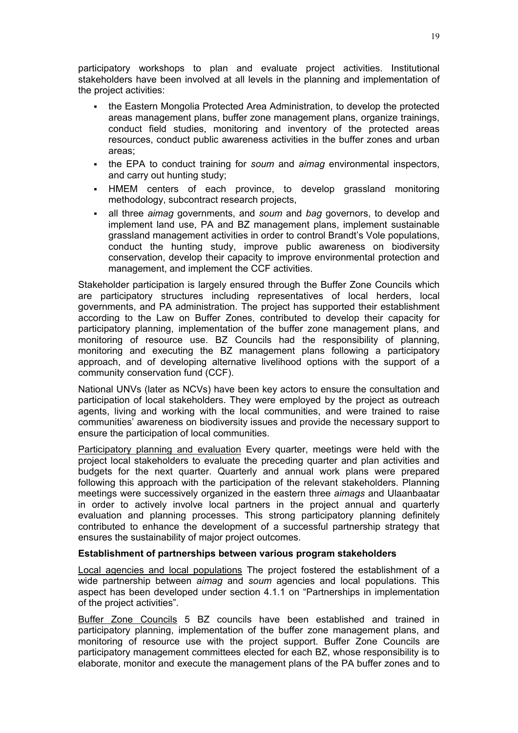participatory workshops to plan and evaluate project activities. Institutional stakeholders have been involved at all levels in the planning and implementation of the project activities:

- the Eastern Mongolia Protected Area Administration, to develop the protected areas management plans, buffer zone management plans, organize trainings, conduct field studies, monitoring and inventory of the protected areas resources, conduct public awareness activities in the buffer zones and urban areas;
- the EPA to conduct training for *soum* and *aimag* environmental inspectors, and carry out hunting study;
- HMEM centers of each province, to develop grassland monitoring methodology, subcontract research projects,
- all three *aimag* governments, and *soum* and *bag* governors, to develop and implement land use, PA and BZ management plans, implement sustainable grassland management activities in order to control Brandt's Vole populations, conduct the hunting study, improve public awareness on biodiversity conservation, develop their capacity to improve environmental protection and management, and implement the CCF activities.

Stakeholder participation is largely ensured through the Buffer Zone Councils which are participatory structures including representatives of local herders, local governments, and PA administration. The project has supported their establishment according to the Law on Buffer Zones, contributed to develop their capacity for participatory planning, implementation of the buffer zone management plans, and monitoring of resource use. BZ Councils had the responsibility of planning, monitoring and executing the BZ management plans following a participatory approach, and of developing alternative livelihood options with the support of a community conservation fund (CCF).

National UNVs (later as NCVs) have been key actors to ensure the consultation and participation of local stakeholders. They were employed by the project as outreach agents, living and working with the local communities, and were trained to raise communities' awareness on biodiversity issues and provide the necessary support to ensure the participation of local communities.

Participatory planning and evaluation Every quarter, meetings were held with the project local stakeholders to evaluate the preceding quarter and plan activities and budgets for the next quarter. Quarterly and annual work plans were prepared following this approach with the participation of the relevant stakeholders. Planning meetings were successively organized in the eastern three *aimags* and Ulaanbaatar in order to actively involve local partners in the project annual and quarterly evaluation and planning processes. This strong participatory planning definitely contributed to enhance the development of a successful partnership strategy that ensures the sustainability of major project outcomes.

#### <span id="page-24-0"></span>**Establishment of partnerships between various program stakeholders**

Local agencies and local populations The project fostered the establishment of a wide partnership between *aimag* and *soum* agencies and local populations. This aspect has been developed under section 4.1.1 on "Partnerships in implementation of the project activities".

Buffer Zone Councils 5 BZ councils have been established and trained in participatory planning, implementation of the buffer zone management plans, and monitoring of resource use with the project support. Buffer Zone Councils are participatory management committees elected for each BZ, whose responsibility is to elaborate, monitor and execute the management plans of the PA buffer zones and to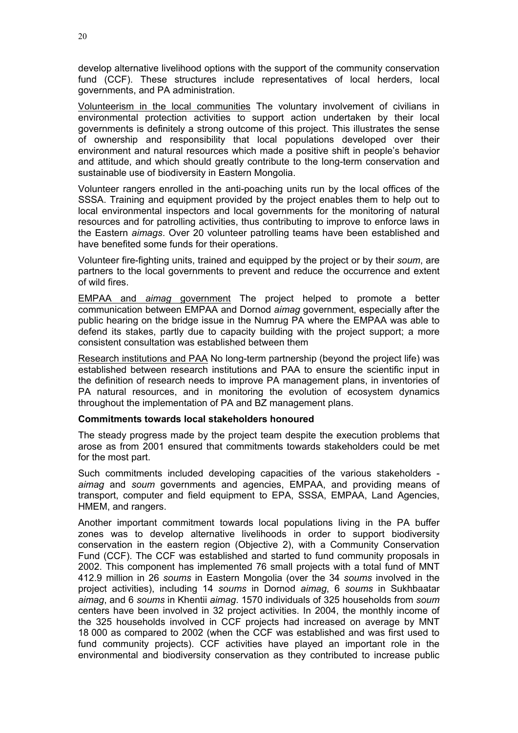develop alternative livelihood options with the support of the community conservation fund (CCF). These structures include representatives of local herders, local governments, and PA administration.

Volunteerism in the local communities The voluntary involvement of civilians in environmental protection activities to support action undertaken by their local governments is definitely a strong outcome of this project. This illustrates the sense of ownership and responsibility that local populations developed over their environment and natural resources which made a positive shift in people's behavior and attitude, and which should greatly contribute to the long-term conservation and sustainable use of biodiversity in Eastern Mongolia.

Volunteer rangers enrolled in the anti-poaching units run by the local offices of the SSSA. Training and equipment provided by the project enables them to help out to local environmental inspectors and local governments for the monitoring of natural resources and for patrolling activities, thus contributing to improve to enforce laws in the Eastern *aimags*. Over 20 volunteer patrolling teams have been established and have benefited some funds for their operations.

Volunteer fire-fighting units, trained and equipped by the project or by their *soum*, are partners to the local governments to prevent and reduce the occurrence and extent of wild fires.

EMPAA and *aimag* government The project helped to promote a better communication between EMPAA and Dornod *aimag* government, especially after the public hearing on the bridge issue in the Numrug PA where the EMPAA was able to defend its stakes, partly due to capacity building with the project support; a more consistent consultation was established between them

Research institutions and PAA No long-term partnership (beyond the project life) was established between research institutions and PAA to ensure the scientific input in the definition of research needs to improve PA management plans, in inventories of PA natural resources, and in monitoring the evolution of ecosystem dynamics throughout the implementation of PA and BZ management plans.

#### <span id="page-25-0"></span>**Commitments towards local stakeholders honoured**

The steady progress made by the project team despite the execution problems that arose as from 2001 ensured that commitments towards stakeholders could be met for the most part.

Such commitments included developing capacities of the various stakeholders *aimag* and *soum* governments and agencies, EMPAA, and providing means of transport, computer and field equipment to EPA, SSSA, EMPAA, Land Agencies, HMEM, and rangers.

Another important commitment towards local populations living in the PA buffer zones was to develop alternative livelihoods in order to support biodiversity conservation in the eastern region (Objective 2), with a Community Conservation Fund (CCF). The CCF was established and started to fund community proposals in 2002. This component has implemented 76 small projects with a total fund of MNT 412.9 million in 26 *soums* in Eastern Mongolia (over the 34 *soums* involved in the project activities), including 14 *soums* in Dornod *aimag*, 6 *soums* in Sukhbaatar *aimag*, and 6 *soums* in Khentii *aimag*. 1570 individuals of 325 households from *soum* centers have been involved in 32 project activities. In 2004, the monthly income of the 325 households involved in CCF projects had increased on average by MNT 18 000 as compared to 2002 (when the CCF was established and was first used to fund community projects). CCF activities have played an important role in the environmental and biodiversity conservation as they contributed to increase public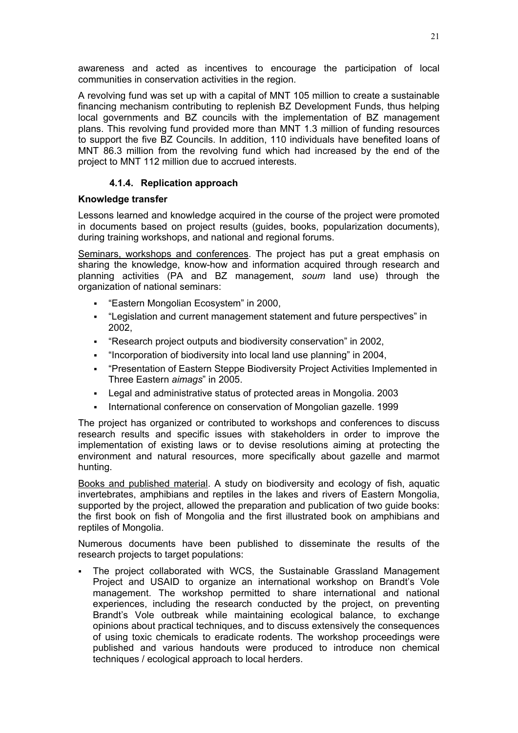awareness and acted as incentives to encourage the participation of local communities in conservation activities in the region.

A revolving fund was set up with a capital of MNT 105 million to create a sustainable financing mechanism contributing to replenish BZ Development Funds, thus helping local governments and BZ councils with the implementation of BZ management plans. This revolving fund provided more than MNT 1.3 million of funding resources to support the five BZ Councils. In addition, 110 individuals have benefited loans of MNT 86.3 million from the revolving fund which had increased by the end of the project to MNT 112 million due to accrued interests.

# **4.1.4. Replication approach**

# <span id="page-26-1"></span><span id="page-26-0"></span>**Knowledge transfer**

Lessons learned and knowledge acquired in the course of the project were promoted in documents based on project results (guides, books, popularization documents), during training workshops, and national and regional forums.

Seminars, workshops and conferences. The project has put a great emphasis on sharing the knowledge, know-how and information acquired through research and planning activities (PA and BZ management, *soum* land use) through the organization of national seminars:

- "Eastern Mongolian Ecosystem" in 2000,
- "Legislation and current management statement and future perspectives" in 2002,
- "Research project outputs and biodiversity conservation" in 2002,
- "Incorporation of biodiversity into local land use planning" in 2004,
- "Presentation of Eastern Steppe Biodiversity Project Activities Implemented in Three Eastern *aimags*" in 2005.
- Legal and administrative status of protected areas in Mongolia. 2003
- International conference on conservation of Mongolian gazelle. 1999

The project has organized or contributed to workshops and conferences to discuss research results and specific issues with stakeholders in order to improve the implementation of existing laws or to devise resolutions aiming at protecting the environment and natural resources, more specifically about gazelle and marmot hunting.

Books and published material. A study on biodiversity and ecology of fish, aquatic invertebrates, amphibians and reptiles in the lakes and rivers of Eastern Mongolia, supported by the project, allowed the preparation and publication of two guide books: the first book on fish of Mongolia and the first illustrated book on amphibians and reptiles of Mongolia.

Numerous documents have been published to disseminate the results of the research projects to target populations:

 The project collaborated with WCS, the Sustainable Grassland Management Project and USAID to organize an international workshop on Brandt's Vole management. The workshop permitted to share international and national experiences, including the research conducted by the project, on preventing Brandt's Vole outbreak while maintaining ecological balance, to exchange opinions about practical techniques, and to discuss extensively the consequences of using toxic chemicals to eradicate rodents. The workshop proceedings were published and various handouts were produced to introduce non chemical techniques / ecological approach to local herders.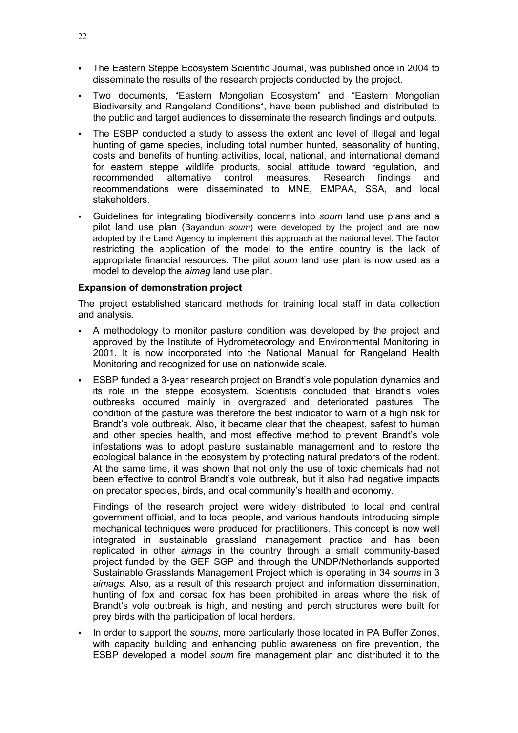- The Eastern Steppe Ecosystem Scientific Journal, was published once in 2004 to disseminate the results of the research projects conducted by the project.
- Two documents, "Eastern Mongolian Ecosystem" and "Eastern Mongolian Biodiversity and Rangeland Conditions", have been published and distributed to the public and target audiences to disseminate the research findings and outputs.
- The ESBP conducted a study to assess the extent and level of illegal and legal hunting of game species, including total number hunted, seasonality of hunting, costs and benefits of hunting activities, local, national, and international demand for eastern steppe wildlife products, social attitude toward regulation, and recommended alternative control measures. Research findings and recommendations were disseminated to MNE, EMPAA, SSA, and local stakeholders.
- Guidelines for integrating biodiversity concerns into *soum* land use plans and a pilot land use plan (Bayandun *soum*) were developed by the project and are now adopted by the Land Agency to implement this approach at the national level. The factor restricting the application of the model to the entire country is the lack of appropriate financial resources. The pilot *soum* land use plan is now used as a model to develop the *aimag* land use plan*.*

## <span id="page-27-0"></span>**Expansion of demonstration project**

The project established standard methods for training local staff in data collection and analysis.

- A methodology to monitor pasture condition was developed by the project and approved by the Institute of Hydrometeorology and Environmental Monitoring in 2001. It is now incorporated into the National Manual for Rangeland Health Monitoring and recognized for use on nationwide scale.
- ESBP funded a 3-year research project on Brandt's vole population dynamics and its role in the steppe ecosystem. Scientists concluded that Brandt's voles outbreaks occurred mainly in overgrazed and deteriorated pastures. The condition of the pasture was therefore the best indicator to warn of a high risk for Brandt's vole outbreak. Also, it became clear that the cheapest, safest to human and other species health, and most effective method to prevent Brandt's vole infestations was to adopt pasture sustainable management and to restore the ecological balance in the ecosystem by protecting natural predators of the rodent. At the same time, it was shown that not only the use of toxic chemicals had not been effective to control Brandt's vole outbreak, but it also had negative impacts on predator species, birds, and local community's health and economy.

Findings of the research project were widely distributed to local and central government official, and to local people, and various handouts introducing simple mechanical techniques were produced for practitioners. This concept is now well integrated in sustainable grassland management practice and has been replicated in other *aimags* in the country through a small community-based project funded by the GEF SGP and through the UNDP/Netherlands supported Sustainable Grasslands Management Project which is operating in 34 *soums* in 3 *aimags*. Also, as a result of this research project and information dissemination, hunting of fox and corsac fox has been prohibited in areas where the risk of Brandt's vole outbreak is high, and nesting and perch structures were built for prey birds with the participation of local herders.

 In order to support the *soums*, more particularly those located in PA Buffer Zones, with capacity building and enhancing public awareness on fire prevention, the ESBP developed a model *soum* fire management plan and distributed it to the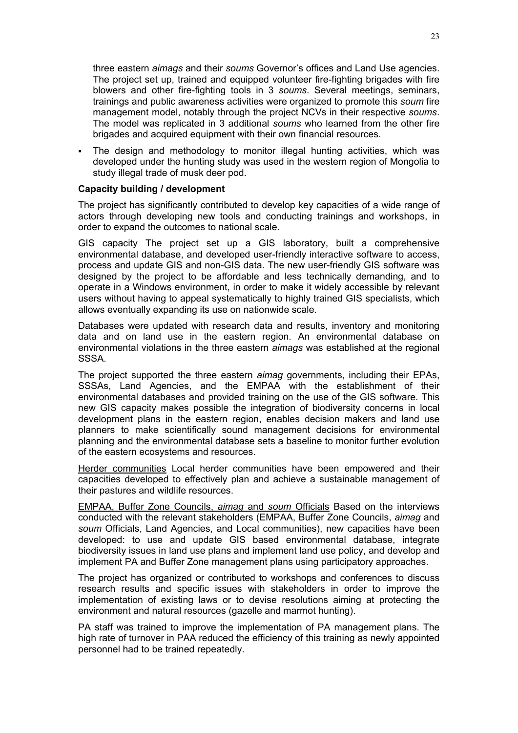three eastern *aimags* and their *soums* Governor's offices and Land Use agencies. The project set up, trained and equipped volunteer fire-fighting brigades with fire blowers and other fire-fighting tools in 3 *soums*. Several meetings, seminars, trainings and public awareness activities were organized to promote this *soum* fire management model, notably through the project NCVs in their respective *soums*. The model was replicated in 3 additional *soums* who learned from the other fire brigades and acquired equipment with their own financial resources.

 The design and methodology to monitor illegal hunting activities, which was developed under the hunting study was used in the western region of Mongolia to study illegal trade of musk deer pod.

#### <span id="page-28-0"></span>**Capacity building / development**

The project has significantly contributed to develop key capacities of a wide range of actors through developing new tools and conducting trainings and workshops, in order to expand the outcomes to national scale.

GIS capacity The project set up a GIS laboratory, built a comprehensive environmental database, and developed user-friendly interactive software to access, process and update GIS and non-GIS data. The new user-friendly GIS software was designed by the project to be affordable and less technically demanding, and to operate in a Windows environment, in order to make it widely accessible by relevant users without having to appeal systematically to highly trained GIS specialists, which allows eventually expanding its use on nationwide scale.

Databases were updated with research data and results, inventory and monitoring data and on land use in the eastern region. An environmental database on environmental violations in the three eastern *aimags* was established at the regional SSSA.

The project supported the three eastern *aimag* governments, including their EPAs, SSSAs, Land Agencies, and the EMPAA with the establishment of their environmental databases and provided training on the use of the GIS software. This new GIS capacity makes possible the integration of biodiversity concerns in local development plans in the eastern region, enables decision makers and land use planners to make scientifically sound management decisions for environmental planning and the environmental database sets a baseline to monitor further evolution of the eastern ecosystems and resources.

Herder communities Local herder communities have been empowered and their capacities developed to effectively plan and achieve a sustainable management of their pastures and wildlife resources.

EMPAA, Buffer Zone Councils, *aimag* and *soum* Officials Based on the interviews conducted with the relevant stakeholders (EMPAA, Buffer Zone Councils, *aimag* and *soum* Officials, Land Agencies, and Local communities), new capacities have been developed: to use and update GIS based environmental database, integrate biodiversity issues in land use plans and implement land use policy, and develop and implement PA and Buffer Zone management plans using participatory approaches.

The project has organized or contributed to workshops and conferences to discuss research results and specific issues with stakeholders in order to improve the implementation of existing laws or to devise resolutions aiming at protecting the environment and natural resources (gazelle and marmot hunting).

PA staff was trained to improve the implementation of PA management plans. The high rate of turnover in PAA reduced the efficiency of this training as newly appointed personnel had to be trained repeatedly.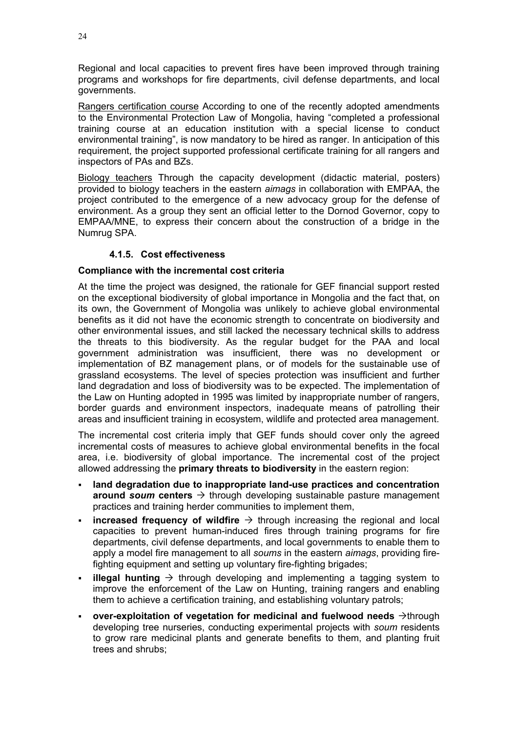Regional and local capacities to prevent fires have been improved through training programs and workshops for fire departments, civil defense departments, and local governments.

Rangers certification course According to one of the recently adopted amendments to the Environmental Protection Law of Mongolia, having "completed a professional training course at an education institution with a special license to conduct environmental training", is now mandatory to be hired as ranger. In anticipation of this requirement, the project supported professional certificate training for all rangers and inspectors of PAs and BZs.

Biology teachers Through the capacity development (didactic material, posters) provided to biology teachers in the eastern *aimags* in collaboration with EMPAA, the project contributed to the emergence of a new advocacy group for the defense of environment. As a group they sent an official letter to the Dornod Governor, copy to EMPAA/MNE, to express their concern about the construction of a bridge in the Numrug SPA.

# **4.1.5. Cost effectiveness**

# <span id="page-29-1"></span><span id="page-29-0"></span>**Compliance with the incremental cost criteria**

At the time the project was designed, the rationale for GEF financial support rested on the exceptional biodiversity of global importance in Mongolia and the fact that, on its own, the Government of Mongolia was unlikely to achieve global environmental benefits as it did not have the economic strength to concentrate on biodiversity and other environmental issues, and still lacked the necessary technical skills to address the threats to this biodiversity. As the regular budget for the PAA and local government administration was insufficient, there was no development or implementation of BZ management plans, or of models for the sustainable use of grassland ecosystems. The level of species protection was insufficient and further land degradation and loss of biodiversity was to be expected. The implementation of the Law on Hunting adopted in 1995 was limited by inappropriate number of rangers, border guards and environment inspectors, inadequate means of patrolling their areas and insufficient training in ecosystem, wildlife and protected area management.

The incremental cost criteria imply that GEF funds should cover only the agreed incremental costs of measures to achieve global environmental benefits in the focal area, i.e. biodiversity of global importance. The incremental cost of the project allowed addressing the **primary threats to biodiversity** in the eastern region:

- **land degradation due to inappropriate land-use practices and concentration around** *soum* centers  $\rightarrow$  through developing sustainable pasture management practices and training herder communities to implement them,
- **increased frequency of wildfire**  $\rightarrow$  through increasing the regional and local capacities to prevent human-induced fires through training programs for fire departments, civil defense departments, and local governments to enable them to apply a model fire management to all *soums* in the eastern *aimags*, providing firefighting equipment and setting up voluntary fire-fighting brigades;
- **illegal hunting**  $\rightarrow$  through developing and implementing a tagging system to improve the enforcement of the Law on Hunting, training rangers and enabling them to achieve a certification training, and establishing voluntary patrols;
- **over-exploitation of vegetation for medicinal and fuelwood needs**  $\rightarrow$ through developing tree nurseries, conducting experimental projects with *soum* residents to grow rare medicinal plants and generate benefits to them, and planting fruit trees and shrubs;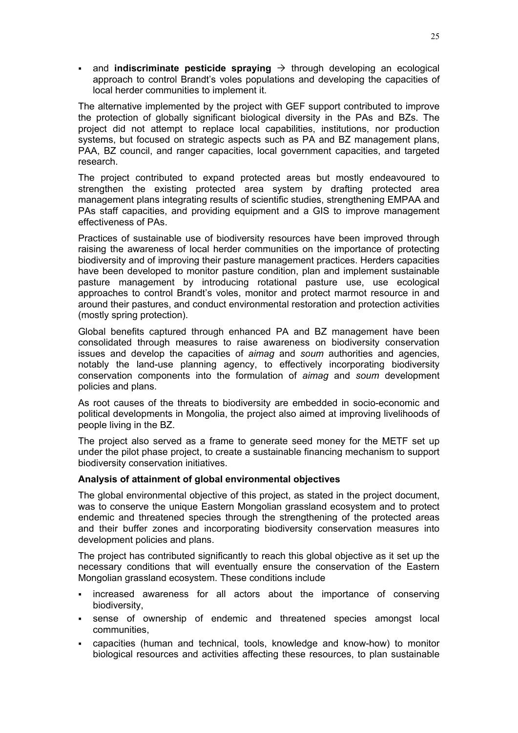**and indiscriminate pesticide spraying**  $\rightarrow$  through developing an ecological approach to control Brandt's voles populations and developing the capacities of local herder communities to implement it.

The alternative implemented by the project with GEF support contributed to improve the protection of globally significant biological diversity in the PAs and BZs. The project did not attempt to replace local capabilities, institutions, nor production systems, but focused on strategic aspects such as PA and BZ management plans, PAA, BZ council, and ranger capacities, local government capacities, and targeted research.

The project contributed to expand protected areas but mostly endeavoured to strengthen the existing protected area system by drafting protected area management plans integrating results of scientific studies, strengthening EMPAA and PAs staff capacities, and providing equipment and a GIS to improve management effectiveness of PAs.

Practices of sustainable use of biodiversity resources have been improved through raising the awareness of local herder communities on the importance of protecting biodiversity and of improving their pasture management practices. Herders capacities have been developed to monitor pasture condition, plan and implement sustainable pasture management by introducing rotational pasture use, use ecological approaches to control Brandt's voles, monitor and protect marmot resource in and around their pastures, and conduct environmental restoration and protection activities (mostly spring protection).

Global benefits captured through enhanced PA and BZ management have been consolidated through measures to raise awareness on biodiversity conservation issues and develop the capacities of *aimag* and *soum* authorities and agencies, notably the land-use planning agency, to effectively incorporating biodiversity conservation components into the formulation of *aimag* and *soum* development policies and plans.

As root causes of the threats to biodiversity are embedded in socio-economic and political developments in Mongolia, the project also aimed at improving livelihoods of people living in the BZ.

The project also served as a frame to generate seed money for the METF set up under the pilot phase project, to create a sustainable financing mechanism to support biodiversity conservation initiatives.

#### <span id="page-30-0"></span>**Analysis of attainment of global environmental objectives**

The global environmental objective of this project, as stated in the project document, was to conserve the unique Eastern Mongolian grassland ecosystem and to protect endemic and threatened species through the strengthening of the protected areas and their buffer zones and incorporating biodiversity conservation measures into development policies and plans.

The project has contributed significantly to reach this global objective as it set up the necessary conditions that will eventually ensure the conservation of the Eastern Mongolian grassland ecosystem. These conditions include

- increased awareness for all actors about the importance of conserving biodiversity,
- sense of ownership of endemic and threatened species amongst local communities,
- capacities (human and technical, tools, knowledge and know-how) to monitor biological resources and activities affecting these resources, to plan sustainable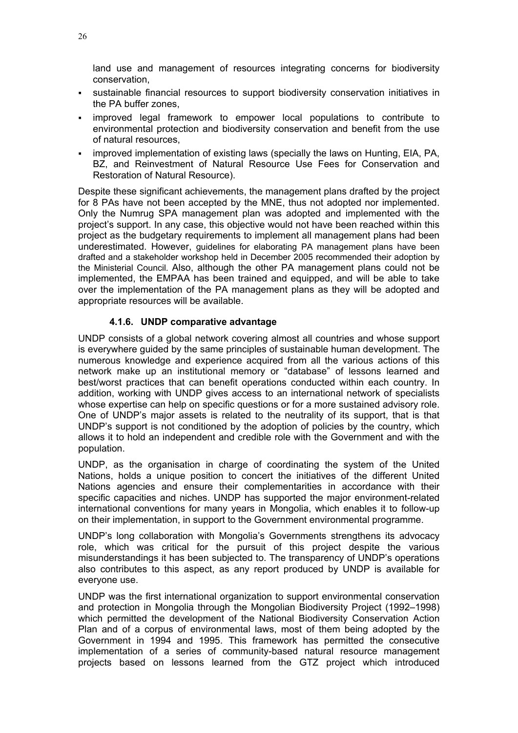land use and management of resources integrating concerns for biodiversity conservation,

- sustainable financial resources to support biodiversity conservation initiatives in the PA buffer zones,
- improved legal framework to empower local populations to contribute to environmental protection and biodiversity conservation and benefit from the use of natural resources,
- improved implementation of existing laws (specially the laws on Hunting, EIA, PA, BZ, and Reinvestment of Natural Resource Use Fees for Conservation and Restoration of Natural Resource).

Despite these significant achievements, the management plans drafted by the project for 8 PAs have not been accepted by the MNE, thus not adopted nor implemented. Only the Numrug SPA management plan was adopted and implemented with the project's support. In any case, this objective would not have been reached within this project as the budgetary requirements to implement all management plans had been underestimated. However, guidelines for elaborating PA management plans have been drafted and a stakeholder workshop held in December 2005 recommended their adoption by the Ministerial Council. Also, although the other PA management plans could not be implemented, the EMPAA has been trained and equipped, and will be able to take over the implementation of the PA management plans as they will be adopted and appropriate resources will be available.

#### **4.1.6. UNDP comparative advantage**

<span id="page-31-0"></span>UNDP consists of a global network covering almost all countries and whose support is everywhere guided by the same principles of sustainable human development. The numerous knowledge and experience acquired from all the various actions of this network make up an institutional memory or "database" of lessons learned and best/worst practices that can benefit operations conducted within each country. In addition, working with UNDP gives access to an international network of specialists whose expertise can help on specific questions or for a more sustained advisory role. One of UNDP's major assets is related to the neutrality of its support, that is that UNDP's support is not conditioned by the adoption of policies by the country, which allows it to hold an independent and credible role with the Government and with the population.

UNDP, as the organisation in charge of coordinating the system of the United Nations, holds a unique position to concert the initiatives of the different United Nations agencies and ensure their complementarities in accordance with their specific capacities and niches. UNDP has supported the major environment-related international conventions for many years in Mongolia, which enables it to follow-up on their implementation, in support to the Government environmental programme.

UNDP's long collaboration with Mongolia's Governments strengthens its advocacy role, which was critical for the pursuit of this project despite the various misunderstandings it has been subjected to. The transparency of UNDP's operations also contributes to this aspect, as any report produced by UNDP is available for everyone use.

UNDP was the first international organization to support environmental conservation and protection in Mongolia through the Mongolian Biodiversity Project (1992–1998) which permitted the development of the National Biodiversity Conservation Action Plan and of a corpus of environmental laws, most of them being adopted by the Government in 1994 and 1995. This framework has permitted the consecutive implementation of a series of community-based natural resource management projects based on lessons learned from the GTZ project which introduced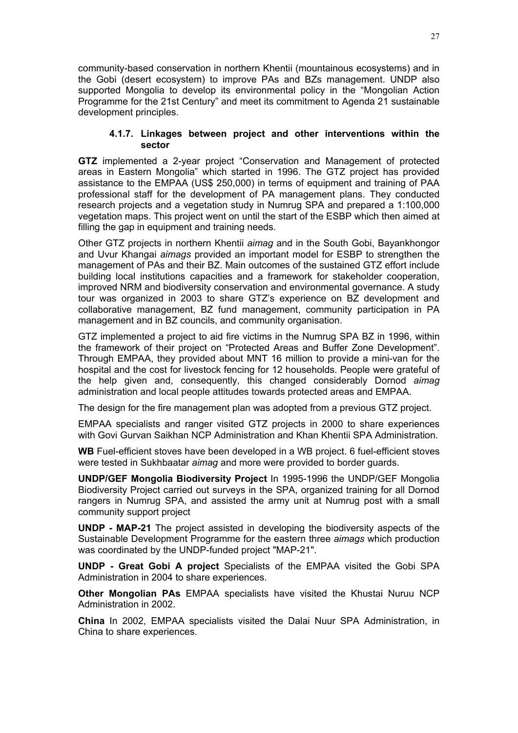community-based conservation in northern Khentii (mountainous ecosystems) and in the Gobi (desert ecosystem) to improve PAs and BZs management. UNDP also supported Mongolia to develop its environmental policy in the "Mongolian Action Programme for the 21st Century" and meet its commitment to Agenda 21 sustainable development principles.

## <span id="page-32-0"></span>**4.1.7. Linkages between project and other interventions within the sector**

**GTZ** implemented a 2-year project "Conservation and Management of protected areas in Eastern Mongolia" which started in 1996. The GTZ project has provided assistance to the EMPAA (US\$ 250,000) in terms of equipment and training of PAA professional staff for the development of PA management plans. They conducted research projects and a vegetation study in Numrug SPA and prepared a 1:100,000 vegetation maps. This project went on until the start of the ESBP which then aimed at filling the gap in equipment and training needs.

Other GTZ projects in northern Khentii *aimag* and in the South Gobi, Bayankhongor and Uvur Khangai *aimags* provided an important model for ESBP to strengthen the management of PAs and their BZ. Main outcomes of the sustained GTZ effort include building local institutions capacities and a framework for stakeholder cooperation, improved NRM and biodiversity conservation and environmental governance. A study tour was organized in 2003 to share GTZ's experience on BZ development and collaborative management, BZ fund management, community participation in PA management and in BZ councils, and community organisation.

GTZ implemented a project to aid fire victims in the Numrug SPA BZ in 1996, within the framework of their project on "Protected Areas and Buffer Zone Development". Through EMPAA, they provided about MNT 16 million to provide a mini-van for the hospital and the cost for livestock fencing for 12 households. People were grateful of the help given and, consequently, this changed considerably Dornod *aimag* administration and local people attitudes towards protected areas and EMPAA.

The design for the fire management plan was adopted from a previous GTZ project.

EMPAA specialists and ranger visited GTZ projects in 2000 to share experiences with Govi Gurvan Saikhan NCP Administration and Khan Khentii SPA Administration.

**WB** Fuel-efficient stoves have been developed in a WB project. 6 fuel-efficient stoves were tested in Sukhbaatar *aimag* and more were provided to border guards.

**UNDP/GEF Mongolia Biodiversity Project** In 1995-1996 the UNDP/GEF Mongolia Biodiversity Project carried out surveys in the SPA, organized training for all Dornod rangers in Numrug SPA, and assisted the army unit at Numrug post with a small community support project

**UNDP - MAP-21** The project assisted in developing the biodiversity aspects of the Sustainable Development Programme for the eastern three *aimags* which production was coordinated by the UNDP-funded project "MAP-21".

**UNDP - Great Gobi A project** Specialists of the EMPAA visited the Gobi SPA Administration in 2004 to share experiences.

**Other Mongolian PAs** EMPAA specialists have visited the Khustai Nuruu NCP Administration in 2002.

**China** In 2002, EMPAA specialists visited the Dalai Nuur SPA Administration, in China to share experiences.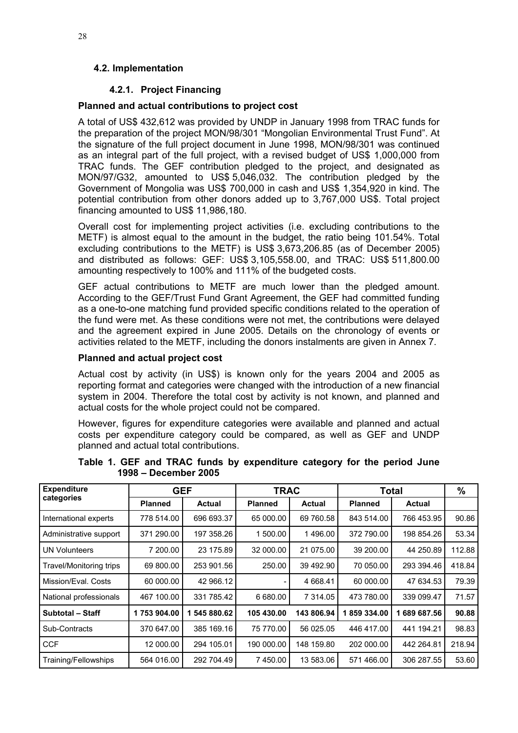# <span id="page-33-1"></span><span id="page-33-0"></span>**4.2. Implementation**

# **4.2.1. Project Financing**

# <span id="page-33-2"></span>**Planned and actual contributions to project cost**

A total of US\$ 432,612 was provided by UNDP in January 1998 from TRAC funds for the preparation of the project MON/98/301 "Mongolian Environmental Trust Fund". At the signature of the full project document in June 1998, MON/98/301 was continued as an integral part of the full project, with a revised budget of US\$ 1,000,000 from TRAC funds. The GEF contribution pledged to the project, and designated as MON/97/G32, amounted to US\$ 5,046,032. The contribution pledged by the Government of Mongolia was US\$ 700,000 in cash and US\$ 1,354,920 in kind. The potential contribution from other donors added up to 3,767,000 US\$. Total project financing amounted to US\$ 11,986,180.

Overall cost for implementing project activities (i.e. excluding contributions to the METF) is almost equal to the amount in the budget, the ratio being 101.54%. Total excluding contributions to the METF) is US\$ 3,673,206.85 (as of December 2005) and distributed as follows: GEF: US\$ 3,105,558.00, and TRAC: US\$ 511,800.00 amounting respectively to 100% and 111% of the budgeted costs.

GEF actual contributions to METF are much lower than the pledged amount. According to the GEF/Trust Fund Grant Agreement, the GEF had committed funding as a one-to-one matching fund provided specific conditions related to the operation of the fund were met. As these conditions were not met, the contributions were delayed and the agreement expired in June 2005. Details on the chronology of events or activities related to the METF, including the donors instalments are given in Annex 7.

# <span id="page-33-3"></span>**Planned and actual project cost**

Actual cost by activity (in US\$) is known only for the years 2004 and 2005 as reporting format and categories were changed with the introduction of a new financial system in 2004. Therefore the total cost by activity is not known, and planned and actual costs for the whole project could not be compared.

However, figures for expenditure categories were available and planned and actual costs per expenditure category could be compared, as well as GEF and UNDP planned and actual total contributions.

| <b>Expenditure</b>             | <b>GEF</b>     |               | <b>TRAC</b>    |               | Total          |               | %      |
|--------------------------------|----------------|---------------|----------------|---------------|----------------|---------------|--------|
| categories                     | <b>Planned</b> | <b>Actual</b> | <b>Planned</b> | <b>Actual</b> | <b>Planned</b> | <b>Actual</b> |        |
| International experts          | 778 514.00     | 696 693.37    | 65 000.00      | 69 760.58     | 843 514.00     | 766 453.95    | 90.86  |
| Administrative support         | 371 290.00     | 197 358.26    | 1 500.00       | 1496.00       | 372 790.00     | 198 854.26    | 53.34  |
| <b>UN Volunteers</b>           | 7 200.00       | 23 175.89     | 32 000.00      | 21 075.00     | 39 200.00      | 44 250.89     | 112.88 |
| <b>Travel/Monitoring trips</b> | 69 800.00      | 253 901.56    | 250.00         | 39 492.90     | 70 050.00      | 293 394.46    | 418.84 |
| Mission/Eval, Costs            | 60 000.00      | 42 966.12     |                | 4 668.41      | 60 000.00      | 47 634.53     | 79.39  |
| National professionals         | 467 100.00     | 331 785.42    | 6 680.00       | 7 314.05      | 473 780.00     | 339 099.47    | 71.57  |
| Subtotal - Staff               | 1753904.00     | 545 880.62    | 105 430.00     | 143 806.94    | 859 334.00     | 689 687.56    | 90.88  |
| Sub-Contracts                  | 370 647.00     | 385 169.16    | 75 770.00      | 56 025.05     | 446 417.00     | 441 194.21    | 98.83  |
| <b>CCF</b>                     | 12 000.00      | 294 105.01    | 190 000.00     | 148 159.80    | 202 000.00     | 442 264.81    | 218.94 |
| Training/Fellowships           | 564 016.00     | 292 704.49    | 7450.00        | 13 583.06     | 571466.00      | 306 287.55    | 53.60  |

**Table 1. GEF and TRAC funds by expenditure category for the period June 1998 – December 2005**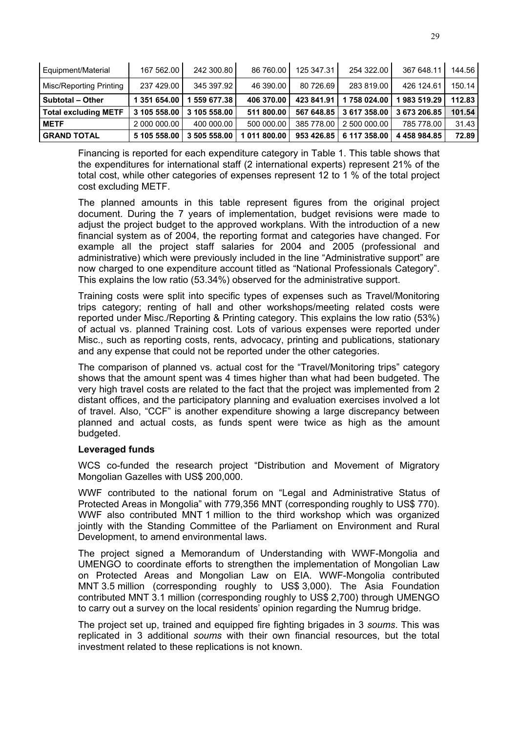| Equipment/Material          | 167 562.00   | 242 300.80   | 86 760.00    | 125 347.31 | 254 322.00   | 367 648.11   | 144.56 |
|-----------------------------|--------------|--------------|--------------|------------|--------------|--------------|--------|
| Misc/Reporting Printing     | 237 429.00   | 345 397.92   | 46 390.00    | 80 726.69  | 283 819.00   | 426 124.61   | 150.14 |
| <b>Subtotal - Other</b>     | 1 351 654.00 | 559 677.38   | 406 370.00   | 423 841.91 | 1758024.00   | 983 519.29   | 112.83 |
| <b>Total excluding METF</b> | 3 105 558.00 | 3 105 558.00 | 511 800.00   | 567 648.85 | 3 617 358.00 | 3 673 206.85 | 101.54 |
| <b>METF</b>                 | 2 000 000.00 | 400 000.00   | 500 000.00   | 385 778.00 | 2 500 000.00 | 785 778.00   | 31.43  |
| <b>GRAND TOTAL</b>          | 5 105 558.00 | 3 505 558.00 | 1 011 800.00 | 953 426.85 | 6 117 358.00 | 4 458 984.85 | 72.89  |

Financing is reported for each expenditure category in Table 1. This table shows that the expenditures for international staff (2 international experts) represent 21% of the total cost, while other categories of expenses represent 12 to 1 % of the total project cost excluding METF.

The planned amounts in this table represent figures from the original project document. During the 7 years of implementation, budget revisions were made to adjust the project budget to the approved workplans. With the introduction of a new financial system as of 2004, the reporting format and categories have changed. For example all the project staff salaries for 2004 and 2005 (professional and administrative) which were previously included in the line "Administrative support" are now charged to one expenditure account titled as "National Professionals Category". This explains the low ratio (53.34%) observed for the administrative support.

Training costs were split into specific types of expenses such as Travel/Monitoring trips category; renting of hall and other workshops/meeting related costs were reported under Misc./Reporting & Printing category. This explains the low ratio (53%) of actual vs. planned Training cost. Lots of various expenses were reported under Misc., such as reporting costs, rents, advocacy, printing and publications, stationary and any expense that could not be reported under the other categories.

The comparison of planned vs. actual cost for the "Travel/Monitoring trips" category shows that the amount spent was 4 times higher than what had been budgeted. The very high travel costs are related to the fact that the project was implemented from 2 distant offices, and the participatory planning and evaluation exercises involved a lot of travel. Also, "CCF" is another expenditure showing a large discrepancy between planned and actual costs, as funds spent were twice as high as the amount budgeted.

# <span id="page-34-0"></span>**Leveraged funds**

WCS co-funded the research project "Distribution and Movement of Migratory Mongolian Gazelles with US\$ 200,000.

WWF contributed to the national forum on "Legal and Administrative Status of Protected Areas in Mongolia" with 779,356 MNT (corresponding roughly to US\$ 770). WWF also contributed MNT 1 million to the third workshop which was organized jointly with the Standing Committee of the Parliament on Environment and Rural Development, to amend environmental laws.

The project signed a Memorandum of Understanding with WWF-Mongolia and UMENGO to coordinate efforts to strengthen the implementation of Mongolian Law on Protected Areas and Mongolian Law on EIA. WWF-Mongolia contributed MNT 3.5 million (corresponding roughly to US\$ 3,000). The Asia Foundation contributed MNT 3.1 million (corresponding roughly to US\$ 2,700) through UMENGO to carry out a survey on the local residents' opinion regarding the Numrug bridge.

The project set up, trained and equipped fire fighting brigades in 3 *soums*. This was replicated in 3 additional *soums* with their own financial resources, but the total investment related to these replications is not known.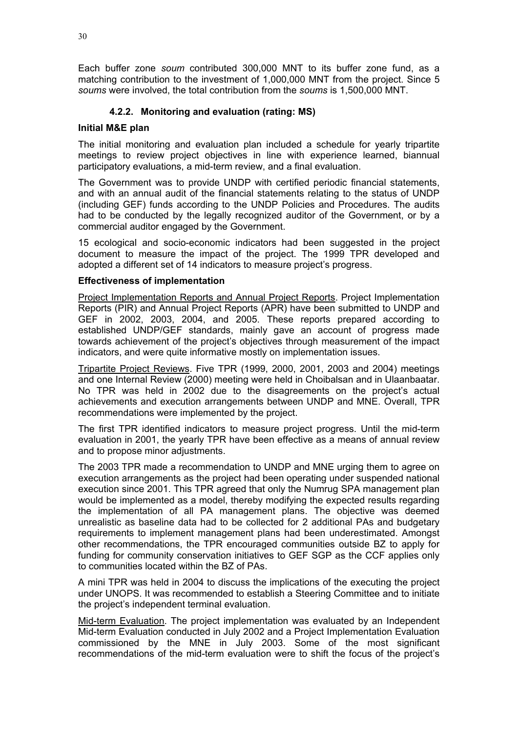Each buffer zone *soum* contributed 300,000 MNT to its buffer zone fund, as a matching contribution to the investment of 1,000,000 MNT from the project. Since 5 *soums* were involved, the total contribution from the *soums* is 1,500,000 MNT.

# **4.2.2. Monitoring and evaluation (rating: MS)**

## <span id="page-35-1"></span><span id="page-35-0"></span>**Initial M&E plan**

The initial monitoring and evaluation plan included a schedule for yearly tripartite meetings to review project objectives in line with experience learned, biannual participatory evaluations, a mid-term review, and a final evaluation.

The Government was to provide UNDP with certified periodic financial statements, and with an annual audit of the financial statements relating to the status of UNDP (including GEF) funds according to the UNDP Policies and Procedures. The audits had to be conducted by the legally recognized auditor of the Government, or by a commercial auditor engaged by the Government.

15 ecological and socio-economic indicators had been suggested in the project document to measure the impact of the project. The 1999 TPR developed and adopted a different set of 14 indicators to measure project's progress.

#### <span id="page-35-2"></span>**Effectiveness of implementation**

Project Implementation Reports and Annual Project Reports. Project Implementation Reports (PIR) and Annual Project Reports (APR) have been submitted to UNDP and GEF in 2002, 2003, 2004, and 2005. These reports prepared according to established UNDP/GEF standards, mainly gave an account of progress made towards achievement of the project's objectives through measurement of the impact indicators, and were quite informative mostly on implementation issues.

Tripartite Project Reviews. Five TPR (1999, 2000, 2001, 2003 and 2004) meetings and one Internal Review (2000) meeting were held in Choibalsan and in Ulaanbaatar. No TPR was held in 2002 due to the disagreements on the project's actual achievements and execution arrangements between UNDP and MNE. Overall, TPR recommendations were implemented by the project.

The first TPR identified indicators to measure project progress. Until the mid-term evaluation in 2001, the yearly TPR have been effective as a means of annual review and to propose minor adjustments.

The 2003 TPR made a recommendation to UNDP and MNE urging them to agree on execution arrangements as the project had been operating under suspended national execution since 2001. This TPR agreed that only the Numrug SPA management plan would be implemented as a model, thereby modifying the expected results regarding the implementation of all PA management plans. The objective was deemed unrealistic as baseline data had to be collected for 2 additional PAs and budgetary requirements to implement management plans had been underestimated. Amongst other recommendations, the TPR encouraged communities outside BZ to apply for funding for community conservation initiatives to GEF SGP as the CCF applies only to communities located within the BZ of PAs.

A mini TPR was held in 2004 to discuss the implications of the executing the project under UNOPS. It was recommended to establish a Steering Committee and to initiate the project's independent terminal evaluation.

Mid-term Evaluation. The project implementation was evaluated by an Independent Mid-term Evaluation conducted in July 2002 and a Project Implementation Evaluation commissioned by the MNE in July 2003. Some of the most significant recommendations of the mid-term evaluation were to shift the focus of the project's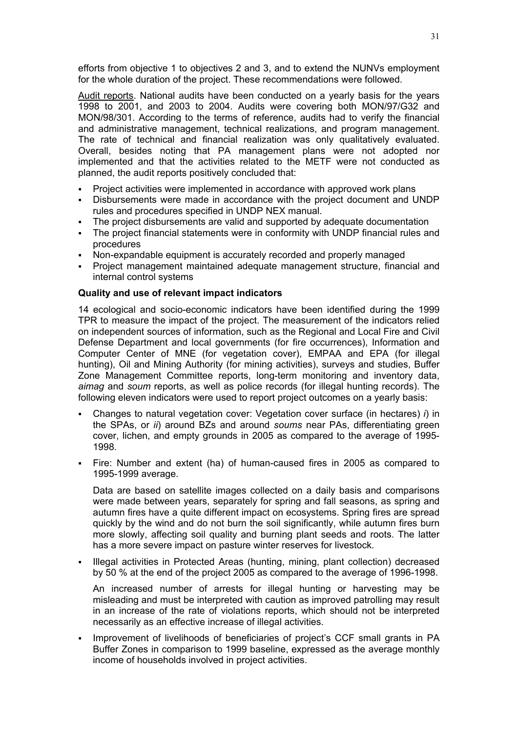efforts from objective 1 to objectives 2 and 3, and to extend the NUNVs employment for the whole duration of the project. These recommendations were followed.

Audit reports. National audits have been conducted on a yearly basis for the years 1998 to 2001, and 2003 to 2004. Audits were covering both MON/97/G32 and MON/98/301. According to the terms of reference, audits had to verify the financial and administrative management, technical realizations, and program management. The rate of technical and financial realization was only qualitatively evaluated. Overall, besides noting that PA management plans were not adopted nor implemented and that the activities related to the METF were not conducted as planned, the audit reports positively concluded that:

- Project activities were implemented in accordance with approved work plans
- Disbursements were made in accordance with the project document and UNDP rules and procedures specified in UNDP NEX manual.
- The project disbursements are valid and supported by adequate documentation
- The project financial statements were in conformity with UNDP financial rules and procedures
- Non-expandable equipment is accurately recorded and properly managed
- Project management maintained adequate management structure, financial and internal control systems

## **Quality and use of relevant impact indicators**

14 ecological and socio-economic indicators have been identified during the 1999 TPR to measure the impact of the project. The measurement of the indicators relied on independent sources of information, such as the Regional and Local Fire and Civil Defense Department and local governments (for fire occurrences), Information and Computer Center of MNE (for vegetation cover), EMPAA and EPA (for illegal hunting), Oil and Mining Authority (for mining activities), surveys and studies, Buffer Zone Management Committee reports, long-term monitoring and inventory data, *aimag* and *soum* reports, as well as police records (for illegal hunting records). The following eleven indicators were used to report project outcomes on a yearly basis:

- Changes to natural vegetation cover: Vegetation cover surface (in hectares) *i*) in the SPAs, or *ii*) around BZs and around *soums* near PAs, differentiating green cover, lichen, and empty grounds in 2005 as compared to the average of 1995- 1998.
- Fire: Number and extent (ha) of human-caused fires in 2005 as compared to 1995-1999 average.

Data are based on satellite images collected on a daily basis and comparisons were made between years, separately for spring and fall seasons, as spring and autumn fires have a quite different impact on ecosystems. Spring fires are spread quickly by the wind and do not burn the soil significantly, while autumn fires burn more slowly, affecting soil quality and burning plant seeds and roots. The latter has a more severe impact on pasture winter reserves for livestock.

 Illegal activities in Protected Areas (hunting, mining, plant collection) decreased by 50 % at the end of the project 2005 as compared to the average of 1996-1998.

An increased number of arrests for illegal hunting or harvesting may be misleading and must be interpreted with caution as improved patrolling may result in an increase of the rate of violations reports, which should not be interpreted necessarily as an effective increase of illegal activities.

 Improvement of livelihoods of beneficiaries of project's CCF small grants in PA Buffer Zones in comparison to 1999 baseline, expressed as the average monthly income of households involved in project activities.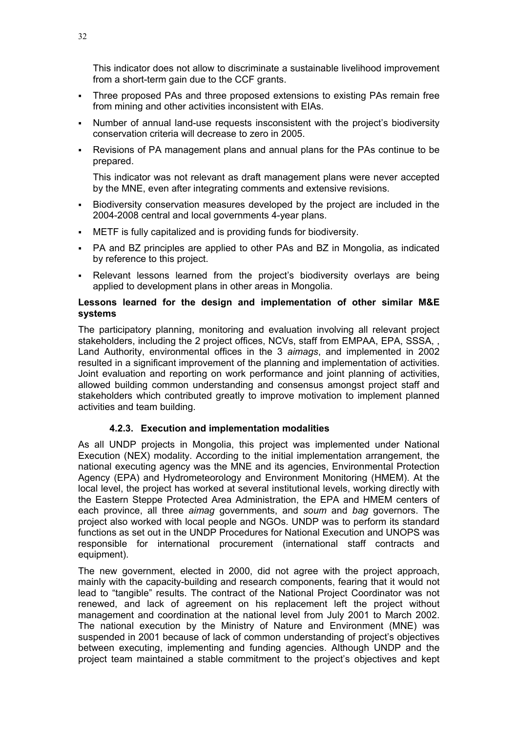This indicator does not allow to discriminate a sustainable livelihood improvement from a short-term gain due to the CCF grants.

- Three proposed PAs and three proposed extensions to existing PAs remain free from mining and other activities inconsistent with EIAs.
- Number of annual land-use requests insconsistent with the project's biodiversity conservation criteria will decrease to zero in 2005.
- Revisions of PA management plans and annual plans for the PAs continue to be prepared.

This indicator was not relevant as draft management plans were never accepted by the MNE, even after integrating comments and extensive revisions.

- Biodiversity conservation measures developed by the project are included in the 2004-2008 central and local governments 4-year plans.
- METF is fully capitalized and is providing funds for biodiversity.
- PA and BZ principles are applied to other PAs and BZ in Mongolia, as indicated by reference to this project.
- Relevant lessons learned from the project's biodiversity overlays are being applied to development plans in other areas in Mongolia.

# **Lessons learned for the design and implementation of other similar M&E systems**

The participatory planning, monitoring and evaluation involving all relevant project stakeholders, including the 2 project offices, NCVs, staff from EMPAA, EPA, SSSA, , Land Authority, environmental offices in the 3 *aimags*, and implemented in 2002 resulted in a significant improvement of the planning and implementation of activities. Joint evaluation and reporting on work performance and joint planning of activities, allowed building common understanding and consensus amongst project staff and stakeholders which contributed greatly to improve motivation to implement planned activities and team building.

## **4.2.3. Execution and implementation modalities**

As all UNDP projects in Mongolia, this project was implemented under National Execution (NEX) modality. According to the initial implementation arrangement, the national executing agency was the MNE and its agencies, Environmental Protection Agency (EPA) and Hydrometeorology and Environment Monitoring (HMEM). At the local level, the project has worked at several institutional levels, working directly with the Eastern Steppe Protected Area Administration, the EPA and HMEM centers of each province, all three *aimag* governments, and *soum* and *bag* governors. The project also worked with local people and NGOs. UNDP was to perform its standard functions as set out in the UNDP Procedures for National Execution and UNOPS was responsible for international procurement (international staff contracts and equipment).

The new government, elected in 2000, did not agree with the project approach, mainly with the capacity-building and research components, fearing that it would not lead to "tangible" results. The contract of the National Project Coordinator was not renewed, and lack of agreement on his replacement left the project without management and coordination at the national level from July 2001 to March 2002. The national execution by the Ministry of Nature and Environment (MNE) was suspended in 2001 because of lack of common understanding of project's objectives between executing, implementing and funding agencies. Although UNDP and the project team maintained a stable commitment to the project's objectives and kept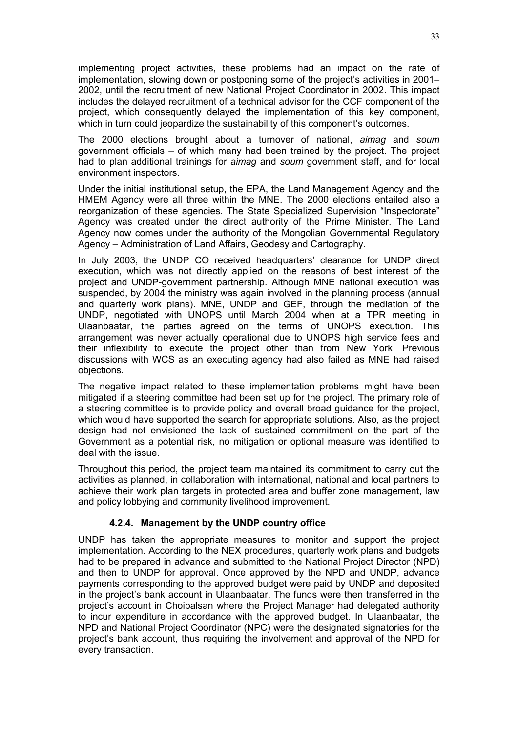implementing project activities, these problems had an impact on the rate of implementation, slowing down or postponing some of the project's activities in 2001– 2002, until the recruitment of new National Project Coordinator in 2002. This impact includes the delayed recruitment of a technical advisor for the CCF component of the project, which consequently delayed the implementation of this key component, which in turn could jeopardize the sustainability of this component's outcomes.

The 2000 elections brought about a turnover of national, *aimag* and *soum* government officials – of which many had been trained by the project. The project had to plan additional trainings for *aimag* and *soum* government staff, and for local environment inspectors.

Under the initial institutional setup, the EPA, the Land Management Agency and the HMEM Agency were all three within the MNE. The 2000 elections entailed also a reorganization of these agencies. The State Specialized Supervision "Inspectorate" Agency was created under the direct authority of the Prime Minister. The Land Agency now comes under the authority of the Mongolian Governmental Regulatory Agency – Administration of Land Affairs, Geodesy and Cartography.

In July 2003, the UNDP CO received headquarters' clearance for UNDP direct execution, which was not directly applied on the reasons of best interest of the project and UNDP-government partnership. Although MNE national execution was suspended, by 2004 the ministry was again involved in the planning process (annual and quarterly work plans). MNE, UNDP and GEF, through the mediation of the UNDP, negotiated with UNOPS until March 2004 when at a TPR meeting in Ulaanbaatar, the parties agreed on the terms of UNOPS execution. This arrangement was never actually operational due to UNOPS high service fees and their inflexibility to execute the project other than from New York. Previous discussions with WCS as an executing agency had also failed as MNE had raised objections.

The negative impact related to these implementation problems might have been mitigated if a steering committee had been set up for the project. The primary role of a steering committee is to provide policy and overall broad guidance for the project, which would have supported the search for appropriate solutions. Also, as the project design had not envisioned the lack of sustained commitment on the part of the Government as a potential risk, no mitigation or optional measure was identified to deal with the issue.

Throughout this period, the project team maintained its commitment to carry out the activities as planned, in collaboration with international, national and local partners to achieve their work plan targets in protected area and buffer zone management, law and policy lobbying and community livelihood improvement.

# **4.2.4. Management by the UNDP country office**

UNDP has taken the appropriate measures to monitor and support the project implementation. According to the NEX procedures, quarterly work plans and budgets had to be prepared in advance and submitted to the National Project Director (NPD) and then to UNDP for approval. Once approved by the NPD and UNDP, advance payments corresponding to the approved budget were paid by UNDP and deposited in the project's bank account in Ulaanbaatar. The funds were then transferred in the project's account in Choibalsan where the Project Manager had delegated authority to incur expenditure in accordance with the approved budget. In Ulaanbaatar, the NPD and National Project Coordinator (NPC) were the designated signatories for the project's bank account, thus requiring the involvement and approval of the NPD for every transaction.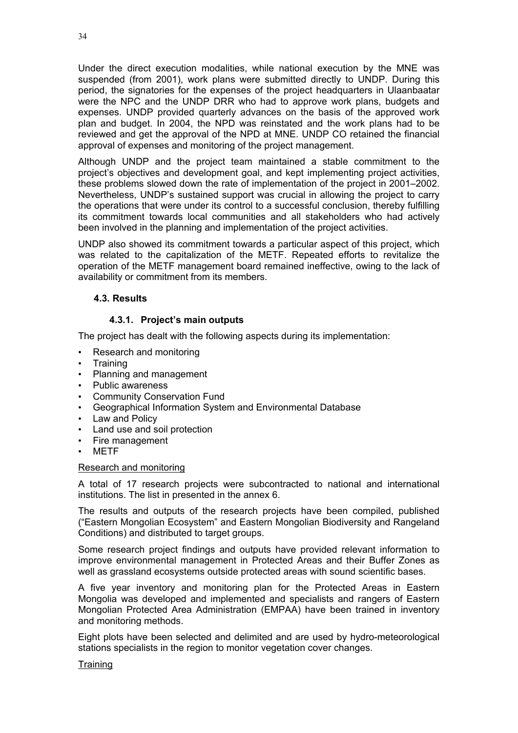Under the direct execution modalities, while national execution by the MNE was suspended (from 2001), work plans were submitted directly to UNDP. During this period, the signatories for the expenses of the project headquarters in Ulaanbaatar were the NPC and the UNDP DRR who had to approve work plans, budgets and expenses. UNDP provided quarterly advances on the basis of the approved work plan and budget. In 2004, the NPD was reinstated and the work plans had to be reviewed and get the approval of the NPD at MNE. UNDP CO retained the financial approval of expenses and monitoring of the project management.

Although UNDP and the project team maintained a stable commitment to the project's objectives and development goal, and kept implementing project activities, these problems slowed down the rate of implementation of the project in 2001–2002. Nevertheless, UNDP's sustained support was crucial in allowing the project to carry the operations that were under its control to a successful conclusion, thereby fulfilling its commitment towards local communities and all stakeholders who had actively been involved in the planning and implementation of the project activities.

UNDP also showed its commitment towards a particular aspect of this project, which was related to the capitalization of the METF. Repeated efforts to revitalize the operation of the METF management board remained ineffective, owing to the lack of availability or commitment from its members.

# **4.3. Results**

# **4.3.1. Project's main outputs**

The project has dealt with the following aspects during its implementation:

- Research and monitoring
- Training
- Planning and management
- Public awareness
- Community Conservation Fund
- Geographical Information System and Environmental Database
- Law and Policy
- Land use and soil protection
- Fire management
- METF

## Research and monitoring

A total of 17 research projects were subcontracted to national and international institutions. The list in presented in the annex 6.

The results and outputs of the research projects have been compiled, published ("Eastern Mongolian Ecosystem" and Eastern Mongolian Biodiversity and Rangeland Conditions) and distributed to target groups.

Some research project findings and outputs have provided relevant information to improve environmental management in Protected Areas and their Buffer Zones as well as grassland ecosystems outside protected areas with sound scientific bases.

A five year inventory and monitoring plan for the Protected Areas in Eastern Mongolia was developed and implemented and specialists and rangers of Eastern Mongolian Protected Area Administration (EMPAA) have been trained in inventory and monitoring methods.

Eight plots have been selected and delimited and are used by hydro-meteorological stations specialists in the region to monitor vegetation cover changes.

## **Training**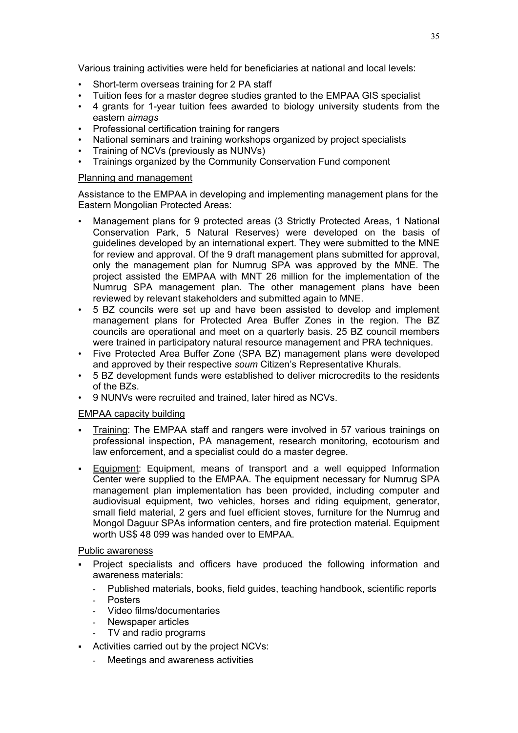Various training activities were held for beneficiaries at national and local levels:

- Short-term overseas training for 2 PA staff
- Tuition fees for a master degree studies granted to the EMPAA GIS specialist
- 4 grants for 1-year tuition fees awarded to biology university students from the eastern *aimags*
- Professional certification training for rangers
- National seminars and training workshops organized by project specialists
- Training of NCVs (previously as NUNVs)
- Trainings organized by the Community Conservation Fund component

## Planning and management

Assistance to the EMPAA in developing and implementing management plans for the Eastern Mongolian Protected Areas:

- Management plans for 9 protected areas (3 Strictly Protected Areas, 1 National Conservation Park, 5 Natural Reserves) were developed on the basis of guidelines developed by an international expert. They were submitted to the MNE for review and approval. Of the 9 draft management plans submitted for approval, only the management plan for Numrug SPA was approved by the MNE. The project assisted the EMPAA with MNT 26 million for the implementation of the Numrug SPA management plan. The other management plans have been reviewed by relevant stakeholders and submitted again to MNE.
- 5 BZ councils were set up and have been assisted to develop and implement management plans for Protected Area Buffer Zones in the region. The BZ councils are operational and meet on a quarterly basis. 25 BZ council members were trained in participatory natural resource management and PRA techniques.
- Five Protected Area Buffer Zone (SPA BZ) management plans were developed and approved by their respective *soum* Citizen's Representative Khurals.
- 5 BZ development funds were established to deliver microcredits to the residents of the BZs.
- 9 NUNVs were recruited and trained, later hired as NCVs.

## EMPAA capacity building

- Training: The EMPAA staff and rangers were involved in 57 various trainings on professional inspection, PA management, research monitoring, ecotourism and law enforcement, and a specialist could do a master degree.
- Equipment: Equipment, means of transport and a well equipped Information Center were supplied to the EMPAA. The equipment necessary for Numrug SPA management plan implementation has been provided, including computer and audiovisual equipment, two vehicles, horses and riding equipment, generator, small field material, 2 gers and fuel efficient stoves, furniture for the Numrug and Mongol Daguur SPAs information centers, and fire protection material. Equipment worth US\$ 48 099 was handed over to EMPAA.

## Public awareness

- Project specialists and officers have produced the following information and awareness materials:
	- Published materials, books, field guides, teaching handbook, scientific reports
	- **Posters**
	- Video films/documentaries
	- Newspaper articles
	- TV and radio programs
- Activities carried out by the project NCVs:
	- Meetings and awareness activities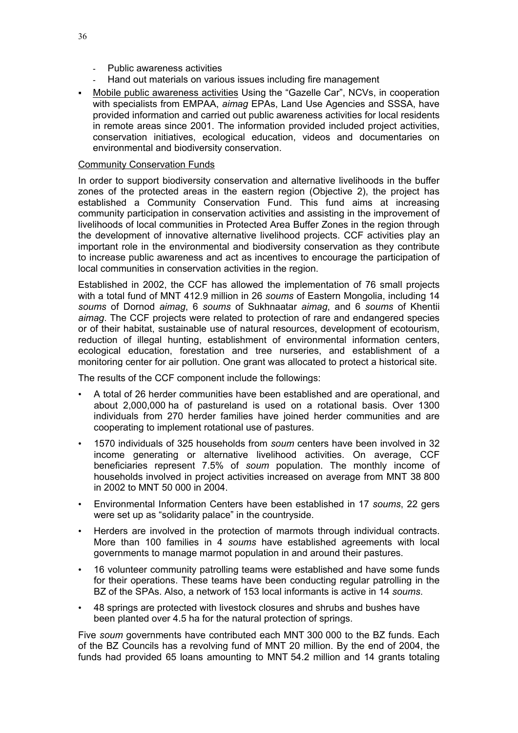- Public awareness activities
- Hand out materials on various issues including fire management
- Mobile public awareness activities Using the "Gazelle Car", NCVs, in cooperation with specialists from EMPAA, *aimag* EPAs, Land Use Agencies and SSSA, have provided information and carried out public awareness activities for local residents in remote areas since 2001. The information provided included project activities, conservation initiatives, ecological education, videos and documentaries on environmental and biodiversity conservation.

# Community Conservation Funds

In order to support biodiversity conservation and alternative livelihoods in the buffer zones of the protected areas in the eastern region (Objective 2), the project has established a Community Conservation Fund. This fund aims at increasing community participation in conservation activities and assisting in the improvement of livelihoods of local communities in Protected Area Buffer Zones in the region through the development of innovative alternative livelihood projects. CCF activities play an important role in the environmental and biodiversity conservation as they contribute to increase public awareness and act as incentives to encourage the participation of local communities in conservation activities in the region.

Established in 2002, the CCF has allowed the implementation of 76 small projects with a total fund of MNT 412.9 million in 26 *soums* of Eastern Mongolia, including 14 *soums* of Dornod *aimag*, 6 *soums* of Sukhnaatar *aimag*, and 6 *soums* of Khentii *aimag*. The CCF projects were related to protection of rare and endangered species or of their habitat, sustainable use of natural resources, development of ecotourism, reduction of illegal hunting, establishment of environmental information centers, ecological education, forestation and tree nurseries, and establishment of a monitoring center for air pollution. One grant was allocated to protect a historical site.

The results of the CCF component include the followings:

- A total of 26 herder communities have been established and are operational, and about 2,000,000 ha of pastureland is used on a rotational basis. Over 1300 individuals from 270 herder families have joined herder communities and are cooperating to implement rotational use of pastures.
- 1570 individuals of 325 households from *soum* centers have been involved in 32 income generating or alternative livelihood activities. On average, CCF beneficiaries represent 7.5% of *soum* population. The monthly income of households involved in project activities increased on average from MNT 38 800 in 2002 to MNT 50 000 in 2004.
- Environmental Information Centers have been established in 17 *soums*, 22 gers were set up as "solidarity palace" in the countryside.
- Herders are involved in the protection of marmots through individual contracts. More than 100 families in 4 *soums* have established agreements with local governments to manage marmot population in and around their pastures.
- 16 volunteer community patrolling teams were established and have some funds for their operations. These teams have been conducting regular patrolling in the BZ of the SPAs. Also, a network of 153 local informants is active in 14 *soums*.
- 48 springs are protected with livestock closures and shrubs and bushes have been planted over 4.5 ha for the natural protection of springs.

Five *soum* governments have contributed each MNT 300 000 to the BZ funds. Each of the BZ Councils has a revolving fund of MNT 20 million. By the end of 2004, the funds had provided 65 loans amounting to MNT 54.2 million and 14 grants totaling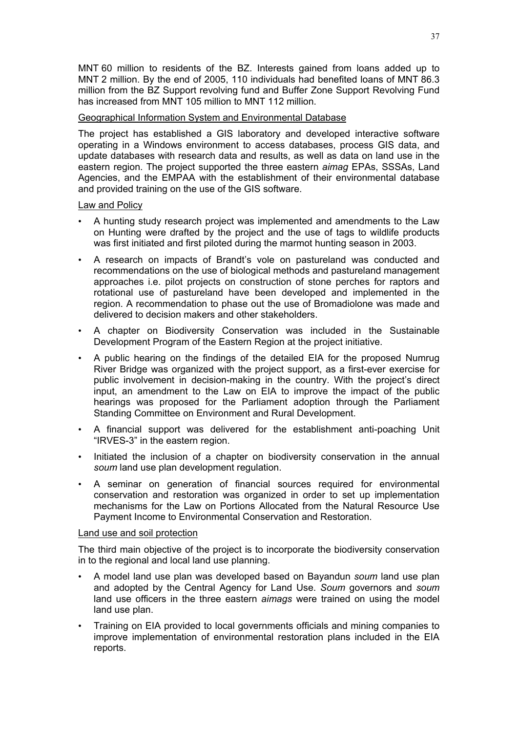MNT 60 million to residents of the BZ. Interests gained from loans added up to MNT 2 million. By the end of 2005, 110 individuals had benefited loans of MNT 86.3 million from the BZ Support revolving fund and Buffer Zone Support Revolving Fund has increased from MNT 105 million to MNT 112 million.

# Geographical Information System and Environmental Database

The project has established a GIS laboratory and developed interactive software operating in a Windows environment to access databases, process GIS data, and update databases with research data and results, as well as data on land use in the eastern region. The project supported the three eastern *aimag* EPAs, SSSAs, Land Agencies, and the EMPAA with the establishment of their environmental database and provided training on the use of the GIS software.

## Law and Policy

- A hunting study research project was implemented and amendments to the Law on Hunting were drafted by the project and the use of tags to wildlife products was first initiated and first piloted during the marmot hunting season in 2003.
- A research on impacts of Brandt's vole on pastureland was conducted and recommendations on the use of biological methods and pastureland management approaches i.e. pilot projects on construction of stone perches for raptors and rotational use of pastureland have been developed and implemented in the region. A recommendation to phase out the use of Bromadiolone was made and delivered to decision makers and other stakeholders.
- A chapter on Biodiversity Conservation was included in the Sustainable Development Program of the Eastern Region at the project initiative.
- A public hearing on the findings of the detailed EIA for the proposed Numrug River Bridge was organized with the project support, as a first-ever exercise for public involvement in decision-making in the country. With the project's direct input, an amendment to the Law on EIA to improve the impact of the public hearings was proposed for the Parliament adoption through the Parliament Standing Committee on Environment and Rural Development.
- A financial support was delivered for the establishment anti-poaching Unit "IRVES-3" in the eastern region.
- Initiated the inclusion of a chapter on biodiversity conservation in the annual *soum* land use plan development regulation.
- A seminar on generation of financial sources required for environmental conservation and restoration was organized in order to set up implementation mechanisms for the Law on Portions Allocated from the Natural Resource Use Payment Income to Environmental Conservation and Restoration.

## Land use and soil protection

The third main objective of the project is to incorporate the biodiversity conservation in to the regional and local land use planning.

- A model land use plan was developed based on Bayandun *soum* land use plan and adopted by the Central Agency for Land Use. *Soum* governors and *soum* land use officers in the three eastern *aimags* were trained on using the model land use plan.
- Training on EIA provided to local governments officials and mining companies to improve implementation of environmental restoration plans included in the EIA reports.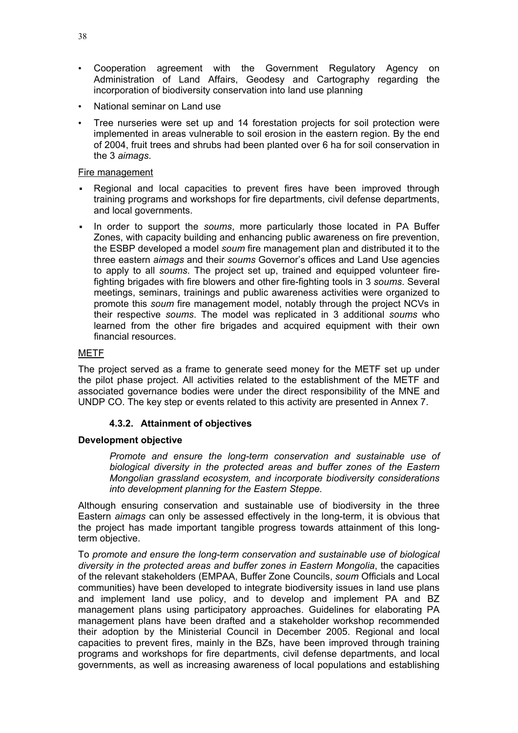- Cooperation agreement with the Government Regulatory Agency on Administration of Land Affairs, Geodesy and Cartography regarding the incorporation of biodiversity conservation into land use planning
- National seminar on Land use
- Tree nurseries were set up and 14 forestation projects for soil protection were implemented in areas vulnerable to soil erosion in the eastern region. By the end of 2004, fruit trees and shrubs had been planted over 6 ha for soil conservation in the 3 *aimags*.

## Fire management

- Regional and local capacities to prevent fires have been improved through training programs and workshops for fire departments, civil defense departments, and local governments.
- In order to support the *soums*, more particularly those located in PA Buffer Zones, with capacity building and enhancing public awareness on fire prevention, the ESBP developed a model *soum* fire management plan and distributed it to the three eastern *aimags* and their *soums* Governor's offices and Land Use agencies to apply to all *soums*. The project set up, trained and equipped volunteer firefighting brigades with fire blowers and other fire-fighting tools in 3 *soums*. Several meetings, seminars, trainings and public awareness activities were organized to promote this *soum* fire management model, notably through the project NCVs in their respective *soums*. The model was replicated in 3 additional *soums* who learned from the other fire brigades and acquired equipment with their own financial resources.

# METF

The project served as a frame to generate seed money for the METF set up under the pilot phase project. All activities related to the establishment of the METF and associated governance bodies were under the direct responsibility of the MNE and UNDP CO. The key step or events related to this activity are presented in Annex 7.

# **4.3.2. Attainment of objectives**

## **Development objective**

*Promote and ensure the long-term conservation and sustainable use of biological diversity in the protected areas and buffer zones of the Eastern Mongolian grassland ecosystem, and incorporate biodiversity considerations into development planning for the Eastern Steppe.*

Although ensuring conservation and sustainable use of biodiversity in the three Eastern *aimags* can only be assessed effectively in the long-term, it is obvious that the project has made important tangible progress towards attainment of this longterm objective.

To *promote and ensure the long-term conservation and sustainable use of biological diversity in the protected areas and buffer zones in Eastern Mongolia*, the capacities of the relevant stakeholders (EMPAA, Buffer Zone Councils, *soum* Officials and Local communities) have been developed to integrate biodiversity issues in land use plans and implement land use policy, and to develop and implement PA and BZ management plans using participatory approaches. Guidelines for elaborating PA management plans have been drafted and a stakeholder workshop recommended their adoption by the Ministerial Council in December 2005. Regional and local capacities to prevent fires, mainly in the BZs, have been improved through training programs and workshops for fire departments, civil defense departments, and local governments, as well as increasing awareness of local populations and establishing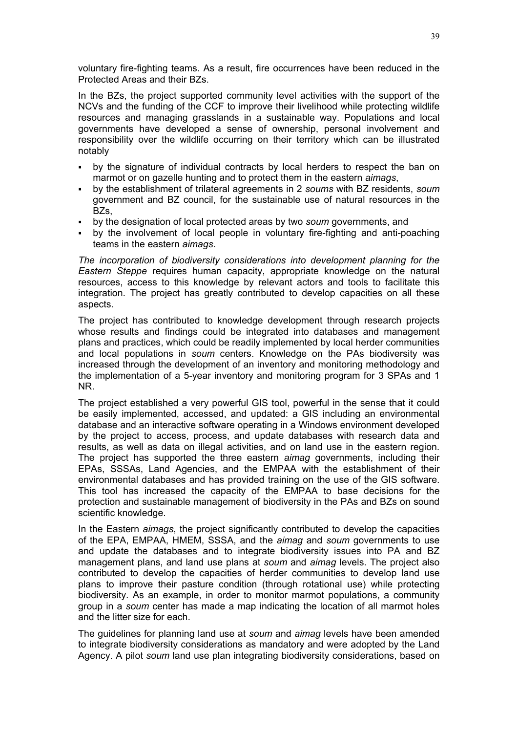voluntary fire-fighting teams. As a result, fire occurrences have been reduced in the Protected Areas and their BZs.

In the BZs, the project supported community level activities with the support of the NCVs and the funding of the CCF to improve their livelihood while protecting wildlife resources and managing grasslands in a sustainable way. Populations and local governments have developed a sense of ownership, personal involvement and responsibility over the wildlife occurring on their territory which can be illustrated notably

- by the signature of individual contracts by local herders to respect the ban on marmot or on gazelle hunting and to protect them in the eastern *aimags*,
- by the establishment of trilateral agreements in 2 *soums* with BZ residents, *soum* government and BZ council, for the sustainable use of natural resources in the BZ<sub>S</sub>
- by the designation of local protected areas by two *soum* governments, and
- by the involvement of local people in voluntary fire-fighting and anti-poaching teams in the eastern *aimags*.

*The incorporation of biodiversity considerations into development planning for the Eastern Steppe* requires human capacity, appropriate knowledge on the natural resources, access to this knowledge by relevant actors and tools to facilitate this integration. The project has greatly contributed to develop capacities on all these aspects.

The project has contributed to knowledge development through research projects whose results and findings could be integrated into databases and management plans and practices, which could be readily implemented by local herder communities and local populations in *soum* centers. Knowledge on the PAs biodiversity was increased through the development of an inventory and monitoring methodology and the implementation of a 5-year inventory and monitoring program for 3 SPAs and 1 NR.

The project established a very powerful GIS tool, powerful in the sense that it could be easily implemented, accessed, and updated: a GIS including an environmental database and an interactive software operating in a Windows environment developed by the project to access, process, and update databases with research data and results, as well as data on illegal activities, and on land use in the eastern region. The project has supported the three eastern *aimag* governments, including their EPAs, SSSAs, Land Agencies, and the EMPAA with the establishment of their environmental databases and has provided training on the use of the GIS software. This tool has increased the capacity of the EMPAA to base decisions for the protection and sustainable management of biodiversity in the PAs and BZs on sound scientific knowledge.

In the Eastern *aimags*, the project significantly contributed to develop the capacities of the EPA, EMPAA, HMEM, SSSA, and the *aimag* and *soum* governments to use and update the databases and to integrate biodiversity issues into PA and BZ management plans, and land use plans at *soum* and *aimag* levels. The project also contributed to develop the capacities of herder communities to develop land use plans to improve their pasture condition (through rotational use) while protecting biodiversity. As an example, in order to monitor marmot populations, a community group in a *soum* center has made a map indicating the location of all marmot holes and the litter size for each.

The guidelines for planning land use at *soum* and *aimag* levels have been amended to integrate biodiversity considerations as mandatory and were adopted by the Land Agency. A pilot *soum* land use plan integrating biodiversity considerations, based on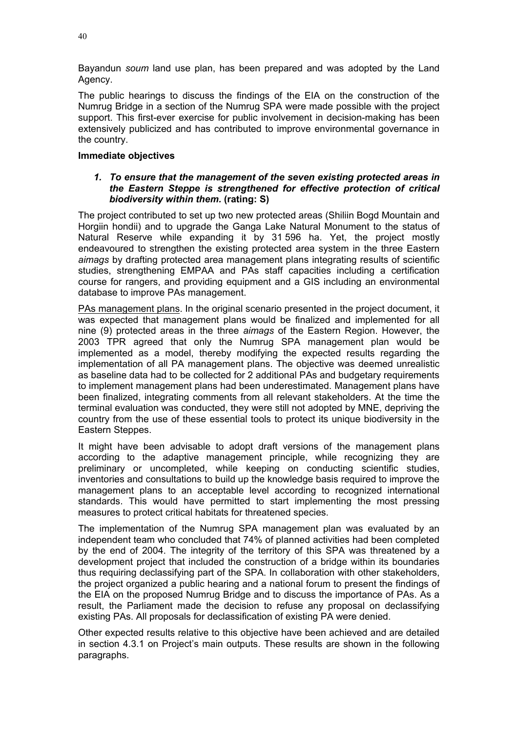Bayandun *soum* land use plan, has been prepared and was adopted by the Land Agency.

The public hearings to discuss the findings of the EIA on the construction of the Numrug Bridge in a section of the Numrug SPA were made possible with the project support. This first-ever exercise for public involvement in decision-making has been extensively publicized and has contributed to improve environmental governance in the country.

# **Immediate objectives**

## *1. To ensure that the management of the seven existing protected areas in the Eastern Steppe is strengthened for effective protection of critical biodiversity within them.* **(rating: S)**

The project contributed to set up two new protected areas (Shiliin Bogd Mountain and Horgiin hondii) and to upgrade the Ganga Lake Natural Monument to the status of Natural Reserve while expanding it by 31 596 ha. Yet, the project mostly endeavoured to strengthen the existing protected area system in the three Eastern *aimags* by drafting protected area management plans integrating results of scientific studies, strengthening EMPAA and PAs staff capacities including a certification course for rangers, and providing equipment and a GIS including an environmental database to improve PAs management.

PAs management plans. In the original scenario presented in the project document, it was expected that management plans would be finalized and implemented for all nine (9) protected areas in the three *aimags* of the Eastern Region. However, the 2003 TPR agreed that only the Numrug SPA management plan would be implemented as a model, thereby modifying the expected results regarding the implementation of all PA management plans. The objective was deemed unrealistic as baseline data had to be collected for 2 additional PAs and budgetary requirements to implement management plans had been underestimated. Management plans have been finalized, integrating comments from all relevant stakeholders. At the time the terminal evaluation was conducted, they were still not adopted by MNE, depriving the country from the use of these essential tools to protect its unique biodiversity in the Eastern Steppes.

It might have been advisable to adopt draft versions of the management plans according to the adaptive management principle, while recognizing they are preliminary or uncompleted, while keeping on conducting scientific studies, inventories and consultations to build up the knowledge basis required to improve the management plans to an acceptable level according to recognized international standards. This would have permitted to start implementing the most pressing measures to protect critical habitats for threatened species.

The implementation of the Numrug SPA management plan was evaluated by an independent team who concluded that 74% of planned activities had been completed by the end of 2004. The integrity of the territory of this SPA was threatened by a development project that included the construction of a bridge within its boundaries thus requiring declassifying part of the SPA. In collaboration with other stakeholders, the project organized a public hearing and a national forum to present the findings of the EIA on the proposed Numrug Bridge and to discuss the importance of PAs. As a result, the Parliament made the decision to refuse any proposal on declassifying existing PAs. All proposals for declassification of existing PA were denied.

Other expected results relative to this objective have been achieved and are detailed in section 4.3.1 on Project's main outputs. These results are shown in the following paragraphs.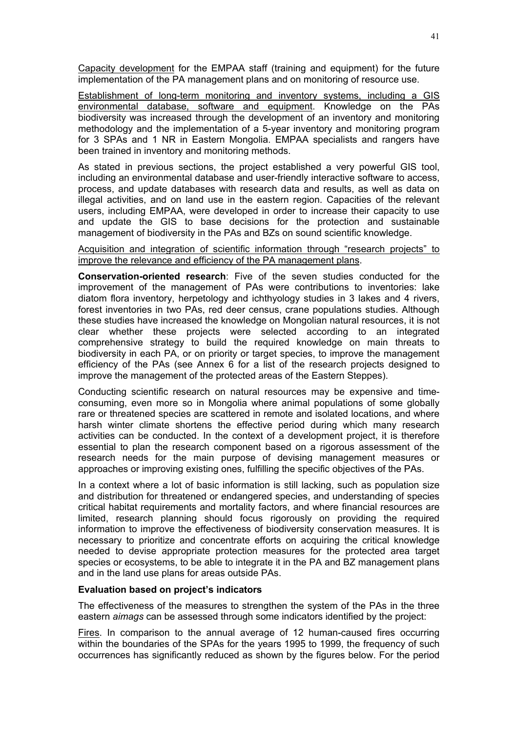Capacity development for the EMPAA staff (training and equipment) for the future implementation of the PA management plans and on monitoring of resource use.

Establishment of long-term monitoring and inventory systems, including a GIS environmental database, software and equipment. Knowledge on the PAs biodiversity was increased through the development of an inventory and monitoring methodology and the implementation of a 5-year inventory and monitoring program for 3 SPAs and 1 NR in Eastern Mongolia. EMPAA specialists and rangers have been trained in inventory and monitoring methods.

As stated in previous sections, the project established a very powerful GIS tool, including an environmental database and user-friendly interactive software to access, process, and update databases with research data and results, as well as data on illegal activities, and on land use in the eastern region. Capacities of the relevant users, including EMPAA, were developed in order to increase their capacity to use and update the GIS to base decisions for the protection and sustainable management of biodiversity in the PAs and BZs on sound scientific knowledge.

# Acquisition and integration of scientific information through "research projects" to improve the relevance and efficiency of the PA management plans.

**Conservation-oriented research**: Five of the seven studies conducted for the improvement of the management of PAs were contributions to inventories: lake diatom flora inventory, herpetology and ichthyology studies in 3 lakes and 4 rivers, forest inventories in two PAs, red deer census, crane populations studies. Although these studies have increased the knowledge on Mongolian natural resources, it is not clear whether these projects were selected according to an integrated comprehensive strategy to build the required knowledge on main threats to biodiversity in each PA, or on priority or target species, to improve the management efficiency of the PAs (see Annex 6 for a list of the research projects designed to improve the management of the protected areas of the Eastern Steppes).

Conducting scientific research on natural resources may be expensive and timeconsuming, even more so in Mongolia where animal populations of some globally rare or threatened species are scattered in remote and isolated locations, and where harsh winter climate shortens the effective period during which many research activities can be conducted. In the context of a development project, it is therefore essential to plan the research component based on a rigorous assessment of the research needs for the main purpose of devising management measures or approaches or improving existing ones, fulfilling the specific objectives of the PAs.

In a context where a lot of basic information is still lacking, such as population size and distribution for threatened or endangered species, and understanding of species critical habitat requirements and mortality factors, and where financial resources are limited, research planning should focus rigorously on providing the required information to improve the effectiveness of biodiversity conservation measures. It is necessary to prioritize and concentrate efforts on acquiring the critical knowledge needed to devise appropriate protection measures for the protected area target species or ecosystems, to be able to integrate it in the PA and BZ management plans and in the land use plans for areas outside PAs.

## **Evaluation based on project's indicators**

The effectiveness of the measures to strengthen the system of the PAs in the three eastern *aimags* can be assessed through some indicators identified by the project:

Fires. In comparison to the annual average of 12 human-caused fires occurring within the boundaries of the SPAs for the years 1995 to 1999, the frequency of such occurrences has significantly reduced as shown by the figures below. For the period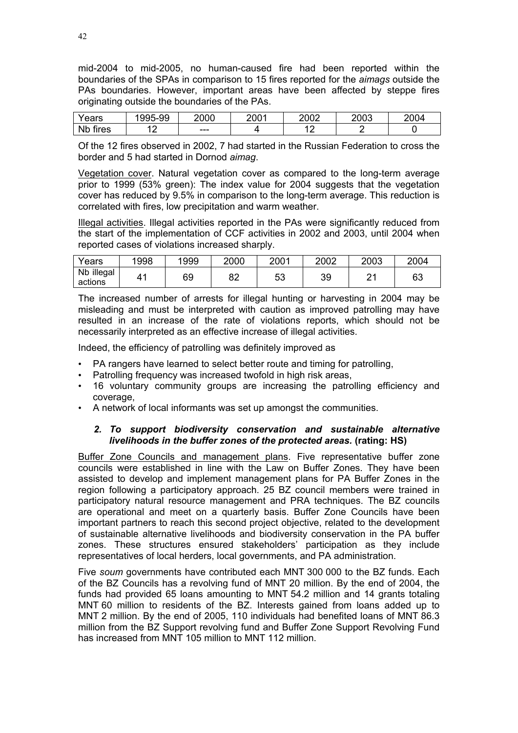mid-2004 to mid-2005, no human-caused fire had been reported within the boundaries of the SPAs in comparison to 15 fires reported for the *aimags* outside the PAs boundaries. However, important areas have been affected by steppe fires originating outside the boundaries of the PAs.

| 'anro<br>eai S     | 99-ز<br>$\sim$ $\sim$ $\sim$<br>995 | 2000 | 2001 | 2002            | 2003 | 2004 |
|--------------------|-------------------------------------|------|------|-----------------|------|------|
| <b>Nb</b><br>tires | $\sqrt{2}$<br>$-$                   | ---  |      | ∽<br>$\epsilon$ |      |      |

Of the 12 fires observed in 2002, 7 had started in the Russian Federation to cross the border and 5 had started in Dornod *aimag*.

Vegetation cover. Natural vegetation cover as compared to the long-term average prior to 1999 (53% green): The index value for 2004 suggests that the vegetation cover has reduced by 9.5% in comparison to the long-term average. This reduction is correlated with fires, low precipitation and warm weather.

Illegal activities. Illegal activities reported in the PAs were significantly reduced from the start of the implementation of CCF activities in 2002 and 2003, until 2004 when reported cases of violations increased sharply.

| Years                 | 1998 | 1999 | 2000     | 2001 | 2002 | 2003 | 2004 |
|-----------------------|------|------|----------|------|------|------|------|
| Nb illegal<br>actions | 41   | 69   | oη<br>○∠ | 53   | 39   | n,   | 63   |

The increased number of arrests for illegal hunting or harvesting in 2004 may be misleading and must be interpreted with caution as improved patrolling may have resulted in an increase of the rate of violations reports, which should not be necessarily interpreted as an effective increase of illegal activities.

Indeed, the efficiency of patrolling was definitely improved as

- PA rangers have learned to select better route and timing for patrolling,
- Patrolling frequency was increased twofold in high risk areas,
- 16 voluntary community groups are increasing the patrolling efficiency and coverage,
- A network of local informants was set up amongst the communities.

# *2. To support biodiversity conservation and sustainable alternative livelihoods in the buffer zones of the protected areas.* **(rating: HS)**

Buffer Zone Councils and management plans. Five representative buffer zone councils were established in line with the Law on Buffer Zones. They have been assisted to develop and implement management plans for PA Buffer Zones in the region following a participatory approach. 25 BZ council members were trained in participatory natural resource management and PRA techniques. The BZ councils are operational and meet on a quarterly basis. Buffer Zone Councils have been important partners to reach this second project objective, related to the development of sustainable alternative livelihoods and biodiversity conservation in the PA buffer zones. These structures ensured stakeholders' participation as they include representatives of local herders, local governments, and PA administration.

Five *soum* governments have contributed each MNT 300 000 to the BZ funds. Each of the BZ Councils has a revolving fund of MNT 20 million. By the end of 2004, the funds had provided 65 loans amounting to MNT 54.2 million and 14 grants totaling MNT 60 million to residents of the BZ. Interests gained from loans added up to MNT 2 million. By the end of 2005, 110 individuals had benefited loans of MNT 86.3 million from the BZ Support revolving fund and Buffer Zone Support Revolving Fund has increased from MNT 105 million to MNT 112 million.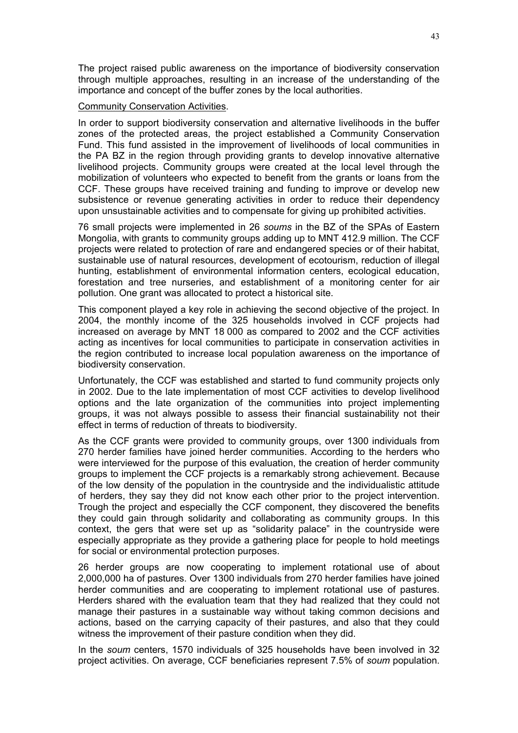The project raised public awareness on the importance of biodiversity conservation through multiple approaches, resulting in an increase of the understanding of the importance and concept of the buffer zones by the local authorities.

## Community Conservation Activities.

In order to support biodiversity conservation and alternative livelihoods in the buffer zones of the protected areas, the project established a Community Conservation Fund. This fund assisted in the improvement of livelihoods of local communities in the PA BZ in the region through providing grants to develop innovative alternative livelihood projects. Community groups were created at the local level through the mobilization of volunteers who expected to benefit from the grants or loans from the CCF. These groups have received training and funding to improve or develop new subsistence or revenue generating activities in order to reduce their dependency upon unsustainable activities and to compensate for giving up prohibited activities.

76 small projects were implemented in 26 *soums* in the BZ of the SPAs of Eastern Mongolia, with grants to community groups adding up to MNT 412.9 million. The CCF projects were related to protection of rare and endangered species or of their habitat, sustainable use of natural resources, development of ecotourism, reduction of illegal hunting, establishment of environmental information centers, ecological education, forestation and tree nurseries, and establishment of a monitoring center for air pollution. One grant was allocated to protect a historical site.

This component played a key role in achieving the second objective of the project. In 2004, the monthly income of the 325 households involved in CCF projects had increased on average by MNT 18 000 as compared to 2002 and the CCF activities acting as incentives for local communities to participate in conservation activities in the region contributed to increase local population awareness on the importance of biodiversity conservation.

Unfortunately, the CCF was established and started to fund community projects only in 2002. Due to the late implementation of most CCF activities to develop livelihood options and the late organization of the communities into project implementing groups, it was not always possible to assess their financial sustainability not their effect in terms of reduction of threats to biodiversity.

As the CCF grants were provided to community groups, over 1300 individuals from 270 herder families have joined herder communities. According to the herders who were interviewed for the purpose of this evaluation, the creation of herder community groups to implement the CCF projects is a remarkably strong achievement. Because of the low density of the population in the countryside and the individualistic attitude of herders, they say they did not know each other prior to the project intervention. Trough the project and especially the CCF component, they discovered the benefits they could gain through solidarity and collaborating as community groups. In this context, the gers that were set up as "solidarity palace" in the countryside were especially appropriate as they provide a gathering place for people to hold meetings for social or environmental protection purposes.

26 herder groups are now cooperating to implement rotational use of about 2,000,000 ha of pastures. Over 1300 individuals from 270 herder families have joined herder communities and are cooperating to implement rotational use of pastures. Herders shared with the evaluation team that they had realized that they could not manage their pastures in a sustainable way without taking common decisions and actions, based on the carrying capacity of their pastures, and also that they could witness the improvement of their pasture condition when they did.

In the *soum* centers, 1570 individuals of 325 households have been involved in 32 project activities. On average, CCF beneficiaries represent 7.5% of *soum* population.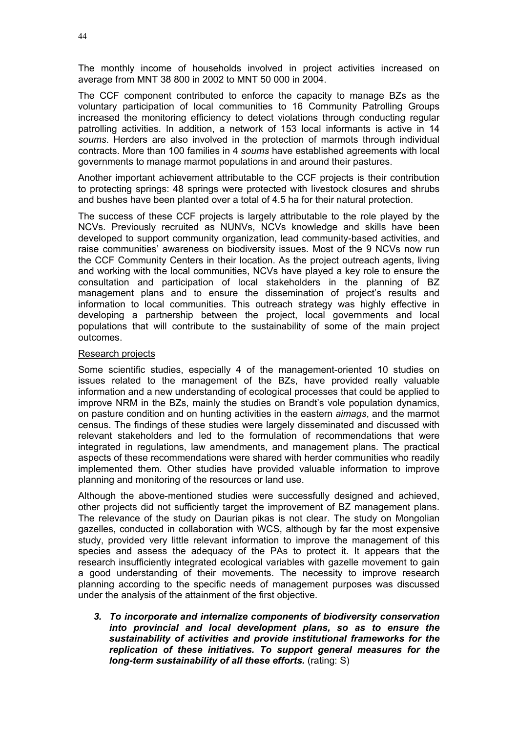The monthly income of households involved in project activities increased on average from MNT 38 800 in 2002 to MNT 50 000 in 2004.

The CCF component contributed to enforce the capacity to manage BZs as the voluntary participation of local communities to 16 Community Patrolling Groups increased the monitoring efficiency to detect violations through conducting regular patrolling activities. In addition, a network of 153 local informants is active in 14 *soums*. Herders are also involved in the protection of marmots through individual contracts. More than 100 families in 4 *soums* have established agreements with local governments to manage marmot populations in and around their pastures.

Another important achievement attributable to the CCF projects is their contribution to protecting springs: 48 springs were protected with livestock closures and shrubs and bushes have been planted over a total of 4.5 ha for their natural protection.

The success of these CCF projects is largely attributable to the role played by the NCVs. Previously recruited as NUNVs, NCVs knowledge and skills have been developed to support community organization, lead community-based activities, and raise communities' awareness on biodiversity issues. Most of the 9 NCVs now run the CCF Community Centers in their location. As the project outreach agents, living and working with the local communities, NCVs have played a key role to ensure the consultation and participation of local stakeholders in the planning of BZ management plans and to ensure the dissemination of project's results and information to local communities. This outreach strategy was highly effective in developing a partnership between the project, local governments and local populations that will contribute to the sustainability of some of the main project outcomes.

## Research projects

Some scientific studies, especially 4 of the management-oriented 10 studies on issues related to the management of the BZs, have provided really valuable information and a new understanding of ecological processes that could be applied to improve NRM in the BZs, mainly the studies on Brandt's vole population dynamics, on pasture condition and on hunting activities in the eastern *aimags*, and the marmot census. The findings of these studies were largely disseminated and discussed with relevant stakeholders and led to the formulation of recommendations that were integrated in regulations, law amendments, and management plans. The practical aspects of these recommendations were shared with herder communities who readily implemented them. Other studies have provided valuable information to improve planning and monitoring of the resources or land use.

Although the above-mentioned studies were successfully designed and achieved, other projects did not sufficiently target the improvement of BZ management plans. The relevance of the study on Daurian pikas is not clear. The study on Mongolian gazelles, conducted in collaboration with WCS, although by far the most expensive study, provided very little relevant information to improve the management of this species and assess the adequacy of the PAs to protect it. It appears that the research insufficiently integrated ecological variables with gazelle movement to gain a good understanding of their movements. The necessity to improve research planning according to the specific needs of management purposes was discussed under the analysis of the attainment of the first objective.

*3. To incorporate and internalize components of biodiversity conservation into provincial and local development plans, so as to ensure the sustainability of activities and provide institutional frameworks for the replication of these initiatives. To support general measures for the long-term sustainability of all these efforts.* (rating: S)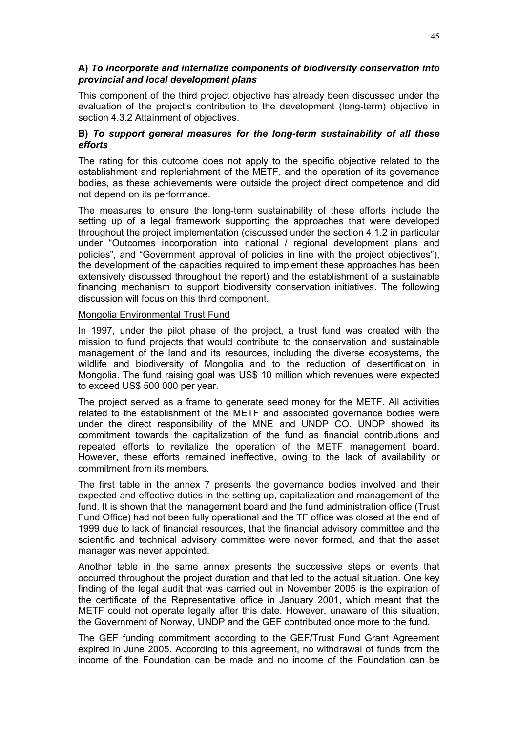# **A)** *To incorporate and internalize components of biodiversity conservation into provincial and local development plans*

This component of the third project objective has already been discussed under the evaluation of the project's contribution to the development (long-term) objective in section 4.3.2 Attainment of objectives.

# **B)** *To support general measures for the long-term sustainability of all these efforts*

The rating for this outcome does not apply to the specific objective related to the establishment and replenishment of the METF, and the operation of its governance bodies, as these achievements were outside the project direct competence and did not depend on its performance.

The measures to ensure the long-term sustainability of these efforts include the setting up of a legal framework supporting the approaches that were developed throughout the project implementation (discussed under the section 4.1.2 in particular under "Outcomes incorporation into national / regional development plans and policies", and "Government approval of policies in line with the project objectives"), the development of the capacities required to implement these approaches has been extensively discussed throughout the report) and the establishment of a sustainable financing mechanism to support biodiversity conservation initiatives. The following discussion will focus on this third component.

## Mongolia Environmental Trust Fund

In 1997, under the pilot phase of the project, a trust fund was created with the mission to fund projects that would contribute to the conservation and sustainable management of the land and its resources, including the diverse ecosystems, the wildlife and biodiversity of Mongolia and to the reduction of desertification in Mongolia. The fund raising goal was US\$ 10 million which revenues were expected to exceed US\$ 500 000 per year.

The project served as a frame to generate seed money for the METF. All activities related to the establishment of the METF and associated governance bodies were under the direct responsibility of the MNE and UNDP CO. UNDP showed its commitment towards the capitalization of the fund as financial contributions and repeated efforts to revitalize the operation of the METF management board. However, these efforts remained ineffective, owing to the lack of availability or commitment from its members.

The first table in the annex 7 presents the governance bodies involved and their expected and effective duties in the setting up, capitalization and management of the fund. It is shown that the management board and the fund administration office (Trust Fund Office) had not been fully operational and the TF office was closed at the end of 1999 due to lack of financial resources, that the financial advisory committee and the scientific and technical advisory committee were never formed, and that the asset manager was never appointed.

Another table in the same annex presents the successive steps or events that occurred throughout the project duration and that led to the actual situation. One key finding of the legal audit that was carried out in November 2005 is the expiration of the certificate of the Representative office in January 2001, which meant that the METF could not operate legally after this date. However, unaware of this situation, the Government of Norway, UNDP and the GEF contributed once more to the fund.

The GEF funding commitment according to the GEF/Trust Fund Grant Agreement expired in June 2005. According to this agreement, no withdrawal of funds from the income of the Foundation can be made and no income of the Foundation can be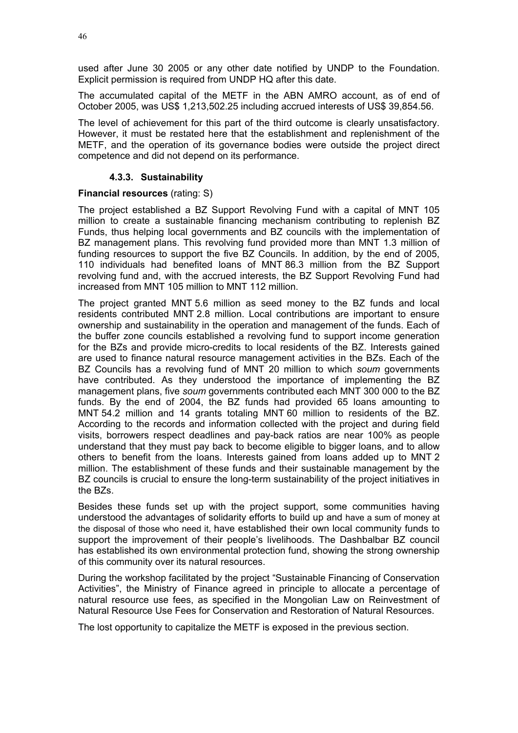used after June 30 2005 or any other date notified by UNDP to the Foundation. Explicit permission is required from UNDP HQ after this date.

The accumulated capital of the METF in the ABN AMRO account, as of end of October 2005, was US\$ 1,213,502.25 including accrued interests of US\$ 39,854.56.

The level of achievement for this part of the third outcome is clearly unsatisfactory. However, it must be restated here that the establishment and replenishment of the METF, and the operation of its governance bodies were outside the project direct competence and did not depend on its performance.

# **4.3.3. Sustainability**

# **Financial resources** (rating: S)

The project established a BZ Support Revolving Fund with a capital of MNT 105 million to create a sustainable financing mechanism contributing to replenish BZ Funds, thus helping local governments and BZ councils with the implementation of BZ management plans. This revolving fund provided more than MNT 1.3 million of funding resources to support the five BZ Councils. In addition, by the end of 2005, 110 individuals had benefited loans of MNT 86.3 million from the BZ Support revolving fund and, with the accrued interests, the BZ Support Revolving Fund had increased from MNT 105 million to MNT 112 million.

The project granted MNT 5.6 million as seed money to the BZ funds and local residents contributed MNT 2.8 million. Local contributions are important to ensure ownership and sustainability in the operation and management of the funds. Each of the buffer zone councils established a revolving fund to support income generation for the BZs and provide micro-credits to local residents of the BZ. Interests gained are used to finance natural resource management activities in the BZs. Each of the BZ Councils has a revolving fund of MNT 20 million to which *soum* governments have contributed. As they understood the importance of implementing the BZ management plans, five *soum* governments contributed each MNT 300 000 to the BZ funds. By the end of 2004, the BZ funds had provided 65 loans amounting to MNT 54.2 million and 14 grants totaling MNT 60 million to residents of the BZ. According to the records and information collected with the project and during field visits, borrowers respect deadlines and pay-back ratios are near 100% as people understand that they must pay back to become eligible to bigger loans, and to allow others to benefit from the loans. Interests gained from loans added up to MNT 2 million. The establishment of these funds and their sustainable management by the BZ councils is crucial to ensure the long-term sustainability of the project initiatives in the BZs.

Besides these funds set up with the project support, some communities having understood the advantages of solidarity efforts to build up and have a sum of money at the disposal of those who need it, have established their own local community funds to support the improvement of their people's livelihoods. The Dashbalbar BZ council has established its own environmental protection fund, showing the strong ownership of this community over its natural resources.

During the workshop facilitated by the project "Sustainable Financing of Conservation Activities", the Ministry of Finance agreed in principle to allocate a percentage of natural resource use fees, as specified in the Mongolian Law on Reinvestment of Natural Resource Use Fees for Conservation and Restoration of Natural Resources.

The lost opportunity to capitalize the METF is exposed in the previous section.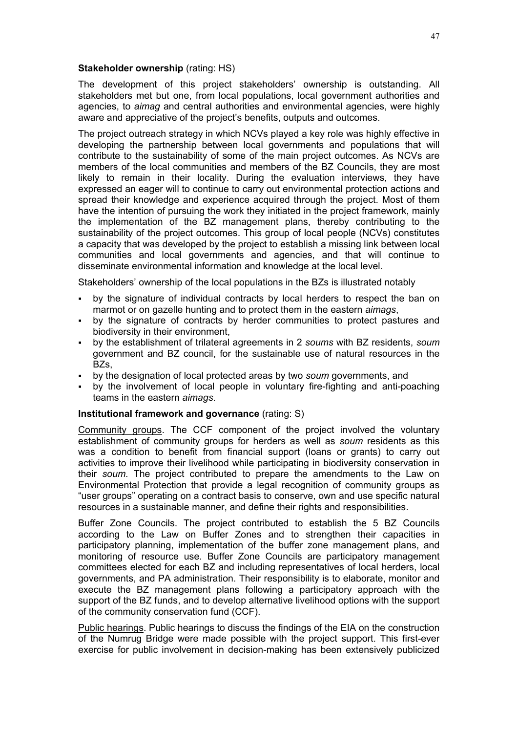### **Stakeholder ownership** (rating: HS)

The development of this project stakeholders' ownership is outstanding. All stakeholders met but one, from local populations, local government authorities and agencies, to *aimag* and central authorities and environmental agencies, were highly aware and appreciative of the project's benefits, outputs and outcomes.

The project outreach strategy in which NCVs played a key role was highly effective in developing the partnership between local governments and populations that will contribute to the sustainability of some of the main project outcomes. As NCVs are members of the local communities and members of the BZ Councils, they are most likely to remain in their locality. During the evaluation interviews, they have expressed an eager will to continue to carry out environmental protection actions and spread their knowledge and experience acquired through the project. Most of them have the intention of pursuing the work they initiated in the project framework, mainly the implementation of the BZ management plans, thereby contributing to the sustainability of the project outcomes. This group of local people (NCVs) constitutes a capacity that was developed by the project to establish a missing link between local communities and local governments and agencies, and that will continue to disseminate environmental information and knowledge at the local level.

Stakeholders' ownership of the local populations in the BZs is illustrated notably

- by the signature of individual contracts by local herders to respect the ban on marmot or on gazelle hunting and to protect them in the eastern *aimags*,
- by the signature of contracts by herder communities to protect pastures and biodiversity in their environment,
- by the establishment of trilateral agreements in 2 *soums* with BZ residents, *soum* government and BZ council, for the sustainable use of natural resources in the BZ<sub>s</sub>.
- by the designation of local protected areas by two *soum* governments, and
- by the involvement of local people in voluntary fire-fighting and anti-poaching teams in the eastern *aimags*.

## **Institutional framework and governance** (rating: S)

Community groups. The CCF component of the project involved the voluntary establishment of community groups for herders as well as *soum* residents as this was a condition to benefit from financial support (loans or grants) to carry out activities to improve their livelihood while participating in biodiversity conservation in their *soum*. The project contributed to prepare the amendments to the Law on Environmental Protection that provide a legal recognition of community groups as "user groups" operating on a contract basis to conserve, own and use specific natural resources in a sustainable manner, and define their rights and responsibilities.

Buffer Zone Councils. The project contributed to establish the 5 BZ Councils according to the Law on Buffer Zones and to strengthen their capacities in participatory planning, implementation of the buffer zone management plans, and monitoring of resource use. Buffer Zone Councils are participatory management committees elected for each BZ and including representatives of local herders, local governments, and PA administration. Their responsibility is to elaborate, monitor and execute the BZ management plans following a participatory approach with the support of the BZ funds, and to develop alternative livelihood options with the support of the community conservation fund (CCF).

Public hearings. Public hearings to discuss the findings of the EIA on the construction of the Numrug Bridge were made possible with the project support. This first-ever exercise for public involvement in decision-making has been extensively publicized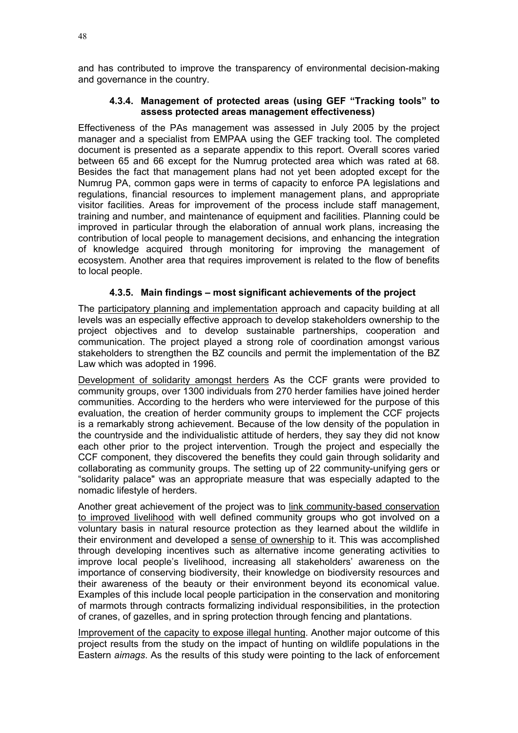and has contributed to improve the transparency of environmental decision-making and governance in the country.

## **4.3.4. Management of protected areas (using GEF "Tracking tools" to assess protected areas management effectiveness)**

Effectiveness of the PAs management was assessed in July 2005 by the project manager and a specialist from EMPAA using the GEF tracking tool. The completed document is presented as a separate appendix to this report. Overall scores varied between 65 and 66 except for the Numrug protected area which was rated at 68. Besides the fact that management plans had not yet been adopted except for the Numrug PA, common gaps were in terms of capacity to enforce PA legislations and regulations, financial resources to implement management plans, and appropriate visitor facilities. Areas for improvement of the process include staff management, training and number, and maintenance of equipment and facilities. Planning could be improved in particular through the elaboration of annual work plans, increasing the contribution of local people to management decisions, and enhancing the integration of knowledge acquired through monitoring for improving the management of ecosystem. Another area that requires improvement is related to the flow of benefits to local people.

# **4.3.5. Main findings – most significant achievements of the project**

The participatory planning and implementation approach and capacity building at all levels was an especially effective approach to develop stakeholders ownership to the project objectives and to develop sustainable partnerships, cooperation and communication. The project played a strong role of coordination amongst various stakeholders to strengthen the BZ councils and permit the implementation of the BZ Law which was adopted in 1996.

Development of solidarity amongst herders As the CCF grants were provided to community groups, over 1300 individuals from 270 herder families have joined herder communities. According to the herders who were interviewed for the purpose of this evaluation, the creation of herder community groups to implement the CCF projects is a remarkably strong achievement. Because of the low density of the population in the countryside and the individualistic attitude of herders, they say they did not know each other prior to the project intervention. Trough the project and especially the CCF component, they discovered the benefits they could gain through solidarity and collaborating as community groups. The setting up of 22 community-unifying gers or "solidarity palace" was an appropriate measure that was especially adapted to the nomadic lifestyle of herders.

Another great achievement of the project was to link community-based conservation to improved livelihood with well defined community groups who got involved on a voluntary basis in natural resource protection as they learned about the wildlife in their environment and developed a sense of ownership to it. This was accomplished through developing incentives such as alternative income generating activities to improve local people's livelihood, increasing all stakeholders' awareness on the importance of conserving biodiversity, their knowledge on biodiversity resources and their awareness of the beauty or their environment beyond its economical value. Examples of this include local people participation in the conservation and monitoring of marmots through contracts formalizing individual responsibilities, in the protection of cranes, of gazelles, and in spring protection through fencing and plantations.

Improvement of the capacity to expose illegal hunting. Another major outcome of this project results from the study on the impact of hunting on wildlife populations in the Eastern *aimags*. As the results of this study were pointing to the lack of enforcement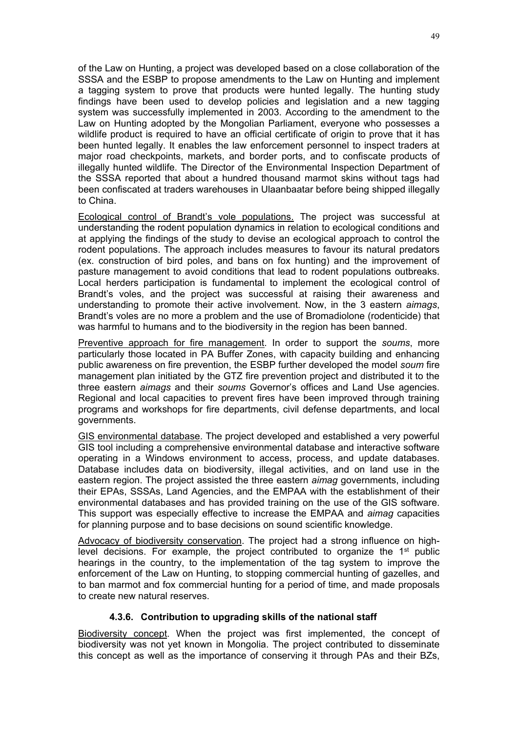of the Law on Hunting, a project was developed based on a close collaboration of the SSSA and the ESBP to propose amendments to the Law on Hunting and implement a tagging system to prove that products were hunted legally. The hunting study findings have been used to develop policies and legislation and a new tagging system was successfully implemented in 2003. According to the amendment to the Law on Hunting adopted by the Mongolian Parliament, everyone who possesses a wildlife product is required to have an official certificate of origin to prove that it has been hunted legally. It enables the law enforcement personnel to inspect traders at major road checkpoints, markets, and border ports, and to confiscate products of illegally hunted wildlife. The Director of the Environmental Inspection Department of the SSSA reported that about a hundred thousand marmot skins without tags had been confiscated at traders warehouses in Ulaanbaatar before being shipped illegally to China.

Ecological control of Brandt's vole populations. The project was successful at understanding the rodent population dynamics in relation to ecological conditions and at applying the findings of the study to devise an ecological approach to control the rodent populations. The approach includes measures to favour its natural predators (ex. construction of bird poles, and bans on fox hunting) and the improvement of pasture management to avoid conditions that lead to rodent populations outbreaks. Local herders participation is fundamental to implement the ecological control of Brandt's voles, and the project was successful at raising their awareness and understanding to promote their active involvement. Now, in the 3 eastern *aimags*, Brandt's voles are no more a problem and the use of Bromadiolone (rodenticide) that was harmful to humans and to the biodiversity in the region has been banned.

Preventive approach for fire management. In order to support the *soums*, more particularly those located in PA Buffer Zones, with capacity building and enhancing public awareness on fire prevention, the ESBP further developed the model *soum* fire management plan initiated by the GTZ fire prevention project and distributed it to the three eastern *aimags* and their *soums* Governor's offices and Land Use agencies. Regional and local capacities to prevent fires have been improved through training programs and workshops for fire departments, civil defense departments, and local governments.

GIS environmental database. The project developed and established a very powerful GIS tool including a comprehensive environmental database and interactive software operating in a Windows environment to access, process, and update databases. Database includes data on biodiversity, illegal activities, and on land use in the eastern region. The project assisted the three eastern *aimag* governments, including their EPAs, SSSAs, Land Agencies, and the EMPAA with the establishment of their environmental databases and has provided training on the use of the GIS software. This support was especially effective to increase the EMPAA and *aimag* capacities for planning purpose and to base decisions on sound scientific knowledge.

Advocacy of biodiversity conservation. The project had a strong influence on highlevel decisions. For example, the project contributed to organize the  $1<sup>st</sup>$  public hearings in the country, to the implementation of the tag system to improve the enforcement of the Law on Hunting, to stopping commercial hunting of gazelles, and to ban marmot and fox commercial hunting for a period of time, and made proposals to create new natural reserves.

# **4.3.6. Contribution to upgrading skills of the national staff**

Biodiversity concept. When the project was first implemented, the concept of biodiversity was not yet known in Mongolia. The project contributed to disseminate this concept as well as the importance of conserving it through PAs and their BZs,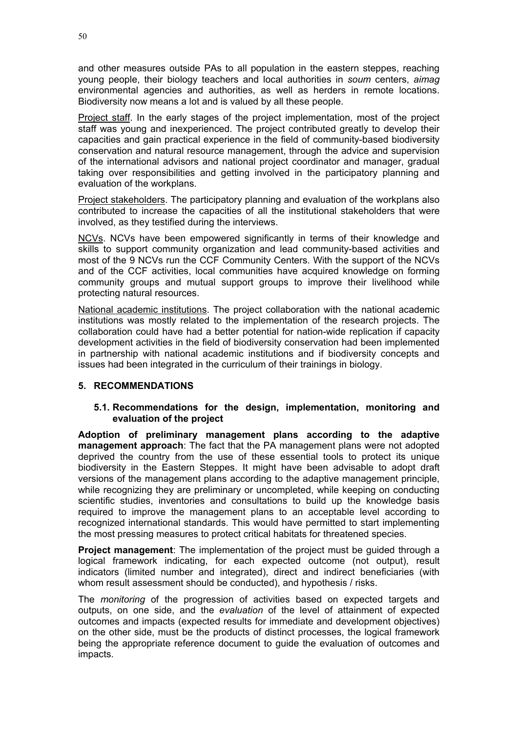and other measures outside PAs to all population in the eastern steppes, reaching young people, their biology teachers and local authorities in *soum* centers, *aimag* environmental agencies and authorities, as well as herders in remote locations. Biodiversity now means a lot and is valued by all these people.

Project staff. In the early stages of the project implementation, most of the project staff was young and inexperienced. The project contributed greatly to develop their capacities and gain practical experience in the field of community-based biodiversity conservation and natural resource management, through the advice and supervision of the international advisors and national project coordinator and manager, gradual taking over responsibilities and getting involved in the participatory planning and evaluation of the workplans.

Project stakeholders. The participatory planning and evaluation of the workplans also contributed to increase the capacities of all the institutional stakeholders that were involved, as they testified during the interviews.

NCVs. NCVs have been empowered significantly in terms of their knowledge and skills to support community organization and lead community-based activities and most of the 9 NCVs run the CCF Community Centers. With the support of the NCVs and of the CCF activities, local communities have acquired knowledge on forming community groups and mutual support groups to improve their livelihood while protecting natural resources.

National academic institutions. The project collaboration with the national academic institutions was mostly related to the implementation of the research projects. The collaboration could have had a better potential for nation-wide replication if capacity development activities in the field of biodiversity conservation had been implemented in partnership with national academic institutions and if biodiversity concepts and issues had been integrated in the curriculum of their trainings in biology.

# **5. RECOMMENDATIONS**

# **5.1. Recommendations for the design, implementation, monitoring and evaluation of the project**

**Adoption of preliminary management plans according to the adaptive management approach**: The fact that the PA management plans were not adopted deprived the country from the use of these essential tools to protect its unique biodiversity in the Eastern Steppes. It might have been advisable to adopt draft versions of the management plans according to the adaptive management principle, while recognizing they are preliminary or uncompleted, while keeping on conducting scientific studies, inventories and consultations to build up the knowledge basis required to improve the management plans to an acceptable level according to recognized international standards. This would have permitted to start implementing the most pressing measures to protect critical habitats for threatened species.

**Project management**: The implementation of the project must be guided through a logical framework indicating, for each expected outcome (not output), result indicators (limited number and integrated), direct and indirect beneficiaries (with whom result assessment should be conducted), and hypothesis / risks.

The *monitoring* of the progression of activities based on expected targets and outputs, on one side, and the *evaluation* of the level of attainment of expected outcomes and impacts (expected results for immediate and development objectives) on the other side, must be the products of distinct processes, the logical framework being the appropriate reference document to guide the evaluation of outcomes and impacts.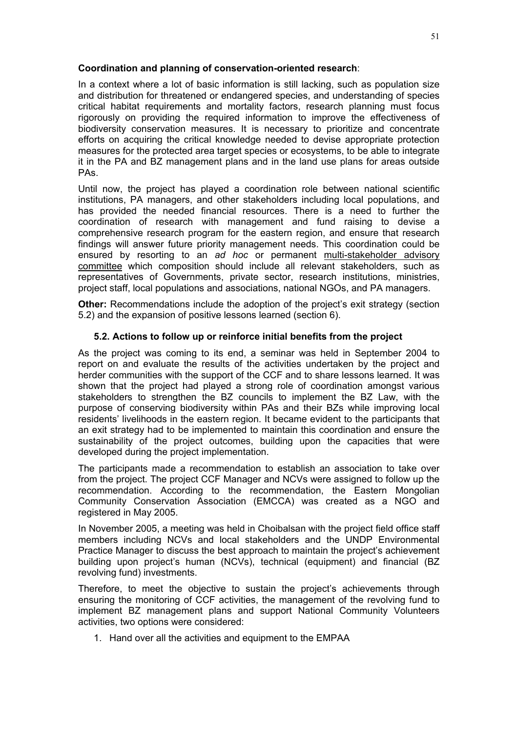# **Coordination and planning of conservation-oriented research**:

In a context where a lot of basic information is still lacking, such as population size and distribution for threatened or endangered species, and understanding of species critical habitat requirements and mortality factors, research planning must focus rigorously on providing the required information to improve the effectiveness of biodiversity conservation measures. It is necessary to prioritize and concentrate efforts on acquiring the critical knowledge needed to devise appropriate protection measures for the protected area target species or ecosystems, to be able to integrate it in the PA and BZ management plans and in the land use plans for areas outside PAs.

Until now, the project has played a coordination role between national scientific institutions, PA managers, and other stakeholders including local populations, and has provided the needed financial resources. There is a need to further the coordination of research with management and fund raising to devise a comprehensive research program for the eastern region, and ensure that research findings will answer future priority management needs. This coordination could be ensured by resorting to an *ad hoc* or permanent multi-stakeholder advisory committee which composition should include all relevant stakeholders, such as representatives of Governments, private sector, research institutions, ministries, project staff, local populations and associations, national NGOs, and PA managers.

**Other:** Recommendations include the adoption of the project's exit strategy (section 5.2) and the expansion of positive lessons learned (section 6).

# **5.2. Actions to follow up or reinforce initial benefits from the project**

As the project was coming to its end, a seminar was held in September 2004 to report on and evaluate the results of the activities undertaken by the project and herder communities with the support of the CCF and to share lessons learned. It was shown that the project had played a strong role of coordination amongst various stakeholders to strengthen the BZ councils to implement the BZ Law, with the purpose of conserving biodiversity within PAs and their BZs while improving local residents' livelihoods in the eastern region. It became evident to the participants that an exit strategy had to be implemented to maintain this coordination and ensure the sustainability of the project outcomes, building upon the capacities that were developed during the project implementation.

The participants made a recommendation to establish an association to take over from the project. The project CCF Manager and NCVs were assigned to follow up the recommendation. According to the recommendation, the Eastern Mongolian Community Conservation Association (EMCCA) was created as a NGO and registered in May 2005.

In November 2005, a meeting was held in Choibalsan with the project field office staff members including NCVs and local stakeholders and the UNDP Environmental Practice Manager to discuss the best approach to maintain the project's achievement building upon project's human (NCVs), technical (equipment) and financial (BZ revolving fund) investments.

Therefore, to meet the objective to sustain the project's achievements through ensuring the monitoring of CCF activities, the management of the revolving fund to implement BZ management plans and support National Community Volunteers activities, two options were considered:

1. Hand over all the activities and equipment to the EMPAA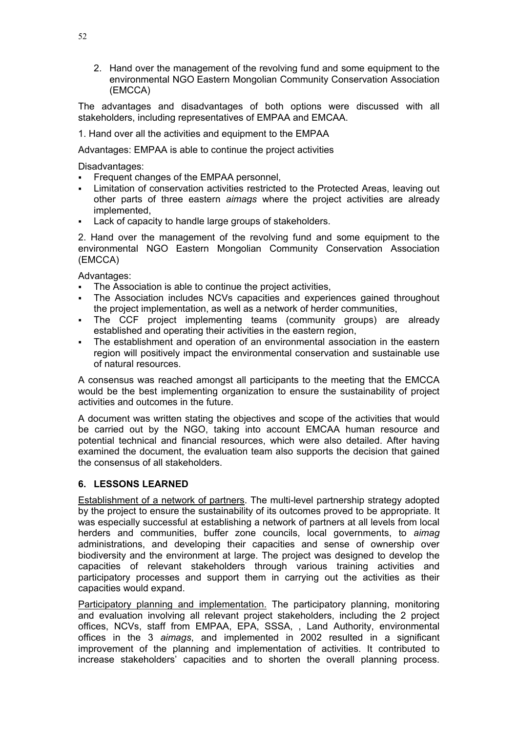2. Hand over the management of the revolving fund and some equipment to the environmental NGO Eastern Mongolian Community Conservation Association (EMCCA)

The advantages and disadvantages of both options were discussed with all stakeholders, including representatives of EMPAA and EMCAA.

1. Hand over all the activities and equipment to the EMPAA

Advantages: EMPAA is able to continue the project activities

Disadvantages:

- Frequent changes of the EMPAA personnel,
- Limitation of conservation activities restricted to the Protected Areas, leaving out other parts of three eastern *aimags* where the project activities are already implemented,
- Lack of capacity to handle large groups of stakeholders.

2. Hand over the management of the revolving fund and some equipment to the environmental NGO Eastern Mongolian Community Conservation Association (EMCCA)

Advantages:

- The Association is able to continue the project activities,
- The Association includes NCVs capacities and experiences gained throughout the project implementation, as well as a network of herder communities,
- The CCF project implementing teams (community groups) are already established and operating their activities in the eastern region,
- The establishment and operation of an environmental association in the eastern region will positively impact the environmental conservation and sustainable use of natural resources.

A consensus was reached amongst all participants to the meeting that the EMCCA would be the best implementing organization to ensure the sustainability of project activities and outcomes in the future.

A document was written stating the objectives and scope of the activities that would be carried out by the NGO, taking into account EMCAA human resource and potential technical and financial resources, which were also detailed. After having examined the document, the evaluation team also supports the decision that gained the consensus of all stakeholders.

# **6. LESSONS LEARNED**

Establishment of a network of partners. The multi-level partnership strategy adopted by the project to ensure the sustainability of its outcomes proved to be appropriate. It was especially successful at establishing a network of partners at all levels from local herders and communities, buffer zone councils, local governments, to *aimag* administrations, and developing their capacities and sense of ownership over biodiversity and the environment at large. The project was designed to develop the capacities of relevant stakeholders through various training activities and participatory processes and support them in carrying out the activities as their capacities would expand.

Participatory planning and implementation. The participatory planning, monitoring and evaluation involving all relevant project stakeholders, including the 2 project offices, NCVs, staff from EMPAA, EPA, SSSA, , Land Authority, environmental offices in the 3 *aimags*, and implemented in 2002 resulted in a significant improvement of the planning and implementation of activities. It contributed to increase stakeholders' capacities and to shorten the overall planning process.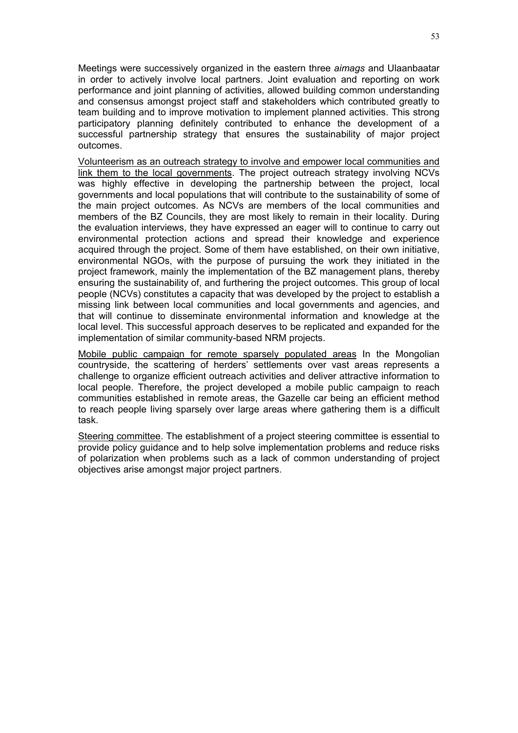Meetings were successively organized in the eastern three *aimags* and Ulaanbaatar in order to actively involve local partners. Joint evaluation and reporting on work performance and joint planning of activities, allowed building common understanding and consensus amongst project staff and stakeholders which contributed greatly to team building and to improve motivation to implement planned activities. This strong participatory planning definitely contributed to enhance the development of a successful partnership strategy that ensures the sustainability of major project outcomes.

Volunteerism as an outreach strategy to involve and empower local communities and link them to the local governments. The project outreach strategy involving NCVs was highly effective in developing the partnership between the project, local governments and local populations that will contribute to the sustainability of some of the main project outcomes. As NCVs are members of the local communities and members of the BZ Councils, they are most likely to remain in their locality. During the evaluation interviews, they have expressed an eager will to continue to carry out environmental protection actions and spread their knowledge and experience acquired through the project. Some of them have established, on their own initiative, environmental NGOs, with the purpose of pursuing the work they initiated in the project framework, mainly the implementation of the BZ management plans, thereby ensuring the sustainability of, and furthering the project outcomes. This group of local people (NCVs) constitutes a capacity that was developed by the project to establish a missing link between local communities and local governments and agencies, and that will continue to disseminate environmental information and knowledge at the local level. This successful approach deserves to be replicated and expanded for the implementation of similar community-based NRM projects.

Mobile public campaign for remote sparsely populated areas In the Mongolian countryside, the scattering of herders' settlements over vast areas represents a challenge to organize efficient outreach activities and deliver attractive information to local people. Therefore, the project developed a mobile public campaign to reach communities established in remote areas, the Gazelle car being an efficient method to reach people living sparsely over large areas where gathering them is a difficult task.

Steering committee. The establishment of a project steering committee is essential to provide policy guidance and to help solve implementation problems and reduce risks of polarization when problems such as a lack of common understanding of project objectives arise amongst major project partners.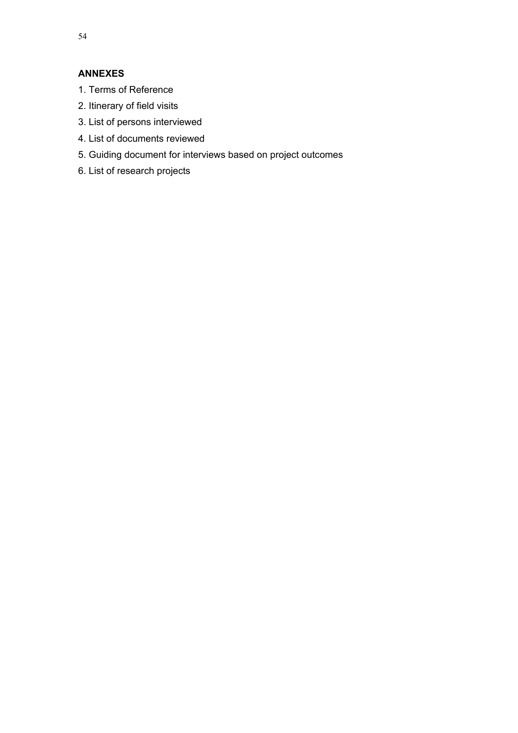# **ANNEXES**

- 1. Terms of Reference
- 2. Itinerary of field visits
- 3. List of persons interviewed
- 4. List of documents reviewed
- 5. Guiding document for interviews based on project outcomes
- 6. List of research projects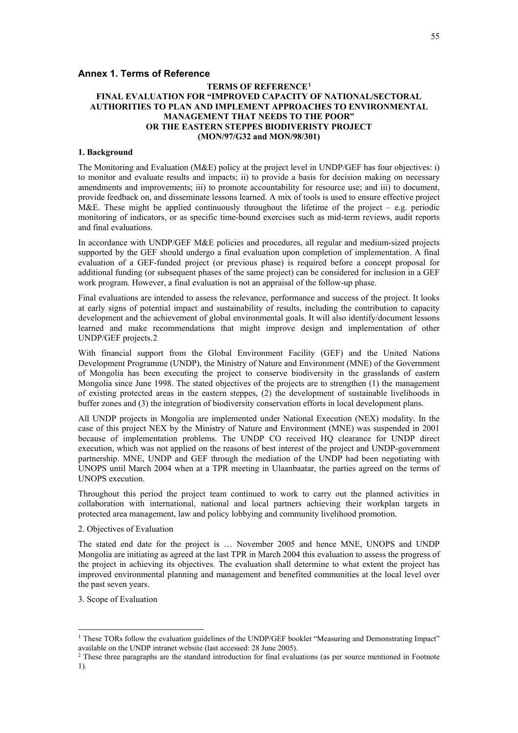#### **Annex 1. Terms of Reference**

#### **TERMS OF REFERENCE[1](#page-60-0) FINAL EVALUATION FOR "IMPROVED CAPACITY OF NATIONAL/SECTORAL AUTHORITIES TO PLAN AND IMPLEMENT APPROACHES TO ENVIRONMENTAL MANAGEMENT THAT NEEDS TO THE POOR" OR THE EASTERN STEPPES BIODIVERISTY PROJECT (MON/97/G32 and MON/98/301)**

#### **1. Background**

The Monitoring and Evaluation (M&E) policy at the project level in UNDP/GEF has four objectives: i) to monitor and evaluate results and impacts; ii) to provide a basis for decision making on necessary amendments and improvements; iii) to promote accountability for resource use; and iii) to document, provide feedback on, and disseminate lessons learned. A mix of tools is used to ensure effective project M&E. These might be applied continuously throughout the lifetime of the project – e.g. periodic monitoring of indicators, or as specific time-bound exercises such as mid-term reviews, audit reports and final evaluations.

In accordance with UNDP/GEF M&E policies and procedures, all regular and medium-sized projects supported by the GEF should undergo a final evaluation upon completion of implementation. A final evaluation of a GEF-funded project (or previous phase) is required before a concept proposal for additional funding (or subsequent phases of the same project) can be considered for inclusion in a GEF work program. However, a final evaluation is not an appraisal of the follow-up phase.

Final evaluations are intended to assess the relevance, performance and success of the project. It looks at early signs of potential impact and sustainability of results, including the contribution to capacity development and the achievement of global environmental goals. It will also identify/document lessons learned and make recommendations that might improve design and implementation of other UNDP/GEF projects.[2](#page-60-1) 

With financial support from the Global Environment Facility (GEF) and the United Nations Development Programme (UNDP), the Ministry of Nature and Environment (MNE) of the Government of Mongolia has been executing the project to conserve biodiversity in the grasslands of eastern Mongolia since June 1998. The stated objectives of the projects are to strengthen (1) the management of existing protected areas in the eastern steppes, (2) the development of sustainable livelihoods in buffer zones and (3) the integration of biodiversity conservation efforts in local development plans.

All UNDP projects in Mongolia are implemented under National Execution (NEX) modality. In the case of this project NEX by the Ministry of Nature and Environment (MNE) was suspended in 2001 because of implementation problems. The UNDP CO received HQ clearance for UNDP direct execution, which was not applied on the reasons of best interest of the project and UNDP-government partnership. MNE, UNDP and GEF through the mediation of the UNDP had been negotiating with UNOPS until March 2004 when at a TPR meeting in Ulaanbaatar, the parties agreed on the terms of UNOPS execution.

Throughout this period the project team continued to work to carry out the planned activities in collaboration with international, national and local partners achieving their workplan targets in protected area management, law and policy lobbying and community livelihood promotion.

#### 2. Objectives of Evaluation

The stated end date for the project is … November 2005 and hence MNE, UNOPS and UNDP Mongolia are initiating as agreed at the last TPR in March 2004 this evaluation to assess the progress of the project in achieving its objectives. The evaluation shall determine to what extent the project has improved environmental planning and management and benefited communities at the local level over the past seven years.

3. Scope of Evaluation

j

<span id="page-60-0"></span><sup>&</sup>lt;sup>1</sup> These TORs follow the evaluation guidelines of the UNDP/GEF booklet "Measuring and Demonstrating Impact" available on the UNDP intranet website (last accessed: 28 June 2005).  $\frac{2}{10}$  These three paragraphs are the standard introduction for final evaluations (as per source mentioned in Footnote

<span id="page-60-1"></span><sup>1).</sup>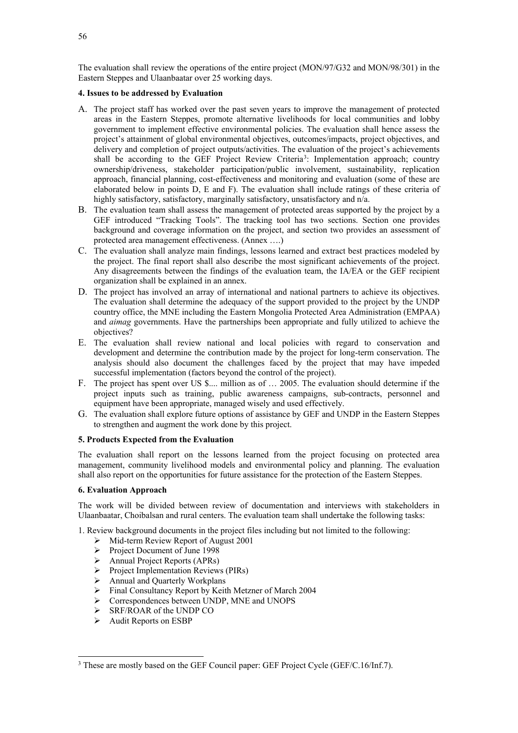The evaluation shall review the operations of the entire project (MON/97/G32 and MON/98/301) in the Eastern Steppes and Ulaanbaatar over 25 working days.

#### **4. Issues to be addressed by Evaluation**

- A. The project staff has worked over the past seven years to improve the management of protected areas in the Eastern Steppes, promote alternative livelihoods for local communities and lobby government to implement effective environmental policies. The evaluation shall hence assess the project's attainment of global environmental objectives, outcomes/impacts, project objectives, and delivery and completion of project outputs/activities. The evaluation of the project's achievements shall be according to the GEF Project Review Criteria<sup>[3](#page-61-0)</sup>: Implementation approach; country ownership/driveness, stakeholder participation/public involvement, sustainability, replication approach, financial planning, cost-effectiveness and monitoring and evaluation (some of these are elaborated below in points D, E and F). The evaluation shall include ratings of these criteria of highly satisfactory, satisfactory, marginally satisfactory, unsatisfactory and n/a.
- B. The evaluation team shall assess the management of protected areas supported by the project by a GEF introduced "Tracking Tools". The tracking tool has two sections. Section one provides background and coverage information on the project, and section two provides an assessment of protected area management effectiveness. (Annex ….)
- C. The evaluation shall analyze main findings, lessons learned and extract best practices modeled by the project. The final report shall also describe the most significant achievements of the project. Any disagreements between the findings of the evaluation team, the IA/EA or the GEF recipient organization shall be explained in an annex.
- D. The project has involved an array of international and national partners to achieve its objectives. The evaluation shall determine the adequacy of the support provided to the project by the UNDP country office, the MNE including the Eastern Mongolia Protected Area Administration (EMPAA) and *aimag* governments. Have the partnerships been appropriate and fully utilized to achieve the objectives?
- E. The evaluation shall review national and local policies with regard to conservation and development and determine the contribution made by the project for long-term conservation. The analysis should also document the challenges faced by the project that may have impeded successful implementation (factors beyond the control of the project).
- F. The project has spent over US \$.... million as of … 2005. The evaluation should determine if the project inputs such as training, public awareness campaigns, sub-contracts, personnel and equipment have been appropriate, managed wisely and used effectively.
- G. The evaluation shall explore future options of assistance by GEF and UNDP in the Eastern Steppes to strengthen and augment the work done by this project.

#### **5. Products Expected from the Evaluation**

The evaluation shall report on the lessons learned from the project focusing on protected area management, community livelihood models and environmental policy and planning. The evaluation shall also report on the opportunities for future assistance for the protection of the Eastern Steppes.

#### **6. Evaluation Approach**

The work will be divided between review of documentation and interviews with stakeholders in Ulaanbaatar, Choibalsan and rural centers. The evaluation team shall undertake the following tasks:

1. Review background documents in the project files including but not limited to the following:

- $\triangleright$  Mid-term Review Report of August 2001
- Project Document of June 1998
- Annual Project Reports (APRs)<br>
Project Implementation Reviews
- Project Implementation Reviews (PIRs)
- Annual and Quarterly Workplans<br>  $\triangleright$  Final Consultancy Report by Keith
- Final Consultancy Report by Keith Metzner of March 2004
- Correspondences between UNDP, MNE and UNOPS
- $\triangleright$  SRF/ROAR of the UNDP CO<br> $\triangleright$  Audit Reports on ESRP
- Audit Reports on ESBP

-

<span id="page-61-0"></span><sup>&</sup>lt;sup>3</sup> These are mostly based on the GEF Council paper: GEF Project Cycle (GEF/C.16/Inf.7).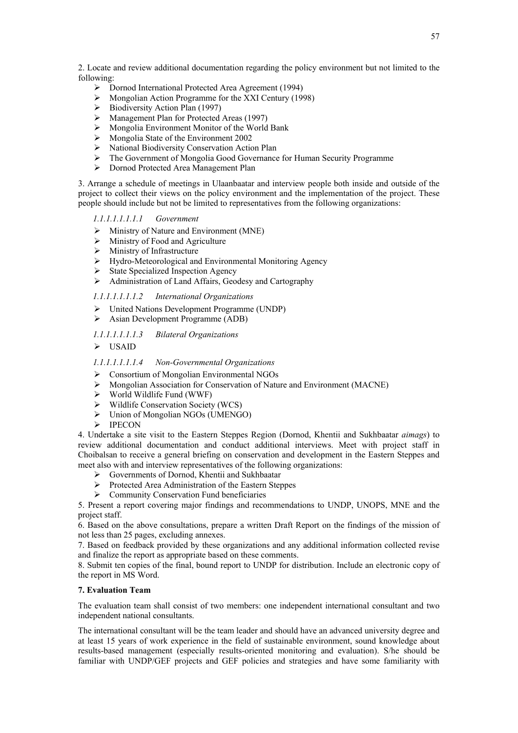2. Locate and review additional documentation regarding the policy environment but not limited to the following:

- Dornod International Protected Area Agreement (1994)
- $\triangleright$  Mongolian Action Programme for the XXI Century (1998)
- $\geq$  Biodiversity Action Plan (1997)<br> $\geq$  Management Plan for Protected
- → Management Plan for Protected Areas (1997)<br>→ Mongolia Environment Monitor of the World
- > Mongolia Environment Monitor of the World Bank<br>> Mongolia State of the Environment 2002
- Mongolia State of the Environment 2002
- > National Biodiversity Conservation Action Plan
- The Government of Mongolia Good Governance for Human Security Programme
- Dornod Protected Area Management Plan

3. Arrange a schedule of meetings in Ulaanbaatar and interview people both inside and outside of the project to collect their views on the policy environment and the implementation of the project. These people should include but not be limited to representatives from the following organizations:

*1.1.1.1.1.1.1.1 Government*

- $\triangleright$  Ministry of Nature and Environment (MNE)
- $\triangleright$  Ministry of Food and Agriculture
- $\triangleright$  Ministry of Infrastructure
- Hydro-Meteorological and Environmental Monitoring Agency
- State Specialized Inspection Agency<br>  $\geq$  Administration of Land Affairs. Geo-
- Administration of Land Affairs, Geodesy and Cartography

#### *1.1.1.1.1.1.1.2 International Organizations*

- United Nations Development Programme (UNDP)
- $\triangleright$  Asian Development Programme (ADB)
- *1.1.1.1.1.1.1.3 Bilateral Organizations*

USAID

#### *1.1.1.1.1.1.1.4 Non-Governmental Organizations*

- Consortium of Mongolian Environmental NGOs
- Mongolian Association for Conservation of Nature and Environment (MACNE)
- $\triangleright$  World Wildlife Fund (WWF)<br> $\triangleright$  Wildlife Conservation Society
- Wildlife Conservation Society (WCS)
- $\triangleright$  Union of Mongolian NGOs (UMENGO)<br> $\triangleright$  IPECON
- IPECON

4. Undertake a site visit to the Eastern Steppes Region (Dornod, Khentii and Sukhbaatar *aimags*) to review additional documentation and conduct additional interviews. Meet with project staff in Choibalsan to receive a general briefing on conservation and development in the Eastern Steppes and meet also with and interview representatives of the following organizations:

- Governments of Dornod, Khentii and Sukhbaatar
- Protected Area Administration of the Eastern Steppes
- $\triangleright$  Community Conservation Fund beneficiaries

5. Present a report covering major findings and recommendations to UNDP, UNOPS, MNE and the project staff.

6. Based on the above consultations, prepare a written Draft Report on the findings of the mission of not less than 25 pages, excluding annexes.

7. Based on feedback provided by these organizations and any additional information collected revise and finalize the report as appropriate based on these comments.

8. Submit ten copies of the final, bound report to UNDP for distribution. Include an electronic copy of the report in MS Word.

#### **7. Evaluation Team**

The evaluation team shall consist of two members: one independent international consultant and two independent national consultants.

The international consultant will be the team leader and should have an advanced university degree and at least 15 years of work experience in the field of sustainable environment, sound knowledge about results-based management (especially results-oriented monitoring and evaluation). S/he should be familiar with UNDP/GEF projects and GEF policies and strategies and have some familiarity with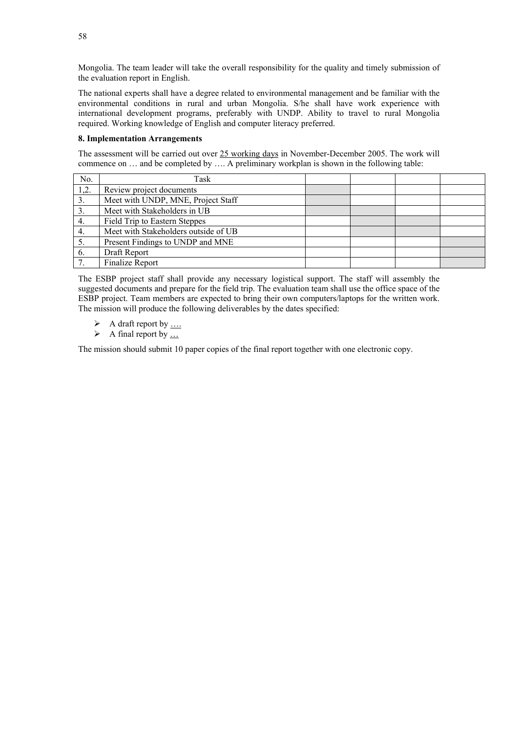Mongolia. The team leader will take the overall responsibility for the quality and timely submission of the evaluation report in English.

The national experts shall have a degree related to environmental management and be familiar with the environmental conditions in rural and urban Mongolia. S/he shall have work experience with international development programs, preferably with UNDP. Ability to travel to rural Mongolia required. Working knowledge of English and computer literacy preferred.

#### **8. Implementation Arrangements**

The assessment will be carried out over 25 working days in November-December 2005. The work will commence on … and be completed by …. A preliminary workplan is shown in the following table:

| No.          | Task                                 |  |  |
|--------------|--------------------------------------|--|--|
| 1,2.         | Review project documents             |  |  |
| 3.           | Meet with UNDP, MNE, Project Staff   |  |  |
| 3.           | Meet with Stakeholders in UB         |  |  |
| 4.           | Field Trip to Eastern Steppes        |  |  |
| 4.           | Meet with Stakeholders outside of UB |  |  |
| 5.           | Present Findings to UNDP and MNE     |  |  |
| 6.           | Draft Report                         |  |  |
| $\mathbf{7}$ | Finalize Report                      |  |  |

The ESBP project staff shall provide any necessary logistical support. The staff will assembly the suggested documents and prepare for the field trip. The evaluation team shall use the office space of the ESBP project. Team members are expected to bring their own computers/laptops for the written work. The mission will produce the following deliverables by the dates specified:

- $\triangleright$  A draft report by ....
- $\triangleright$  A final report by ...

The mission should submit 10 paper copies of the final report together with one electronic copy.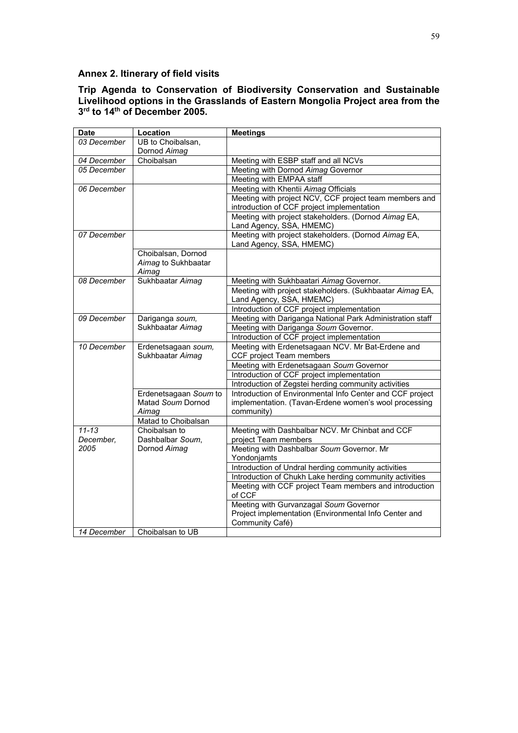# **Annex 2. Itinerary of field visits**

# **Trip Agenda to Conservation of Biodiversity Conservation and Sustainable Livelihood options in the Grasslands of Eastern Mongolia Project area from the 3rd to 14th of December 2005.**

| <b>Date</b> | Location              | <b>Meetings</b>                                           |
|-------------|-----------------------|-----------------------------------------------------------|
| 03 December | UB to Choibalsan,     |                                                           |
|             | Dornod Aimag          |                                                           |
| 04 December | Choibalsan            | Meeting with ESBP staff and all NCVs                      |
| 05 December |                       | Meeting with Dornod Aimag Governor                        |
|             |                       | Meeting with EMPAA staff                                  |
| 06 December |                       | Meeting with Khentii Aimag Officials                      |
|             |                       | Meeting with project NCV, CCF project team members and    |
|             |                       | introduction of CCF project implementation                |
|             |                       | Meeting with project stakeholders. (Dornod Aimag EA,      |
|             |                       | Land Agency, SSA, HMEMC)                                  |
| 07 December |                       | Meeting with project stakeholders. (Dornod Aimag EA,      |
|             |                       | Land Agency, SSA, HMEMC)                                  |
|             | Choibalsan, Dornod    |                                                           |
|             | Aimag to Sukhbaatar   |                                                           |
|             | Aimag                 |                                                           |
| 08 December | Sukhbaatar Aimag      | Meeting with Sukhbaatari Aimag Governor.                  |
|             |                       | Meeting with project stakeholders. (Sukhbaatar Aimag EA,  |
|             |                       | Land Agency, SSA, HMEMC)                                  |
|             |                       | Introduction of CCF project implementation                |
| 09 December | Dariganga soum,       | Meeting with Dariganga National Park Administration staff |
|             | Sukhbaatar Aimag      | Meeting with Dariganga Soum Governor.                     |
|             |                       | Introduction of CCF project implementation                |
| 10 December | Erdenetsagaan soum,   | Meeting with Erdenetsagaan NCV. Mr Bat-Erdene and         |
|             | Sukhbaatar Aimag      | CCF project Team members                                  |
|             |                       | Meeting with Erdenetsagaan Soum Governor                  |
|             |                       | Introduction of CCF project implementation                |
|             |                       | Introduction of Zegstei herding community activities      |
|             | Erdenetsagaan Soum to | Introduction of Environmental Info Center and CCF project |
|             | Matad Soum Dornod     | implementation. (Tavan-Erdene women's wool processing     |
|             | Aimag                 | community)                                                |
|             | Matad to Choibalsan   |                                                           |
| $11 - 13$   | Choibalsan to         | Meeting with Dashbalbar NCV. Mr Chinbat and CCF           |
| December,   | Dashbalbar Soum,      | project Team members                                      |
| 2005        | Dornod Aimag          | Meeting with Dashbalbar Soum Governor. Mr                 |
|             |                       | Yondonjamts                                               |
|             |                       | Introduction of Undral herding community activities       |
|             |                       | Introduction of Chukh Lake herding community activities   |
|             |                       | Meeting with CCF project Team members and introduction    |
|             |                       | of CCF                                                    |
|             |                       | Meeting with Gurvanzagal Soum Governor                    |
|             |                       | Project implementation (Environmental Info Center and     |
|             |                       | Community Café)                                           |
| 14 December | Choibalsan to UB      |                                                           |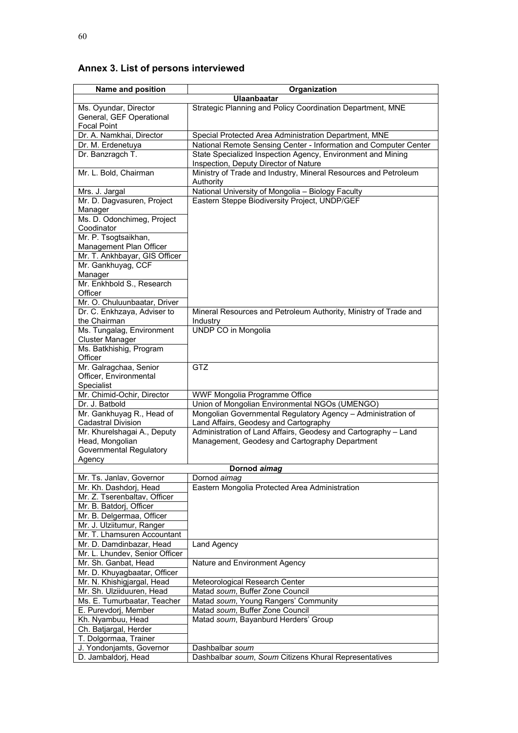# **Annex 3. List of persons interviewed**

| Name and position                                        | Organization                                                                                            |
|----------------------------------------------------------|---------------------------------------------------------------------------------------------------------|
|                                                          | <b>Ulaanbaatar</b>                                                                                      |
| Ms. Oyundar, Director                                    | Strategic Planning and Policy Coordination Department, MNE                                              |
| General, GEF Operational                                 |                                                                                                         |
| <b>Focal Point</b>                                       |                                                                                                         |
| Dr. A. Namkhai, Director                                 | Special Protected Area Administration Department, MNE                                                   |
| Dr. M. Erdenetuya                                        | National Remote Sensing Center - Information and Computer Center                                        |
| Dr. Banzragch T.                                         | State Specialized Inspection Agency, Environment and Mining                                             |
|                                                          | Inspection, Deputy Director of Nature                                                                   |
| Mr. L. Bold, Chairman                                    | Ministry of Trade and Industry, Mineral Resources and Petroleum                                         |
|                                                          | Authority                                                                                               |
| Mrs. J. Jargal                                           | National University of Mongolia - Biology Faculty                                                       |
| Mr. D. Dagvasuren, Project                               | Eastern Steppe Biodiversity Project, UNDP/GEF                                                           |
| Manager<br>Ms. D. Odonchimeg, Project                    |                                                                                                         |
| Coodinator                                               |                                                                                                         |
| Mr. P. Tsogtsaikhan,                                     |                                                                                                         |
| Management Plan Officer                                  |                                                                                                         |
| Mr. T. Ankhbayar, GIS Officer                            |                                                                                                         |
| Mr. Gankhuyag, CCF                                       |                                                                                                         |
| Manager                                                  |                                                                                                         |
| Mr. Enkhbold S., Research                                |                                                                                                         |
| Officer                                                  |                                                                                                         |
| Mr. O. Chuluunbaatar, Driver                             |                                                                                                         |
| Dr. C. Enkhzaya, Adviser to                              | Mineral Resources and Petroleum Authority, Ministry of Trade and                                        |
| the Chairman                                             | Industry                                                                                                |
| Ms. Tungalag, Environment                                | UNDP CO in Mongolia                                                                                     |
| <b>Cluster Manager</b>                                   |                                                                                                         |
| Ms. Batkhishig, Program                                  |                                                                                                         |
| Officer                                                  |                                                                                                         |
| Mr. Galragchaa, Senior                                   | <b>GTZ</b>                                                                                              |
| Officer, Environmental                                   |                                                                                                         |
| Specialist                                               |                                                                                                         |
| Mr. Chimid-Ochir, Director                               | WWF Mongolia Programme Office                                                                           |
| Dr. J. Batbold                                           | Union of Mongolian Environmental NGOs (UMENGO)                                                          |
| Mr. Gankhuyag R., Head of                                | Mongolian Governmental Regulatory Agency - Administration of                                            |
| <b>Cadastral Division</b><br>Mr. Khurelshagai A., Deputy | Land Affairs, Geodesy and Cartography<br>Administration of Land Affairs, Geodesy and Cartography - Land |
| Head, Mongolian                                          |                                                                                                         |
| <b>Governmental Regulatory</b>                           | Management, Geodesy and Cartography Department                                                          |
| Agency                                                   |                                                                                                         |
|                                                          | Dornod aimag                                                                                            |
| Mr. Ts. Janlav, Governor                                 | Dornod aimag                                                                                            |
| Mr. Kh. Dashdorj, Head                                   | Eastern Mongolia Protected Area Administration                                                          |
| Mr. Z. Tserenbaltav, Officer                             |                                                                                                         |
| Mr. B. Batdorj, Officer                                  |                                                                                                         |
| Mr. B. Delgermaa, Officer                                |                                                                                                         |
| Mr. J. Ulziitumur, Ranger                                |                                                                                                         |
| Mr. T. Lhamsuren Accountant                              |                                                                                                         |
| Mr. D. Damdinbazar, Head                                 | Land Agency                                                                                             |
| Mr. L. Lhundev, Senior Officer                           |                                                                                                         |
| Mr. Sh. Ganbat, Head                                     | Nature and Environment Agency                                                                           |
| Mr. D. Khuyagbaatar, Officer                             |                                                                                                         |
| Mr. N. Khishigjargal, Head                               | Meteorological Research Center                                                                          |
| Mr. Sh. Ulziiduuren, Head                                | Matad soum, Buffer Zone Council                                                                         |
| Ms. E. Tumurbaatar, Teacher                              | Matad soum, Young Rangers' Community                                                                    |
| E. Purevdorj, Member                                     | Matad soum, Buffer Zone Council                                                                         |
| Kh. Nyambuu, Head                                        | Matad soum, Bayanburd Herders' Group                                                                    |
| Ch. Batjargal, Herder                                    |                                                                                                         |
| T. Dolgormaa, Trainer                                    |                                                                                                         |
| J. Yondonjamts, Governor                                 | Dashbalbar soum                                                                                         |
| D. Jambaldorj, Head                                      | Dashbalbar soum, Soum Citizens Khural Representatives                                                   |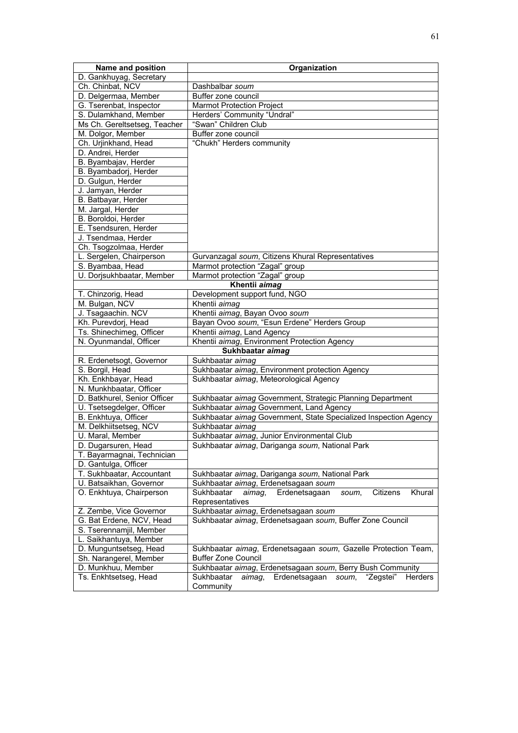| Name and position            | Organization                                                                            |
|------------------------------|-----------------------------------------------------------------------------------------|
| D. Gankhuyag, Secretary      |                                                                                         |
| Ch. Chinbat, NCV             | Dashbalbar soum                                                                         |
| D. Delgermaa, Member         | Buffer zone council                                                                     |
| G. Tserenbat, Inspector      | <b>Marmot Protection Project</b>                                                        |
| S. Dulamkhand, Member        | Herders' Community "Undral"                                                             |
| Ms Ch. Gereltsetseg, Teacher | "Swan" Children Club                                                                    |
| M. Dolgor, Member            | Buffer zone council                                                                     |
| Ch. Urjinkhand, Head         | "Chukh" Herders community                                                               |
| D. Andrei, Herder            |                                                                                         |
| B. Byambajav, Herder         |                                                                                         |
| B. Byambadorj, Herder        |                                                                                         |
| D. Gulgun, Herder            |                                                                                         |
| J. Jamyan, Herder            |                                                                                         |
| B. Batbayar, Herder          |                                                                                         |
| M. Jargal, Herder            |                                                                                         |
| B. Boroldoi, Herder          |                                                                                         |
| E. Tsendsuren, Herder        |                                                                                         |
| J. Tsendmaa, Herder          |                                                                                         |
| Ch. Tsogzolmaa, Herder       |                                                                                         |
| L. Sergelen, Chairperson     | Gurvanzagal soum, Citizens Khural Representatives                                       |
| S. Byambaa, Head             | Marmot protection "Zagal" group                                                         |
| U. Dorjsukhbaatar, Member    | Marmot protection "Zagal" group                                                         |
|                              | Khentii aimag                                                                           |
| T. Chinzorig, Head           | Development support fund, NGO                                                           |
| M. Bulgan, NCV               | Khentii aimag                                                                           |
| J. Tsagaachin. NCV           | Khentii aimag, Bayan Ovoo soum                                                          |
| Kh. Purevdorj, Head          | Bayan Ovoo soum, "Esun Erdene" Herders Group                                            |
| Ts. Shinechimeg, Officer     | Khentii aimag, Land Agency                                                              |
| N. Oyunmandal, Officer       | Khentii aimag, Environment Protection Agency                                            |
|                              | Sukhbaatar aimag                                                                        |
| R. Erdenetsogt, Governor     | Sukhbaatar aimag                                                                        |
| S. Borgil, Head              | Sukhbaatar aimag, Environment protection Agency                                         |
| Kh. Enkhbayar, Head          | Sukhbaatar aimag, Meteorological Agency                                                 |
| N. Munkhbaatar, Officer      |                                                                                         |
| D. Batkhurel, Senior Officer | Sukhbaatar aimag Government, Strategic Planning Department                              |
| U. Tsetsegdelger, Officer    | Sukhbaatar aimag Government, Land Agency                                                |
| B. Enkhtuya, Officer         | Sukhbaatar aimag Government, State Specialized Inspection Agency                        |
| M. Delkhiitsetseg, NCV       | Sukhbaatar aimag                                                                        |
| U. Maral, Member             | Sukhbaatar aimag, Junior Environmental Club                                             |
| D. Dugarsuren, Head          | Sukhbaatar aimag, Dariganga soum, National Park                                         |
| T. Bayarmagnai, Technician   |                                                                                         |
| D. Gantulga, Officer         |                                                                                         |
| T. Sukhbaatar, Accountant    | Sukhbaatar aimag, Dariganga soum, National Park                                         |
| U. Batsaikhan, Governor      | Sukhbaatar aimag, Erdenetsagaan soum                                                    |
| O. Enkhtuya, Chairperson     | Khural<br>Sukhbaatar<br>Erdenetsagaan<br>Citizens<br>aimag,<br>soum,<br>Representatives |
| Z. Zembe, Vice Governor      | Sukhbaatar aimag, Erdenetsagaan soum                                                    |
| G. Bat Erdene, NCV, Head     | Sukhbaatar aimag, Erdenetsagaan soum, Buffer Zone Council                               |
| S. Tserennamjil, Member      |                                                                                         |
| L. Saikhantuya, Member       |                                                                                         |
| D. Munguntsetseg, Head       | Sukhbaatar aimag, Erdenetsagaan soum, Gazelle Protection Team,                          |
| Sh. Narangerel, Member       | <b>Buffer Zone Council</b>                                                              |
| D. Munkhuu, Member           | Sukhbaatar aimag, Erdenetsagaan soum, Berry Bush Community                              |
| Ts. Enkhtsetseg, Head        | Erdenetsagaan<br>"Zegstei"<br>Herders<br>aimag,<br>Sukhbaatar<br>soum,                  |
|                              | Community                                                                               |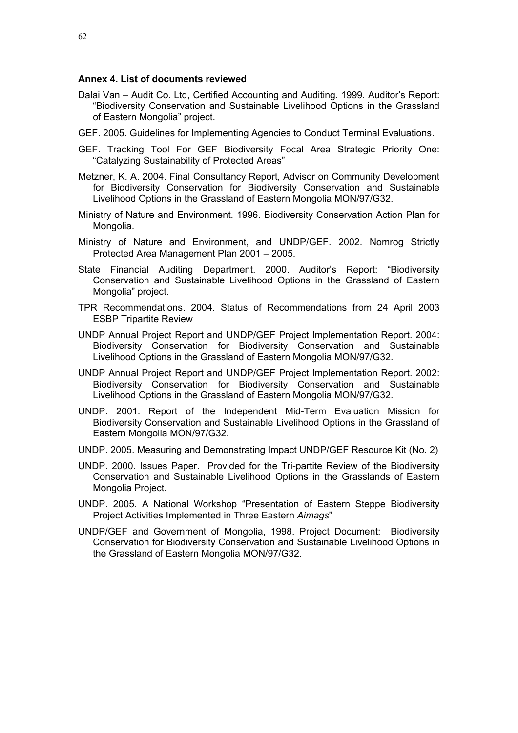# **Annex 4. List of documents reviewed**

- Dalai Van Audit Co. Ltd, Certified Accounting and Auditing. 1999. Auditor's Report: "Biodiversity Conservation and Sustainable Livelihood Options in the Grassland of Eastern Mongolia" project.
- GEF. 2005. Guidelines for Implementing Agencies to Conduct Terminal Evaluations.
- GEF. Tracking Tool For GEF Biodiversity Focal Area Strategic Priority One: "Catalyzing Sustainability of Protected Areas"
- Metzner, K. A. 2004. Final Consultancy Report, Advisor on Community Development for Biodiversity Conservation for Biodiversity Conservation and Sustainable Livelihood Options in the Grassland of Eastern Mongolia MON/97/G32.
- Ministry of Nature and Environment. 1996. Biodiversity Conservation Action Plan for Mongolia.
- Ministry of Nature and Environment, and UNDP/GEF. 2002. Nomrog Strictly Protected Area Management Plan 2001 – 2005.
- State Financial Auditing Department. 2000. Auditor's Report: "Biodiversity Conservation and Sustainable Livelihood Options in the Grassland of Eastern Mongolia" project.
- TPR Recommendations. 2004. Status of Recommendations from 24 April 2003 ESBP Tripartite Review
- UNDP Annual Project Report and UNDP/GEF Project Implementation Report. 2004: Biodiversity Conservation for Biodiversity Conservation and Sustainable Livelihood Options in the Grassland of Eastern Mongolia MON/97/G32.
- UNDP Annual Project Report and UNDP/GEF Project Implementation Report. 2002: Biodiversity Conservation for Biodiversity Conservation and Sustainable Livelihood Options in the Grassland of Eastern Mongolia MON/97/G32.
- UNDP. 2001. Report of the Independent Mid-Term Evaluation Mission for Biodiversity Conservation and Sustainable Livelihood Options in the Grassland of Eastern Mongolia MON/97/G32.
- UNDP. 2005. Measuring and Demonstrating Impact UNDP/GEF Resource Kit (No. 2)
- UNDP. 2000. Issues Paper. Provided for the Tri-partite Review of the Biodiversity Conservation and Sustainable Livelihood Options in the Grasslands of Eastern Mongolia Project.
- UNDP. 2005. A National Workshop "Presentation of Eastern Steppe Biodiversity Project Activities Implemented in Three Eastern *Aimags*"
- UNDP/GEF and Government of Mongolia, 1998. Project Document: Biodiversity Conservation for Biodiversity Conservation and Sustainable Livelihood Options in the Grassland of Eastern Mongolia MON/97/G32.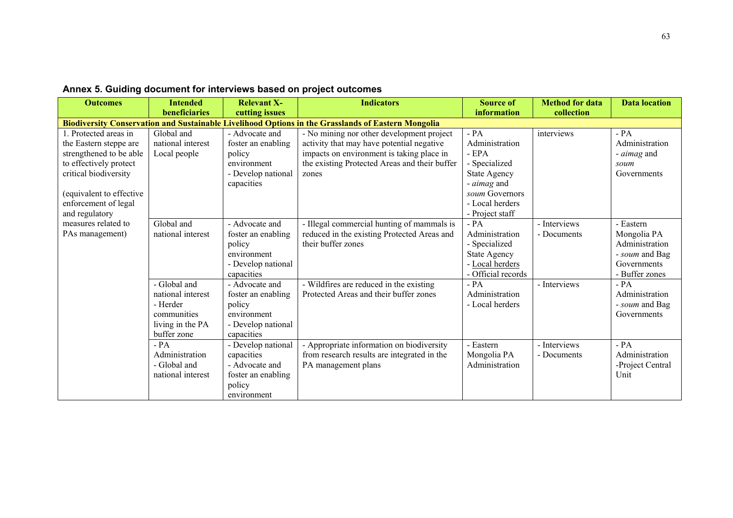| <b>Outcomes</b>                                                                                                                                                                                    | <b>Intended</b><br>beneficiaries                                                                | <b>Relevant X-</b><br>cutting issues                                                              | <b>Indicators</b>                                                                                                                                                                             | <b>Source of</b><br>information                                                                                                                  | <b>Method for data</b><br>collection | <b>Data location</b>                                                                          |
|----------------------------------------------------------------------------------------------------------------------------------------------------------------------------------------------------|-------------------------------------------------------------------------------------------------|---------------------------------------------------------------------------------------------------|-----------------------------------------------------------------------------------------------------------------------------------------------------------------------------------------------|--------------------------------------------------------------------------------------------------------------------------------------------------|--------------------------------------|-----------------------------------------------------------------------------------------------|
|                                                                                                                                                                                                    |                                                                                                 |                                                                                                   | <b>Biodiversity Conservation and Sustainable Livelihood Options in the Grasslands of Eastern Mongolia</b>                                                                                     |                                                                                                                                                  |                                      |                                                                                               |
| 1. Protected areas in<br>the Eastern steppe are<br>strengthened to be able<br>to effectively protect<br>critical biodiversity<br>equivalent to effective<br>enforcement of legal<br>and regulatory | Global and<br>national interest<br>Local people                                                 | - Advocate and<br>foster an enabling<br>policy<br>environment<br>- Develop national<br>capacities | - No mining nor other development project<br>activity that may have potential negative<br>impacts on environment is taking place in<br>the existing Protected Areas and their buffer<br>zones | $- PA$<br>Administration<br>- EPA<br>- Specialized<br><b>State Agency</b><br>- aimag and<br>soum Governors<br>- Local herders<br>- Project staff | interviews                           | $- PA$<br>Administration<br>- <i>aimag</i> and<br>soum<br>Governments                         |
| measures related to<br>PAs management)                                                                                                                                                             | Global and<br>national interest                                                                 | - Advocate and<br>foster an enabling<br>policy<br>environment<br>- Develop national<br>capacities | - Illegal commercial hunting of mammals is<br>reduced in the existing Protected Areas and<br>their buffer zones                                                                               | $- PA$<br>Administration<br>- Specialized<br><b>State Agency</b><br>- Local herders<br>- Official records                                        | - Interviews<br>- Documents          | - Eastern<br>Mongolia PA<br>Administration<br>- soum and Bag<br>Governments<br>- Buffer zones |
|                                                                                                                                                                                                    | - Global and<br>national interest<br>- Herder<br>communities<br>living in the PA<br>buffer zone | - Advocate and<br>foster an enabling<br>policy<br>environment<br>- Develop national<br>capacities | - Wildfires are reduced in the existing<br>Protected Areas and their buffer zones                                                                                                             | $- PA$<br>Administration<br>- Local herders                                                                                                      | - Interviews                         | $- PA$<br>Administration<br>- soum and Bag<br>Governments                                     |
|                                                                                                                                                                                                    | $- PA$<br>Administration<br>- Global and<br>national interest                                   | - Develop national<br>capacities<br>- Advocate and<br>foster an enabling<br>policy<br>environment | - Appropriate information on biodiversity<br>from research results are integrated in the<br>PA management plans                                                                               | - Eastern<br>Mongolia PA<br>Administration                                                                                                       | - Interviews<br>- Documents          | $-PA$<br>Administration<br>-Project Central<br>Unit                                           |

# **Annex 5. Guiding document for interviews based on project outcomes**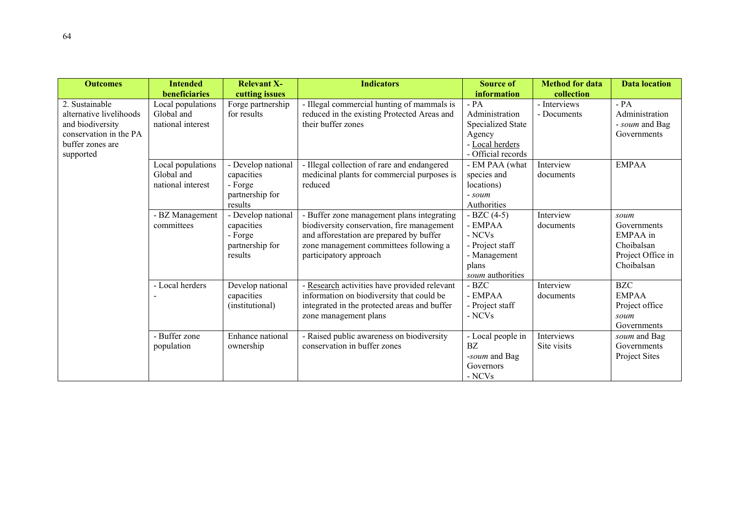| <b>Outcomes</b>                                                                                                          | <b>Intended</b><br>beneficiaries                     | <b>Relevant X-</b><br>cutting issues                                      | <b>Indicators</b>                                                                                                                                                                                        | <b>Source of</b><br>information                                                                  | <b>Method for data</b><br>collection | <b>Data location</b>                                                             |
|--------------------------------------------------------------------------------------------------------------------------|------------------------------------------------------|---------------------------------------------------------------------------|----------------------------------------------------------------------------------------------------------------------------------------------------------------------------------------------------------|--------------------------------------------------------------------------------------------------|--------------------------------------|----------------------------------------------------------------------------------|
| 2. Sustainable<br>alternative livelihoods<br>and biodiversity<br>conservation in the PA<br>buffer zones are<br>supported | Local populations<br>Global and<br>national interest | Forge partnership<br>for results                                          | - Illegal commercial hunting of mammals is<br>reduced in the existing Protected Areas and<br>their buffer zones                                                                                          | $-PA$<br>Administration<br>Specialized State<br>Agency<br>- Local herders<br>- Official records  | - Interviews<br>- Documents          | $-PA$<br>Administration<br>- soum and Bag<br>Governments                         |
|                                                                                                                          | Local populations<br>Global and<br>national interest | - Develop national<br>capacities<br>- Forge<br>partnership for<br>results | - Illegal collection of rare and endangered<br>medicinal plants for commercial purposes is<br>reduced                                                                                                    | - EM PAA (what<br>species and<br>locations)<br>- soum<br>Authorities                             | Interview<br>documents               | <b>EMPAA</b>                                                                     |
|                                                                                                                          | - BZ Management<br>committees                        | - Develop national<br>capacities<br>- Forge<br>partnership for<br>results | - Buffer zone management plans integrating<br>biodiversity conservation, fire management<br>and afforestation are prepared by buffer<br>zone management committees following a<br>participatory approach | $-BZC(4-5)$<br>- EMPAA<br>- NCVs<br>- Project staff<br>- Management<br>plans<br>soum authorities | Interview<br>documents               | soum<br>Governments<br>EMPAA in<br>Choibalsan<br>Project Office in<br>Choibalsan |
|                                                                                                                          | - Local herders                                      | Develop national<br>capacities<br>(institutional)                         | - Research activities have provided relevant<br>information on biodiversity that could be<br>integrated in the protected areas and buffer<br>zone management plans                                       | - BZC<br>- EMPAA<br>- Project staff<br>- NCVs                                                    | Interview<br>documents               | <b>BZC</b><br><b>EMPAA</b><br>Project office<br>soum<br>Governments              |
|                                                                                                                          | - Buffer zone<br>population                          | Enhance national<br>ownership                                             | - Raised public awareness on biodiversity<br>conservation in buffer zones                                                                                                                                | - Local people in<br>BZ.<br>-soum and Bag<br>Governors<br>- NCVs                                 | Interviews<br>Site visits            | soum and Bag<br>Governments<br>Project Sites                                     |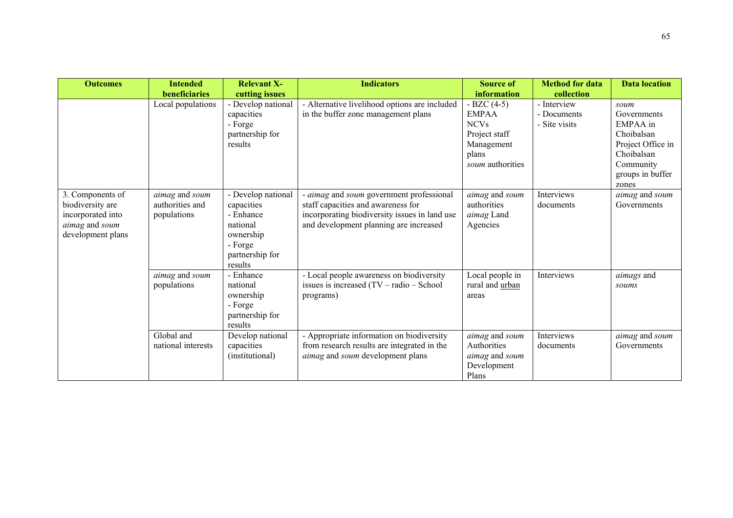| <b>Outcomes</b>                                                                                  | <b>Intended</b>                                  | <b>Relevant X-</b>                                                                                              | <b>Indicators</b>                                                                                                                                                         | <b>Source of</b>                                                                                       | <b>Method for data</b>                      | <b>Data location</b>                                                                                              |
|--------------------------------------------------------------------------------------------------|--------------------------------------------------|-----------------------------------------------------------------------------------------------------------------|---------------------------------------------------------------------------------------------------------------------------------------------------------------------------|--------------------------------------------------------------------------------------------------------|---------------------------------------------|-------------------------------------------------------------------------------------------------------------------|
|                                                                                                  | beneficiaries                                    | cutting issues                                                                                                  |                                                                                                                                                                           | information                                                                                            | collection                                  |                                                                                                                   |
|                                                                                                  | Local populations                                | - Develop national<br>capacities<br>- Forge<br>partnership for<br>results                                       | - Alternative livelihood options are included<br>in the buffer zone management plans                                                                                      | $-BZC(4-5)$<br><b>EMPAA</b><br><b>NCVs</b><br>Project staff<br>Management<br>plans<br>soum authorities | - Interview<br>- Documents<br>- Site visits | soum<br>Governments<br>EMPAA in<br>Choibalsan<br>Project Office in<br>Choibalsan<br>Community<br>groups in buffer |
| 3. Components of<br>biodiversity are<br>incorporated into<br>aimag and soum<br>development plans | aimag and soum<br>authorities and<br>populations | - Develop national<br>capacities<br>- Enhance<br>national<br>ownership<br>- Forge<br>partnership for<br>results | - aimag and soum government professional<br>staff capacities and awareness for<br>incorporating biodiversity issues in land use<br>and development planning are increased | aimag and soum<br>authorities<br>aimag Land<br>Agencies                                                | Interviews<br>documents                     | zones<br>aimag and soum<br>Governments                                                                            |
|                                                                                                  | aimag and soum<br>populations                    | - Enhance<br>national<br>ownership<br>- Forge<br>partnership for<br>results                                     | - Local people awareness on biodiversity<br>issues is increased $(TV - radio - School)$<br>programs)                                                                      | Local people in<br>rural and urban<br>areas                                                            | Interviews                                  | aimags and<br>soums                                                                                               |
|                                                                                                  | Global and<br>national interests                 | Develop national<br>capacities<br>(institutional)                                                               | - Appropriate information on biodiversity<br>from research results are integrated in the<br>aimag and soum development plans                                              | aimag and soum<br>Authorities<br>aimag and soum<br>Development<br>Plans                                | Interviews<br>documents                     | aimag and soum<br>Governments                                                                                     |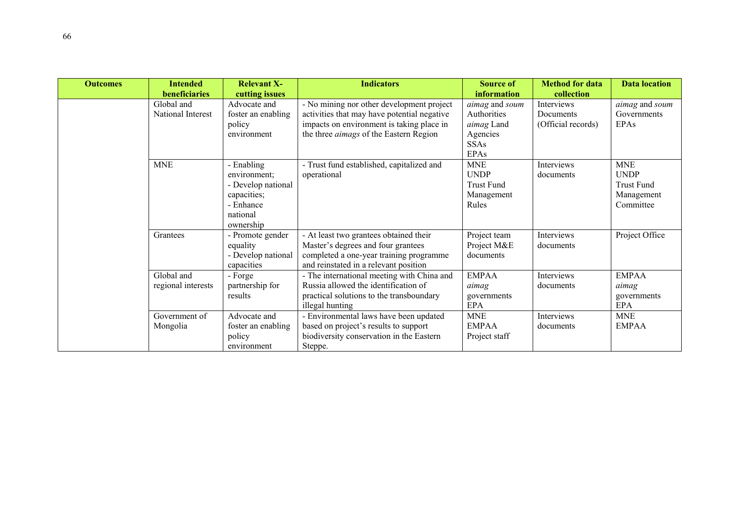| <b>Outcomes</b> | <b>Intended</b><br>beneficiaries | <b>Relevant X-</b> | <b>Indicators</b>                             | <b>Source of</b>  | <b>Method for data</b> | <b>Data location</b>         |
|-----------------|----------------------------------|--------------------|-----------------------------------------------|-------------------|------------------------|------------------------------|
|                 |                                  | cutting issues     |                                               | information       | collection             |                              |
|                 | Global and                       | Advocate and       | - No mining nor other development project     | aimag and soum    | Interviews             | <i>aimag</i> and <i>soum</i> |
|                 | National Interest                | foster an enabling | activities that may have potential negative   | Authorities       | Documents              | Governments                  |
|                 |                                  | policy             | impacts on environment is taking place in     | aimag Land        | (Official records)     | EPAs                         |
|                 |                                  | environment        | the three <i>aimags</i> of the Eastern Region | Agencies          |                        |                              |
|                 |                                  |                    |                                               | <b>SSAs</b>       |                        |                              |
|                 |                                  |                    |                                               | <b>EPAs</b>       |                        |                              |
|                 | <b>MNE</b>                       | - Enabling         | - Trust fund established, capitalized and     | <b>MNE</b>        | Interviews             | <b>MNE</b>                   |
|                 |                                  | environment;       | operational                                   | <b>UNDP</b>       | documents              | <b>UNDP</b>                  |
|                 |                                  | - Develop national |                                               | <b>Trust Fund</b> |                        | <b>Trust Fund</b>            |
|                 |                                  | capacities;        |                                               | Management        |                        | Management                   |
|                 |                                  | - Enhance          |                                               | Rules             |                        | Committee                    |
|                 |                                  | national           |                                               |                   |                        |                              |
|                 |                                  | ownership          |                                               |                   |                        |                              |
|                 | Grantees                         | - Promote gender   | - At least two grantees obtained their        | Project team      | Interviews             | Project Office               |
|                 |                                  | equality           | Master's degrees and four grantees            | Project M&E       | documents              |                              |
|                 |                                  | - Develop national | completed a one-year training programme       | documents         |                        |                              |
|                 |                                  | capacities         | and reinstated in a relevant position         |                   |                        |                              |
|                 | Global and                       | - Forge            | - The international meeting with China and    | <b>EMPAA</b>      | Interviews             | <b>EMPAA</b>                 |
|                 | regional interests               | partnership for    | Russia allowed the identification of          | aimag             | documents              | aimag                        |
|                 |                                  | results            | practical solutions to the transboundary      | governments       |                        | governments                  |
|                 |                                  |                    | illegal hunting                               | <b>EPA</b>        |                        | <b>EPA</b>                   |
|                 | Government of                    | Advocate and       | - Environmental laws have been updated        | <b>MNE</b>        | Interviews             | <b>MNE</b>                   |
|                 | Mongolia                         | foster an enabling | based on project's results to support         | <b>EMPAA</b>      | documents              | <b>EMPAA</b>                 |
|                 |                                  | policy             | biodiversity conservation in the Eastern      | Project staff     |                        |                              |
|                 |                                  | environment        | Steppe.                                       |                   |                        |                              |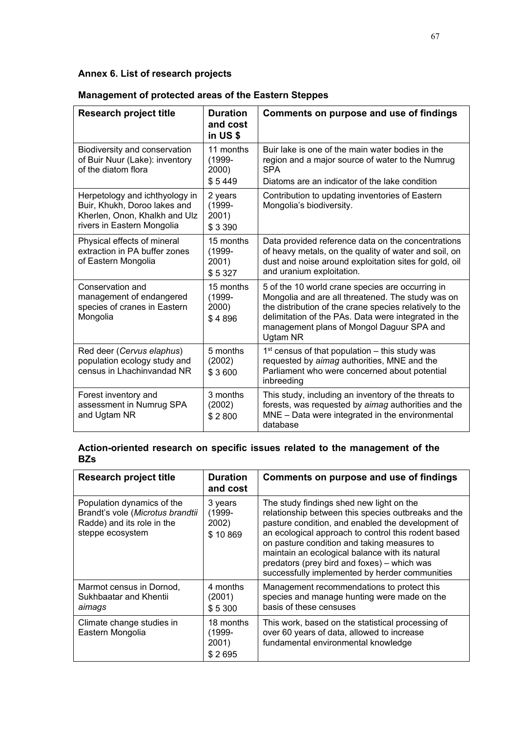## **Annex 6. List of research projects**

| <b>Research project title</b>                                                                                                 | <b>Duration</b><br>and cost<br>in US \$   | Comments on purpose and use of findings                                                                                                                                                                                                                                           |
|-------------------------------------------------------------------------------------------------------------------------------|-------------------------------------------|-----------------------------------------------------------------------------------------------------------------------------------------------------------------------------------------------------------------------------------------------------------------------------------|
| Biodiversity and conservation<br>of Buir Nuur (Lake): inventory<br>of the diatom flora                                        | 11 months<br>$(1999 -$<br>2000)<br>\$5449 | Buir lake is one of the main water bodies in the<br>region and a major source of water to the Numrug<br><b>SPA</b><br>Diatoms are an indicator of the lake condition                                                                                                              |
| Herpetology and ichthyology in<br>Buir, Khukh, Doroo lakes and<br>Kherlen, Onon, Khalkh and Ulz<br>rivers in Eastern Mongolia | 2 years<br>$(1999 -$<br>2001)<br>\$3390   | Contribution to updating inventories of Eastern<br>Mongolia's biodiversity.                                                                                                                                                                                                       |
| Physical effects of mineral<br>extraction in PA buffer zones<br>of Eastern Mongolia                                           | 15 months<br>$(1999 -$<br>2001)<br>\$5327 | Data provided reference data on the concentrations<br>of heavy metals, on the quality of water and soil, on<br>dust and noise around exploitation sites for gold, oil<br>and uranium exploitation.                                                                                |
| Conservation and<br>management of endangered<br>species of cranes in Eastern<br>Mongolia                                      | 15 months<br>$(1999 -$<br>2000)<br>\$4896 | 5 of the 10 world crane species are occurring in<br>Mongolia and are all threatened. The study was on<br>the distribution of the crane species relatively to the<br>delimitation of the PAs. Data were integrated in the<br>management plans of Mongol Daguur SPA and<br>Ugtam NR |
| Red deer (Cervus elaphus)<br>population ecology study and<br>census in Lhachinvandad NR                                       | 5 months<br>(2002)<br>\$3600              | $1st$ census of that population – this study was<br>requested by aimag authorities, MNE and the<br>Parliament who were concerned about potential<br>inbreeding                                                                                                                    |
| Forest inventory and<br>assessment in Numrug SPA<br>and Ugtam NR                                                              | 3 months<br>(2002)<br>\$2800              | This study, including an inventory of the threats to<br>forests, was requested by aimag authorities and the<br>MNE - Data were integrated in the environmental<br>database                                                                                                        |

## **Management of protected areas of the Eastern Steppes**

## **Action-oriented research on specific issues related to the management of the BZs**

| <b>Research project title</b>                                                                                    | <b>Duration</b><br>and cost              | Comments on purpose and use of findings                                                                                                                                                                                                                                                                                                                                                                        |
|------------------------------------------------------------------------------------------------------------------|------------------------------------------|----------------------------------------------------------------------------------------------------------------------------------------------------------------------------------------------------------------------------------------------------------------------------------------------------------------------------------------------------------------------------------------------------------------|
| Population dynamics of the<br>Brandt's vole (Microtus brandtii<br>Radde) and its role in the<br>steppe ecosystem | 3 years<br>$(1999 -$<br>2002)<br>\$10869 | The study findings shed new light on the<br>relationship between this species outbreaks and the<br>pasture condition, and enabled the development of<br>an ecological approach to control this rodent based<br>on pasture condition and taking measures to<br>maintain an ecological balance with its natural<br>predators (prey bird and foxes) - which was<br>successfully implemented by herder communities |
| Marmot census in Dornod,<br>Sukhbaatar and Khentii<br>aimags                                                     | 4 months<br>(2001)<br>\$5300             | Management recommendations to protect this<br>species and manage hunting were made on the<br>basis of these censuses                                                                                                                                                                                                                                                                                           |
| Climate change studies in<br>Eastern Mongolia                                                                    | 18 months<br>(1999-<br>2001)<br>\$2695   | This work, based on the statistical processing of<br>over 60 years of data, allowed to increase<br>fundamental environmental knowledge                                                                                                                                                                                                                                                                         |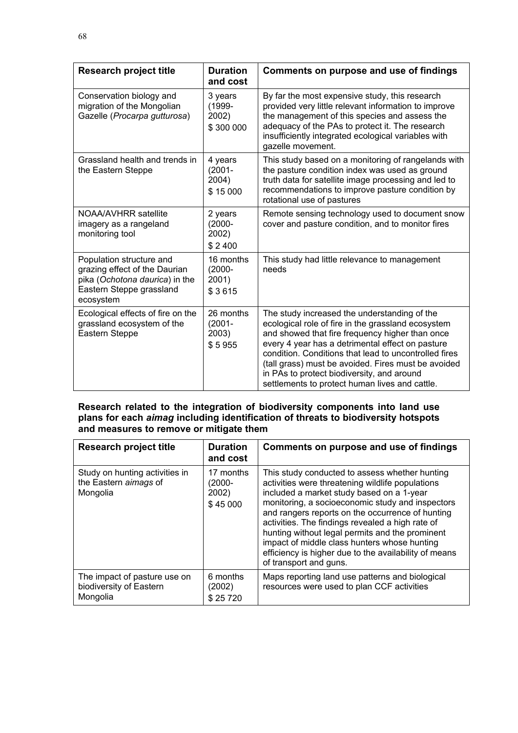| <b>Research project title</b>                                                                                                        | <b>Duration</b><br>and cost                | Comments on purpose and use of findings                                                                                                                                                                                                                                                                                                                                                                                   |
|--------------------------------------------------------------------------------------------------------------------------------------|--------------------------------------------|---------------------------------------------------------------------------------------------------------------------------------------------------------------------------------------------------------------------------------------------------------------------------------------------------------------------------------------------------------------------------------------------------------------------------|
| Conservation biology and<br>migration of the Mongolian<br>Gazelle (Procarpa gutturosa)                                               | 3 years<br>$(1999 -$<br>2002)<br>\$300 000 | By far the most expensive study, this research<br>provided very little relevant information to improve<br>the management of this species and assess the<br>adequacy of the PAs to protect it. The research<br>insufficiently integrated ecological variables with<br>gazelle movement.                                                                                                                                    |
| Grassland health and trends in<br>the Eastern Steppe                                                                                 | 4 years<br>$(2001 -$<br>2004)<br>\$15000   | This study based on a monitoring of rangelands with<br>the pasture condition index was used as ground<br>truth data for satellite image processing and led to<br>recommendations to improve pasture condition by<br>rotational use of pastures                                                                                                                                                                            |
| NOAA/AVHRR satellite<br>imagery as a rangeland<br>monitoring tool                                                                    | 2 years<br>$(2000 -$<br>2002)<br>\$2400    | Remote sensing technology used to document snow<br>cover and pasture condition, and to monitor fires                                                                                                                                                                                                                                                                                                                      |
| Population structure and<br>grazing effect of the Daurian<br>pika (Ochotona daurica) in the<br>Eastern Steppe grassland<br>ecosystem | 16 months<br>$(2000 -$<br>2001)<br>\$3615  | This study had little relevance to management<br>needs                                                                                                                                                                                                                                                                                                                                                                    |
| Ecological effects of fire on the<br>grassland ecosystem of the<br>Eastern Steppe                                                    | 26 months<br>$(2001 -$<br>2003)<br>\$5955  | The study increased the understanding of the<br>ecological role of fire in the grassland ecosystem<br>and showed that fire frequency higher than once<br>every 4 year has a detrimental effect on pasture<br>condition. Conditions that lead to uncontrolled fires<br>(tall grass) must be avoided. Fires must be avoided<br>in PAs to protect biodiversity, and around<br>settlements to protect human lives and cattle. |

## **Research related to the integration of biodiversity components into land use plans for each** *aimag* **including identification of threats to biodiversity hotspots and measures to remove or mitigate them**

| <b>Research project title</b>                                       | <b>Duration</b><br>and cost                 | Comments on purpose and use of findings                                                                                                                                                                                                                                                                                                                                                                                                                                                           |
|---------------------------------------------------------------------|---------------------------------------------|---------------------------------------------------------------------------------------------------------------------------------------------------------------------------------------------------------------------------------------------------------------------------------------------------------------------------------------------------------------------------------------------------------------------------------------------------------------------------------------------------|
| Study on hunting activities in<br>the Eastern aimags of<br>Mongolia | 17 months<br>$(2000 -$<br>2002)<br>\$45 000 | This study conducted to assess whether hunting<br>activities were threatening wildlife populations<br>included a market study based on a 1-year<br>monitoring, a socioeconomic study and inspectors<br>and rangers reports on the occurrence of hunting<br>activities. The findings revealed a high rate of<br>hunting without legal permits and the prominent<br>impact of middle class hunters whose hunting<br>efficiency is higher due to the availability of means<br>of transport and guns. |
| The impact of pasture use on<br>biodiversity of Eastern<br>Mongolia | 6 months<br>(2002)<br>\$25720               | Maps reporting land use patterns and biological<br>resources were used to plan CCF activities                                                                                                                                                                                                                                                                                                                                                                                                     |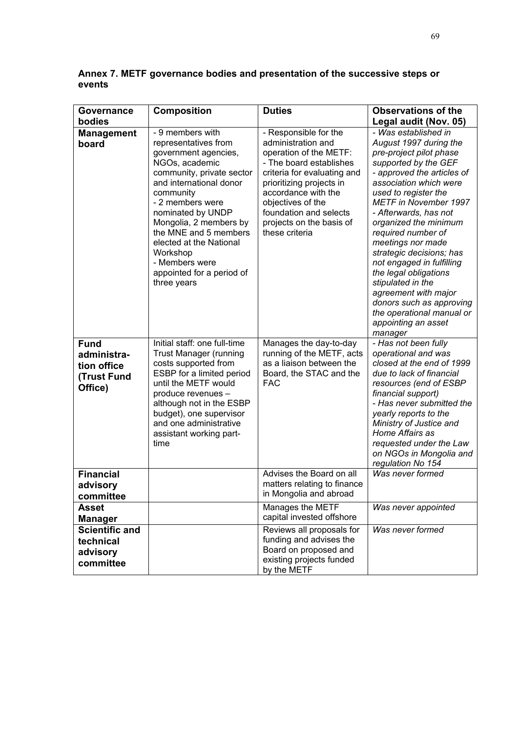| <b>Governance</b>                                           | <b>Composition</b>                                                                                                                                                                                                                                                                                                                                                                       | <b>Duties</b>                                                                                                                                                                                                                                                                                             | <b>Observations of the</b>                                                                                                                                                                                                                                                                                                                                                                                                                                                                                                                                       |
|-------------------------------------------------------------|------------------------------------------------------------------------------------------------------------------------------------------------------------------------------------------------------------------------------------------------------------------------------------------------------------------------------------------------------------------------------------------|-----------------------------------------------------------------------------------------------------------------------------------------------------------------------------------------------------------------------------------------------------------------------------------------------------------|------------------------------------------------------------------------------------------------------------------------------------------------------------------------------------------------------------------------------------------------------------------------------------------------------------------------------------------------------------------------------------------------------------------------------------------------------------------------------------------------------------------------------------------------------------------|
| bodies                                                      |                                                                                                                                                                                                                                                                                                                                                                                          |                                                                                                                                                                                                                                                                                                           | Legal audit (Nov. 05)                                                                                                                                                                                                                                                                                                                                                                                                                                                                                                                                            |
| <b>Management</b><br>board<br><b>Fund</b>                   | - 9 members with<br>representatives from<br>government agencies,<br>NGOs, academic<br>community, private sector<br>and international donor<br>community<br>- 2 members were<br>nominated by UNDP<br>Mongolia, 2 members by<br>the MNE and 5 members<br>elected at the National<br>Workshop<br>- Members were<br>appointed for a period of<br>three years<br>Initial staff: one full-time | - Responsible for the<br>administration and<br>operation of the METF:<br>- The board establishes<br>criteria for evaluating and<br>prioritizing projects in<br>accordance with the<br>objectives of the<br>foundation and selects<br>projects on the basis of<br>these criteria<br>Manages the day-to-day | - Was established in<br>August 1997 during the<br>pre-project pilot phase<br>supported by the GEF<br>- approved the articles of<br>association which were<br>used to register the<br><b>METF in November 1997</b><br>- Afterwards, has not<br>organized the minimum<br>required number of<br>meetings nor made<br>strategic decisions; has<br>not engaged in fulfilling<br>the legal obligations<br>stipulated in the<br>agreement with major<br>donors such as approving<br>the operational manual or<br>appointing an asset<br>manager<br>- Has not been fully |
| administra-<br>tion office<br>(Trust Fund<br>Office)        | <b>Trust Manager (running</b><br>costs supported from<br>ESBP for a limited period<br>until the METF would<br>produce revenues -<br>although not in the ESBP<br>budget), one supervisor<br>and one administrative<br>assistant working part-<br>time                                                                                                                                     | running of the METF, acts<br>as a liaison between the<br>Board, the STAC and the<br><b>FAC</b>                                                                                                                                                                                                            | operational and was<br>closed at the end of 1999<br>due to lack of financial<br>resources (end of ESBP<br>financial support)<br>- Has never submitted the<br>yearly reports to the<br>Ministry of Justice and<br>Home Affairs as<br>requested under the Law<br>on NGOs in Mongolia and<br>regulation No 154                                                                                                                                                                                                                                                      |
| <b>Financial</b><br>advisory<br>committee                   |                                                                                                                                                                                                                                                                                                                                                                                          | Advises the Board on all<br>matters relating to finance<br>in Mongolia and abroad                                                                                                                                                                                                                         | Was never formed                                                                                                                                                                                                                                                                                                                                                                                                                                                                                                                                                 |
| <b>Asset</b><br><b>Manager</b>                              |                                                                                                                                                                                                                                                                                                                                                                                          | Manages the METF<br>capital invested offshore                                                                                                                                                                                                                                                             | Was never appointed                                                                                                                                                                                                                                                                                                                                                                                                                                                                                                                                              |
| <b>Scientific and</b><br>technical<br>advisory<br>committee |                                                                                                                                                                                                                                                                                                                                                                                          | Reviews all proposals for<br>funding and advises the<br>Board on proposed and<br>existing projects funded<br>by the METF                                                                                                                                                                                  | Was never formed                                                                                                                                                                                                                                                                                                                                                                                                                                                                                                                                                 |

**Annex 7. METF governance bodies and presentation of the successive steps or events**